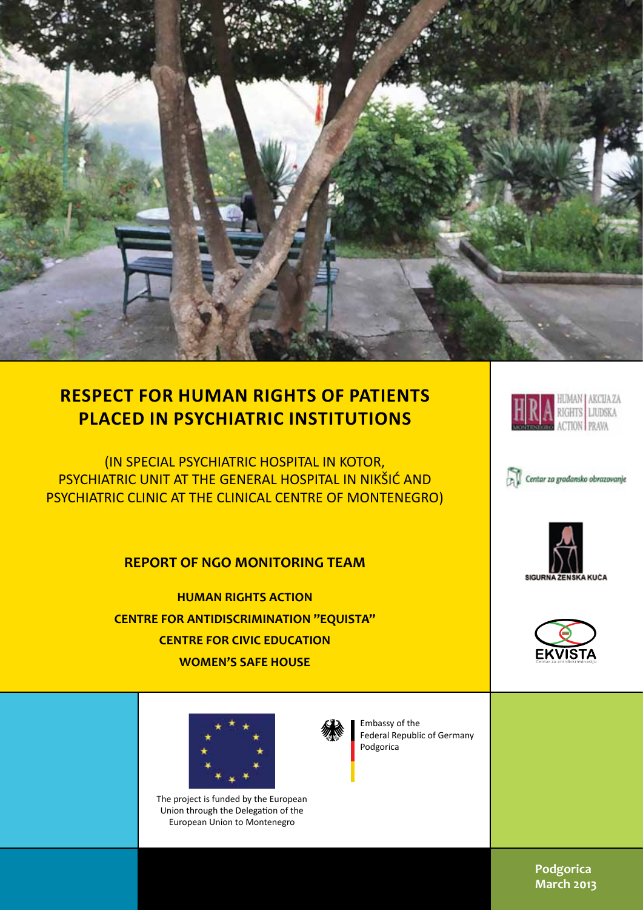

# **RESPECT FOR HUMAN RIGHTS OF PATIENTS PLACED IN PSYCHIATRIC INSTITUTIONS**

(IN SPECIAL PSYCHIATRIC HOSPITAL IN KOTOR, PSYCHIATRIC UNIT AT THE GENERAL HOSPITAL IN NIKŠIĆ AND PSYCHIATRIC CLINIC AT THE CLINICAL CENTRE OF MONTENEGRO)

## **REPORT OF NGO MONITORING TEAM**

**HUMAN RIGHTS ACTION CENTRE FOR ANTIDISCRIMINATION "EQUISTA" CENTRE FOR CIVIC EDUCATION WOMEN'S SAFE HOUSE**







Embassy of the Federal Republic of Germany Podgorica



**HRA EUMAN AKCUAZA** 







**Podgorica March 2013**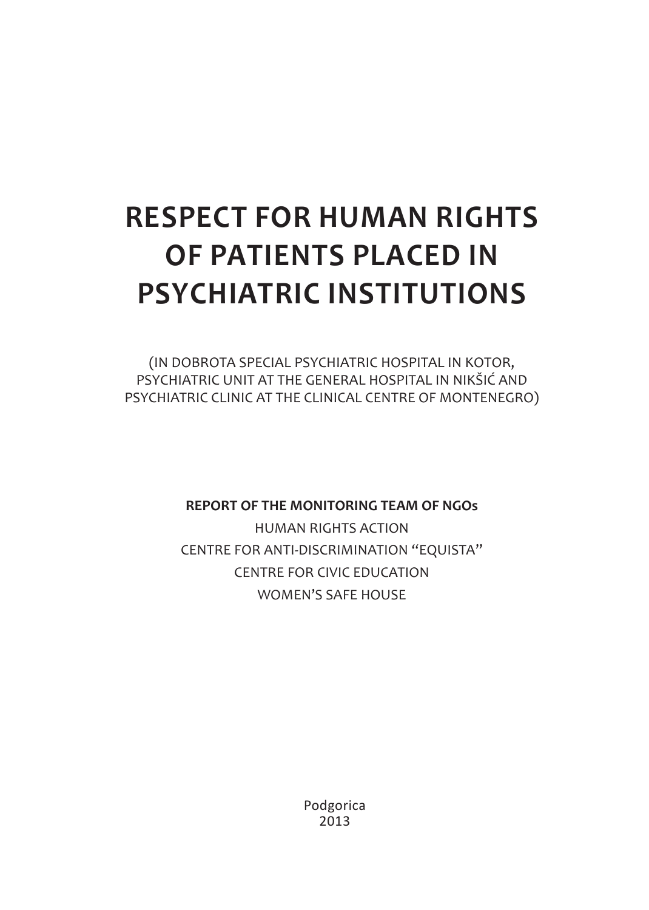# **RESPECT FOR HUMAN RIGHTS OF PATIENTS PLACED IN PSYCHIATRIC INSTITUTIONS**

(IN DOBROTA SPECIAL PSYCHIATRIC HOSPITAL IN KOTOR, PSYCHIATRIC UNIT AT THE GENERAL HOSPITAL IN NIKŠIĆ AND PSYCHIATRIC CLINIC AT THE CLINICAL CENTRE OF MONTENEGRO)

**REPORT OF THE MONITORING TEAM OF NGOs**

HUMAN RIGHTS ACTION CENTRE FOR ANTI-DISCRIMINATION "EQUISTA" CENTRE FOR CIVIC EDUCATION WOMEN'S SAFE HOUSE

> Podgorica 2013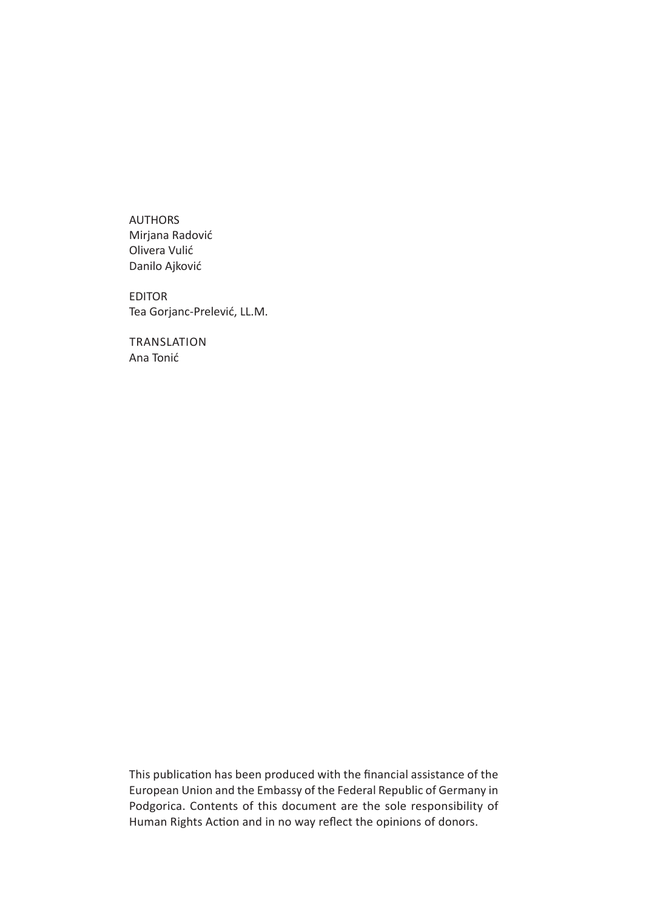AUTHORS Mirjana Radović Olivera Vulić Danilo Ajković

EDITOR Tea Gorjanc-Prelević, LL.M.

**TRANSLATION** Ana Tonić

This publication has been produced with the financial assistance of the European Union and the Embassy of the Federal Republic of Germany in Podgorica. Contents of this document are the sole responsibility of Human Rights Action and in no way reflect the opinions of donors.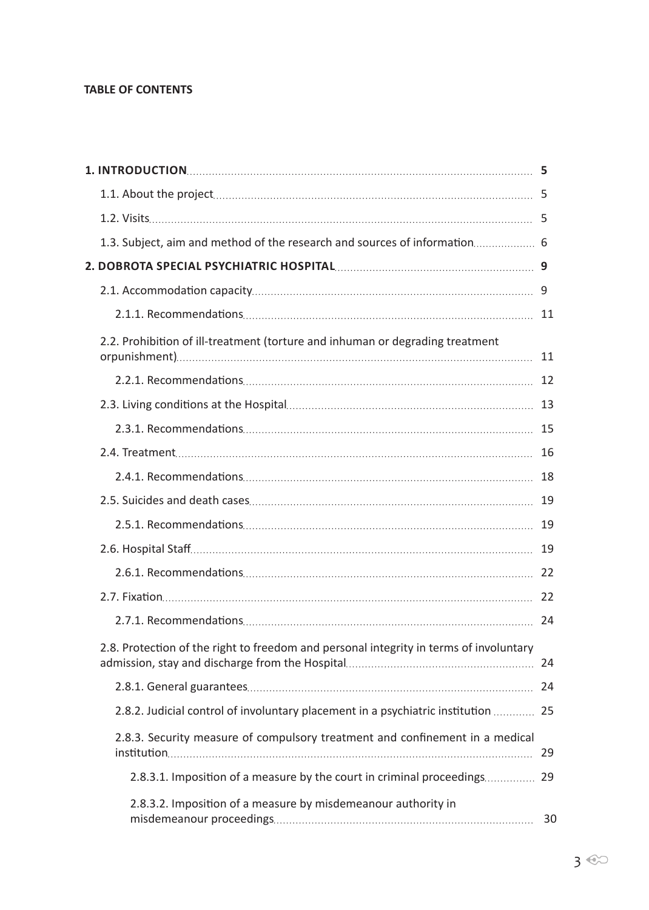#### **TABLE OF CONTENTS**

| 1.3. Subject, aim and method of the research and sources of information 6              |    |
|----------------------------------------------------------------------------------------|----|
|                                                                                        |    |
|                                                                                        | 9  |
|                                                                                        |    |
| 2.2. Prohibition of ill-treatment (torture and inhuman or degrading treatment          |    |
|                                                                                        |    |
|                                                                                        |    |
|                                                                                        |    |
|                                                                                        |    |
|                                                                                        |    |
|                                                                                        |    |
|                                                                                        |    |
|                                                                                        |    |
|                                                                                        |    |
|                                                                                        |    |
|                                                                                        | 24 |
| 2.8. Protection of the right to freedom and personal integrity in terms of involuntary |    |
|                                                                                        | 24 |
| 2.8.2. Judicial control of involuntary placement in a psychiatric institution  25      |    |
| 2.8.3. Security measure of compulsory treatment and confinement in a medical           | 29 |
| 2.8.3.1. Imposition of a measure by the court in criminal proceedings 29               |    |
| 2.8.3.2. Imposition of a measure by misdemeanour authority in                          |    |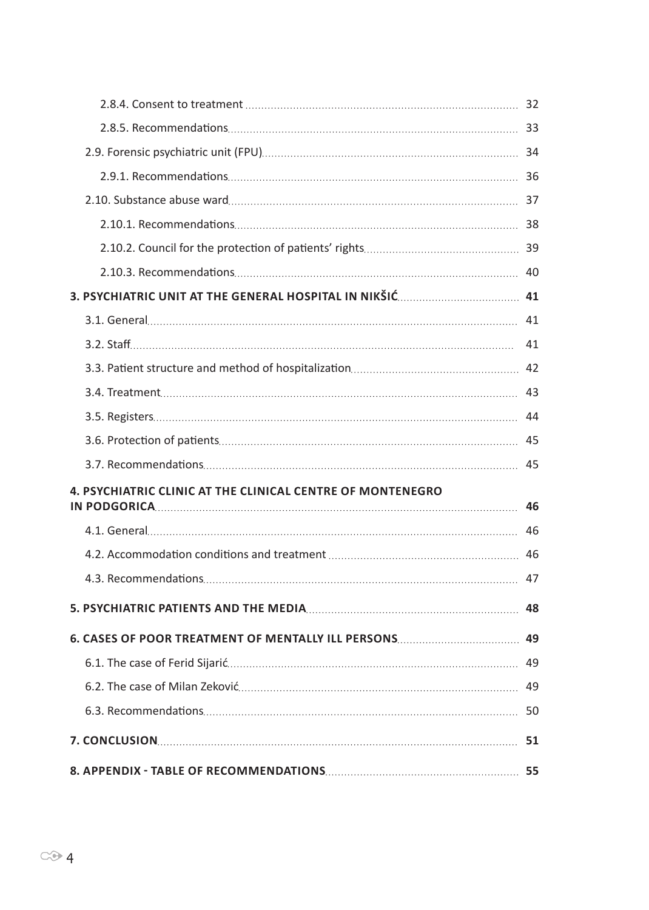|                                                                   | 41 |
|-------------------------------------------------------------------|----|
|                                                                   |    |
|                                                                   |    |
|                                                                   |    |
|                                                                   |    |
|                                                                   |    |
| <b>4. PSYCHIATRIC CLINIC AT THE CLINICAL CENTRE OF MONTENEGRO</b> | 46 |
|                                                                   | 46 |
|                                                                   |    |
|                                                                   | 47 |
|                                                                   | 48 |
|                                                                   |    |
|                                                                   |    |
|                                                                   |    |
|                                                                   |    |
|                                                                   |    |
|                                                                   |    |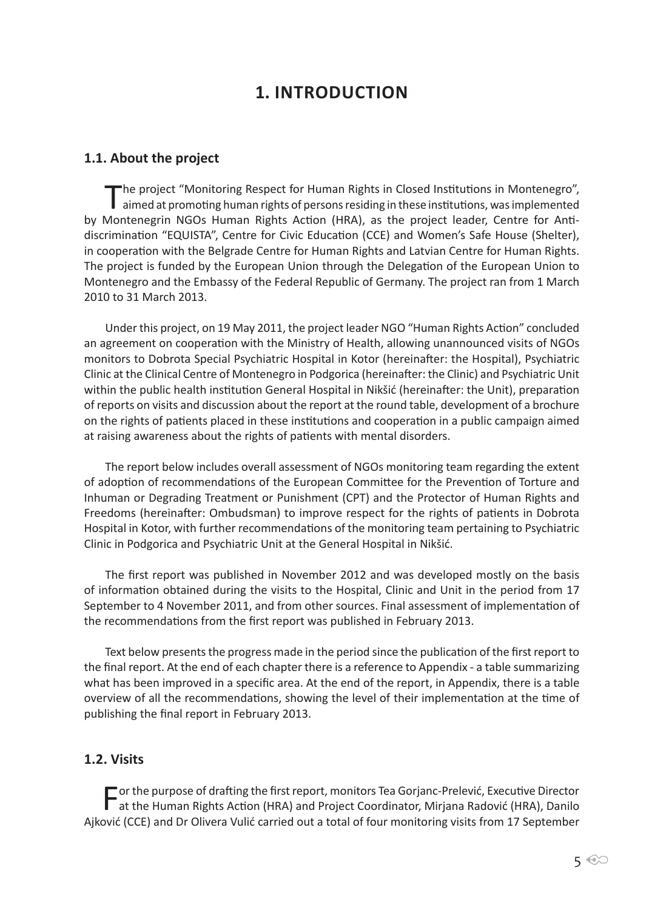# **1. Introduction**

#### **1.1. About the project**

The project "Monitoring Respect for Human Rights in Closed Institutions in Montenegro",<br>aimed at promoting human rights of persons residing in these institutions, was implemented by Montenegrin NGOs Human Rights Action (HRA), as the project leader, Centre for Antidiscrimination "EQUISTA", Centre for Civic Education (CCE) and Women's Safe House (Shelter), in cooperation with the Belgrade Centre for Human Rights and Latvian Centre for Human Rights. The project is funded by the European Union through the Delegation of the European Union to Montenegro and the Embassy of the Federal Republic of Germany. The project ran from 1 March 2010 to 31 March 2013.

Under this project, on 19 May 2011, the project leader NGO "Human Rights Action" concluded an agreement on cooperation with the Ministry of Health, allowing unannounced visits of NGOs monitors to Dobrota Special Psychiatric Hospital in Kotor (hereinafter: the Hospital), Psychiatric Clinic at the Clinical Centre of Montenegro in Podgorica (hereinafter: the Clinic) and Psychiatric Unit within the public health institution General Hospital in Nikšić (hereinafter: the Unit), preparation of reports on visits and discussion about the report at the round table, development of a brochure on the rights of patients placed in these institutions and cooperation in a public campaign aimed at raising awareness about the rights of patients with mental disorders.

The report below includes overall assessment of NGOs monitoring team regarding the extent of adoption of recommendations of the European Committee for the Prevention of Torture and Inhuman or Degrading Treatment or Punishment (CPT) and the Protector of Human Rights and Freedoms (hereinafter: Ombudsman) to improve respect for the rights of patients in Dobrota Hospital in Kotor, with further recommendations of the monitoring team pertaining to Psychiatric Clinic in Podgorica and Psychiatric Unit at the General Hospital in Nikšić.

The first report was published in November 2012 and was developed mostly on the basis of information obtained during the visits to the Hospital, Clinic and Unit in the period from 17 September to 4 November 2011, and from other sources. Final assessment of implementation of the recommendations from the first report was published in February 2013.

Text below presents the progress made in the period since the publication of the first report to the final report. At the end of each chapter there is a reference to Appendix - a table summarizing what has been improved in a specific area. At the end of the report, in Appendix, there is a table overview of all the recommendations, showing the level of their implementation at the time of publishing the final report in February 2013.

#### **1.2. Visits**

For the purpose of drafting the first report, monitors Tea Gorjanc-Prelević, Executive Director at the Human Rights Action (HRA) and Project Coordinator, Mirjana Radović (HRA), Danilo Ajković (CCE) and Dr Olivera Vulić carried out a total of four monitoring visits from 17 September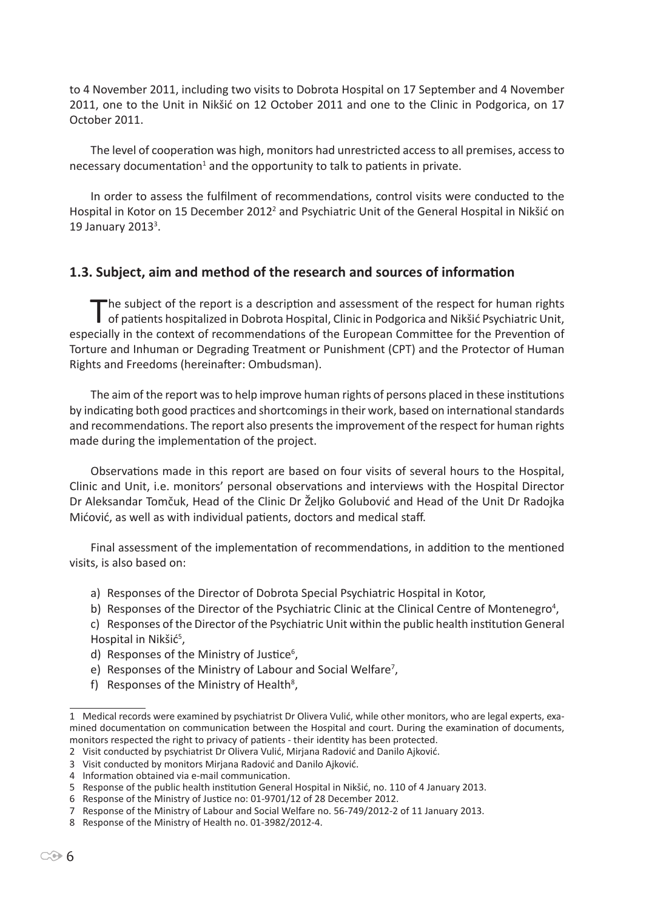to 4 November 2011, including two visits to Dobrota Hospital on 17 September and 4 November 2011, one to the Unit in Nikšić on 12 October 2011 and one to the Clinic in Podgorica, on 17 October 2011.

The level of cooperation was high, monitors had unrestricted access to all premises, access to necessary documentation<sup>1</sup> and the opportunity to talk to patients in private.

In order to assess the fulfilment of recommendations, control visits were conducted to the Hospital in Kotor on 15 December 2012<sup>2</sup> and Psychiatric Unit of the General Hospital in Nikšić on 19 January 2013<sup>3</sup>.

## **1.3. Subject, aim and method of the research and sources of information**

The subject of the report is a description and assessment of the respect for human rights<br>of patients hospitalized in Dobrota Hospital, Clinic in Podgorica and Nikšić Psychiatric Unit, especially in the context of recommendations of the European Committee for the Prevention of Torture and Inhuman or Degrading Treatment or Punishment (CPT) and the Protector of Human Rights and Freedoms (hereinafter: Ombudsman).

The aim of the report was to help improve human rights of persons placed in these institutions by indicating both good practices and shortcomings in their work, based on international standards and recommendations. The report also presents the improvement of the respect for human rights made during the implementation of the project.

Observations made in this report are based on four visits of several hours to the Hospital, Clinic and Unit, i.e. monitors' personal observations and interviews with the Hospital Director Dr Aleksandar Tomčuk, Head of the Clinic Dr Željko Golubović and Head of the Unit Dr Radojka Mićović, as well as with individual patients, doctors and medical staff.

Final assessment of the implementation of recommendations, in addition to the mentioned visits, is also based on:

- a) Responses of the Director of Dobrota Special Psychiatric Hospital in Kotor,
- b) Responses of the Director of the Psychiatric Clinic at the Clinical Centre of Montenegro<sup>4</sup>,
- c) Responses of the Director of the Psychiatric Unit within the public health institution General Hospital in Nikšić<sup>5</sup>,
- d) Responses of the Ministry of Justice<sup>6</sup>,
- e) Responses of the Ministry of Labour and Social Welfare<sup>7</sup>,
- f) Responses of the Ministry of Health<sup>8</sup>,

<sup>1</sup> Medical records were examined by psychiatrist Dr Olivera Vulić, while other monitors, who are legal experts, examined documentation on communication between the Hospital and court. During the examination of documents, monitors respected the right to privacy of patients - their identity has been protected.

<sup>2</sup> Visit conducted by psychiatrist Dr Olivera Vulić, Mirjana Radović and Danilo Ajković.

<sup>3</sup> Visit conducted by monitors Mirjana Radović and Danilo Ajković.

<sup>4</sup> Information obtained via e-mail communication.

<sup>5</sup> Response of the public health institution General Hospital in Nikšić, no. 110 of 4 January 2013.

<sup>6</sup> Response of the Ministry of Justice no: 01-9701/12 of 28 December 2012.

<sup>7</sup> Response of the Ministry of Labour and Social Welfare no. 56-749/2012-2 of 11 January 2013.

<sup>8</sup> Response of the Ministry of Health no. 01-3982/2012-4.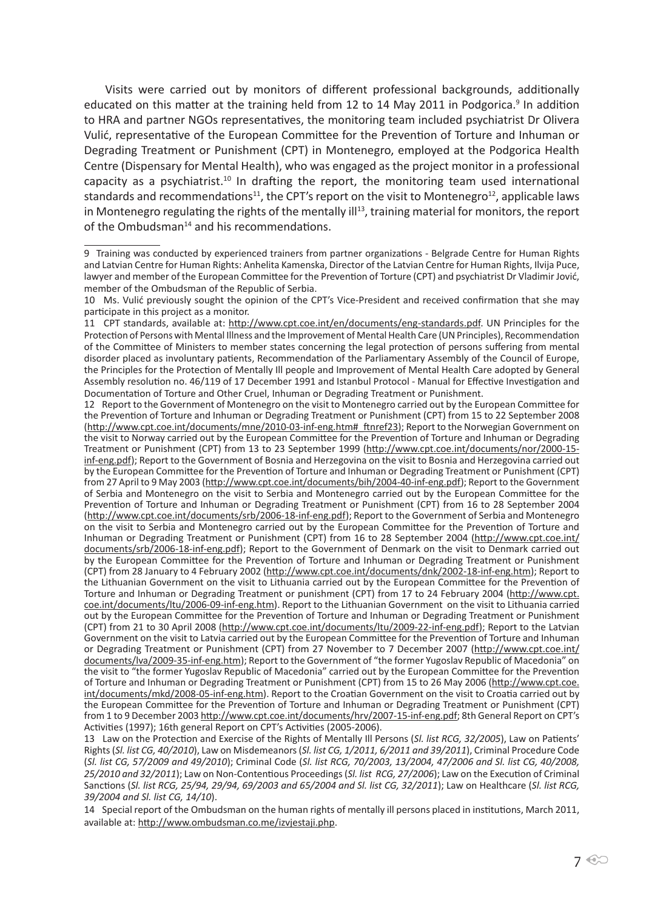Visits were carried out by monitors of different professional backgrounds, additionally educated on this matter at the training held from 12 to 14 May 2011 in Podgorica.<sup>9</sup> In addition to HRA and partner NGOs representatives, the monitoring team included psychiatrist Dr Olivera Vulić, representative of the European Committee for the Prevention of Torture and Inhuman or Degrading Treatment or Punishment (CPT) in Montenegro, employed at the Podgorica Health Centre (Dispensary for Mental Health), who was engaged as the project monitor in a professional capacity as a psychiatrist.<sup>10</sup> In drafting the report, the monitoring team used international standards and recommendations<sup>11</sup>, the CPT's report on the visit to Montenegro<sup>12</sup>, applicable laws in Montenegro regulating the rights of the mentally ill<sup>13</sup>, training material for monitors, the report of the Ombudsman<sup>14</sup> and his recommendations.

14 Special report of the Ombudsman on the human rights of mentally ill persons placed in institutions, March 2011, available at: http://www.ombudsman.co.me/izvjestaji.php.

<sup>9</sup>  Training was conducted by experienced trainers from partner organizations - Belgrade Centre for Human Rights and Latvian Centre for Human Rights: Anhelita Kamenska, Director of the Latvian Centre for Human Rights, Ilvija Puce, lawyer and member of the European Committee for the Prevention of Torture (CPT) and psychiatrist Dr Vladimir Jović, member of the Ombudsman of the Republic of Serbia.

<sup>10</sup> Ms. Vulić previously sought the opinion of the CPT's Vice-President and received confirmation that she may participate in this project as a monitor.

<sup>11</sup> CPT standards, available at: http://www.cpt.coe.int/en/documents/eng-standards.pdf. UN Principles for the Protection of Persons with Mental Illness and the Improvement of Mental Health Care (UN Principles), Recommendation of the Committee of Ministers to member states concerning the legal protection of persons suffering from mental disorder placed as involuntary patients, Recommendation of the Parliamentary Assembly of the Council of Europe, the Principles for the Protection of Mentally Ill people and Improvement of Mental Health Care adopted by General Assembly resolution no. 46/119 of 17 December 1991 and Istanbul Protocol - Manual for Effective Investigation and Documentation of Torture and Other Cruel, Inhuman or Degrading Treatment or Punishment.

<sup>12</sup> Report to the Government of Montenegro on the visit to Montenegro carried out by the European Committee for the Prevention of Torture and Inhuman or Degrading Treatment or Punishment (CPT) from 15 to 22 September 2008 (http://www.cpt.coe.int/documents/mne/2010-03-inf-eng.htm#\_ftnref23); Report to the Norwegian Government on the visit to Norway carried out by the European Committee for the Prevention of Torture and Inhuman or Degrading Treatment or Punishment (CPT) from 13 to 23 September 1999 (http://www.cpt.coe.int/documents/nor/2000-15 inf-eng.pdf); Report to the Government of Bosnia and Herzegovina on the visit to Bosnia and Herzegovina carried out by the European Committee for the Prevention of Torture and Inhuman or Degrading Treatment or Punishment (CPT) from 27 April to 9 May 2003 (http://www.cpt.coe.int/documents/bih/2004-40-inf-eng.pdf); Report to the Government of Serbia and Montenegro on the visit to Serbia and Montenegro carried out by the European Committee for the Prevention of Torture and Inhuman or Degrading Treatment or Punishment (CPT) from 16 to 28 September 2004 (http://www.cpt.coe.int/documents/srb/2006-18-inf-eng.pdf); Report to the Government of Serbia and Montenegro on the visit to Serbia and Montenegro carried out by the European Committee for the Prevention of Torture and Inhuman or Degrading Treatment or Punishment (CPT) from 16 to 28 September 2004 (http://www.cpt.coe.int/ documents/srb/2006-18-inf-eng.pdf); Report to the Government of Denmark on the visit to Denmark carried out by the European Committee for the Prevention of Torture and Inhuman or Degrading Treatment or Punishment (CPT) from 28 January to 4 February 2002 (http://www.cpt.coe.int/documents/dnk/2002-18-inf-eng.htm); Report to the Lithuanian Government on the visit to Lithuania carried out by the European Committee for the Prevention of Torture and Inhuman or Degrading Treatment or punishment (CPT) from 17 to 24 February 2004 (http://www.cpt. coe.int/documents/ltu/2006-09-inf-eng.htm). Report to the Lithuanian Government on the visit to Lithuania carried out by the European Committee for the Prevention of Torture and Inhuman or Degrading Treatment or Punishment (CPT) from 21 to 30 April 2008 (http://www.cpt.coe.int/documents/ltu/2009-22-inf-eng.pdf); Report to the Latvian Government on the visit to Latvia carried out by the European Committee for the Prevention of Torture and Inhuman or Degrading Treatment or Punishment (CPT) from 27 November to 7 December 2007 (http://www.cpt.coe.int/ documents/lva/2009-35-inf-eng.htm); Report to the Government of "the former Yugoslav Republic of Macedonia" on the visit to "the former Yugoslav Republic of Macedonia" carried out by the European Committee for the Prevention of Torture and Inhuman or Degrading Treatment or Punishment (CPT) from 15 to 26 May 2006 (http://www.cpt.coe. int/documents/mkd/2008-05-inf-eng.htm). Report to the Croatian Government on the visit to Croatia carried out by the European Committee for the Prevention of Torture and Inhuman or Degrading Treatment or Punishment (CPT) from 1 to 9 December 2003 http://www.cpt.coe.int/documents/hrv/2007-15-inf-eng.pdf; 8th General Report on CPT's Activities (1997); 16th general Report on CPT's Activities (2005-2006).

<sup>13</sup> Law on the Protection and Exercise of the Rights of Mentally Ill Persons (*Sl. list RCG, 32/2005*), Law on Patients' Rights (*Sl. list CG, 40/2010*), Law on Misdemeanors (*Sl. list CG, 1/2011, 6/2011 and 39/2011*), Criminal Procedure Code (*Sl. list CG, 57/2009 and 49/2010*); Criminal Code (*Sl. list RCG, 70/2003, 13/2004, 47/2006 and Sl. list CG, 40/2008, 25/2010 and 32/2011*); Law on Non-Contentious Proceedings (*Sl. list RCG, 27/2006*); Law on the Execution of Criminal Sanctions (*Sl. list RCG, 25/94, 29/94, 69/2003 and 65/2004 and Sl. list CG, 32/2011*); Law on Healthcare (*Sl. list RCG, 39/2004 and Sl. list CG, 14/10*).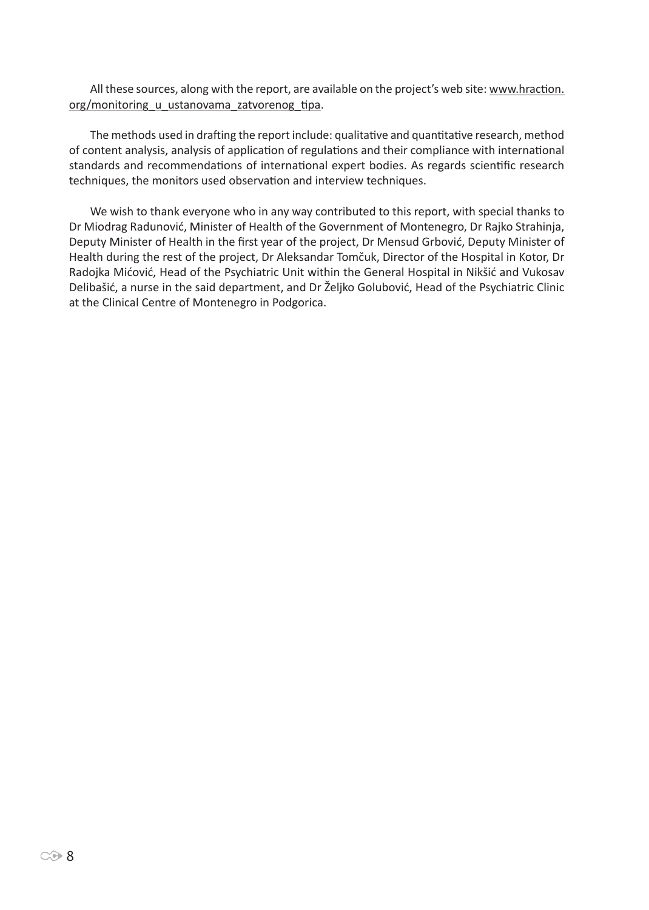All these sources, along with the report, are available on the project's web site: www.hraction. org/monitoring u ustanovama zatvorenog tipa.

The methods used in drafting the report include: qualitative and quantitative research, method of content analysis, analysis of application of regulations and their compliance with international standards and recommendations of international expert bodies. As regards scientific research techniques, the monitors used observation and interview techniques.

We wish to thank everyone who in any way contributed to this report, with special thanks to Dr Miodrag Radunović, Minister of Health of the Government of Montenegro, Dr Rajko Strahinja, Deputy Minister of Health in the first year of the project, Dr Mensud Grbović, Deputy Minister of Health during the rest of the project, Dr Aleksandar Tomčuk, Director of the Hospital in Kotor, Dr Radojka Mićović, Head of the Psychiatric Unit within the General Hospital in Nikšić and Vukosav Delibašić, a nurse in the said department, and Dr Željko Golubović, Head of the Psychiatric Clinic at the Clinical Centre of Montenegro in Podgorica.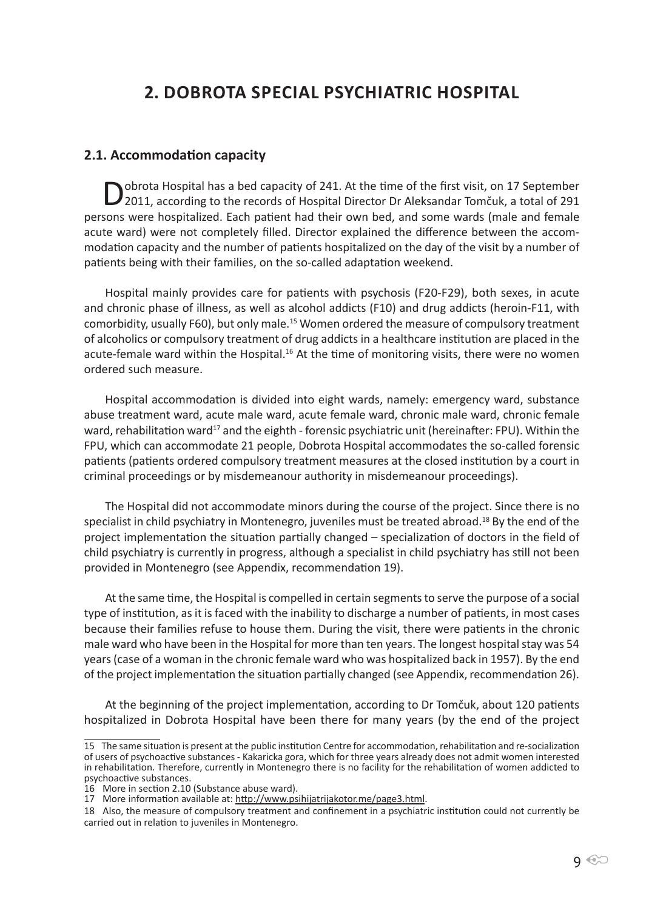# **2. Dobrota Special Psychiatric Hospital**

#### **2.1. Accommodation capacity**

Dobrota Hospital has a bed capacity of 241. At the time of the first visit, on 17 September<br>2011, according to the records of Hospital Director Dr Aleksandar Tomčuk, a total of 291 persons were hospitalized. Each patient had their own bed, and some wards (male and female acute ward) were not completely filled. Director explained the difference between the accommodation capacity and the number of patients hospitalized on the day of the visit by a number of patients being with their families, on the so-called adaptation weekend.

Hospital mainly provides care for patients with psychosis (F20-F29), both sexes, in acute and chronic phase of illness, as well as alcohol addicts (F10) and drug addicts (heroin-F11, with comorbidity, usually F60), but only male.<sup>15</sup> Women ordered the measure of compulsory treatment of alcoholics or compulsory treatment of drug addicts in a healthcare institution are placed in the acute-female ward within the Hospital.<sup>16</sup> At the time of monitoring visits, there were no women ordered such measure.

Hospital accommodation is divided into eight wards, namely: emergency ward, substance abuse treatment ward, acute male ward, acute female ward, chronic male ward, chronic female ward, rehabilitation ward<sup>17</sup> and the eighth - forensic psychiatric unit (hereinafter: FPU). Within the FPU, which can accommodate 21 people, Dobrota Hospital accommodates the so-called forensic patients (patients ordered compulsory treatment measures at the closed institution by a court in criminal proceedings or by misdemeanour authority in misdemeanour proceedings).

The Hospital did not accommodate minors during the course of the project. Since there is no specialist in child psychiatry in Montenegro, juveniles must be treated abroad.<sup>18</sup> By the end of the project implementation the situation partially changed – specialization of doctors in the field of child psychiatry is currently in progress, although a specialist in child psychiatry has still not been provided in Montenegro (see Appendix, recommendation 19).

At the same time, the Hospital is compelled in certain segments to serve the purpose of a social type of institution, as it is faced with the inability to discharge a number of patients, in most cases because their families refuse to house them. During the visit, there were patients in the chronic male ward who have been in the Hospital for more than ten years. The longest hospital stay was 54 years (case of a woman in the chronic female ward who was hospitalized back in 1957). By the end of the project implementation the situation partially changed (see Appendix, recommendation 26).

At the beginning of the project implementation, according to Dr Tomčuk, about 120 patients hospitalized in Dobrota Hospital have been there for many years (by the end of the project

<sup>15</sup> The same situation is present at the public institution Centre for accommodation, rehabilitation and re-socialization of users of psychoactive substances - Kakaricka gora, which for three years already does not admit women interested in rehabilitation. Therefore, currently in Montenegro there is no facility for the rehabilitation of women addicted to psychoactive substances.

<sup>16</sup> More in section 2.10 (Substance abuse ward).

<sup>17</sup> More information available at: http://www.psihijatrijakotor.me/page3.html.

<sup>18</sup> Also, the measure of compulsory treatment and confinement in a psychiatric institution could not currently be carried out in relation to juveniles in Montenegro.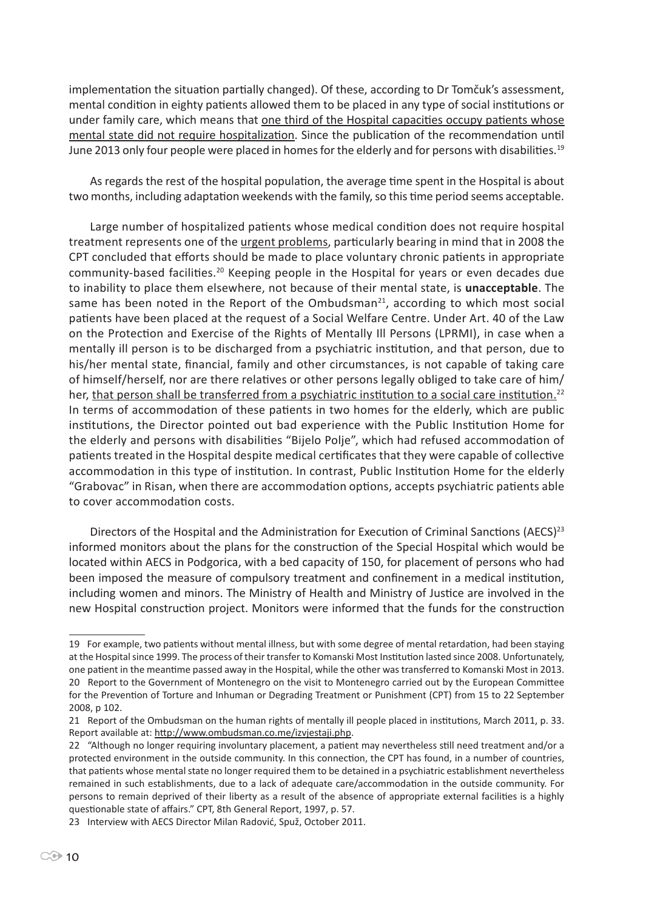implementation the situation partially changed). Of these, according to Dr Tomčuk's assessment, mental condition in eighty patients allowed them to be placed in any type of social institutions or under family care, which means that one third of the Hospital capacities occupy patients whose mental state did not require hospitalization. Since the publication of the recommendation until June 2013 only four people were placed in homes for the elderly and for persons with disabilities.<sup>19</sup>

As regards the rest of the hospital population, the average time spent in the Hospital is about two months, including adaptation weekends with the family, so this time period seems acceptable.

Large number of hospitalized patients whose medical condition does not require hospital treatment represents one of the urgent problems, particularly bearing in mind that in 2008 the CPT concluded that efforts should be made to place voluntary chronic patients in appropriate community-based facilities.<sup>20</sup> Keeping people in the Hospital for years or even decades due to inability to place them elsewhere, not because of their mental state, is **unacceptable**. The same has been noted in the Report of the Ombudsman $^{21}$ , according to which most social patients have been placed at the request of a Social Welfare Centre. Under Art. 40 of the Law on the Protection and Exercise of the Rights of Mentally Ill Persons (LPRMI), in case when a mentally ill person is to be discharged from a psychiatric institution, and that person, due to his/her mental state, financial, family and other circumstances, is not capable of taking care of himself/herself, nor are there relatives or other persons legally obliged to take care of him/ her, that person shall be transferred from a psychiatric institution to a social care institution.<sup>22</sup> In terms of accommodation of these patients in two homes for the elderly, which are public institutions, the Director pointed out bad experience with the Public Institution Home for the elderly and persons with disabilities "Bijelo Polje", which had refused accommodation of patients treated in the Hospital despite medical certificates that they were capable of collective accommodation in this type of institution. In contrast, Public Institution Home for the elderly "Grabovac" in Risan, when there are accommodation options, accepts psychiatric patients able to cover accommodation costs.

Directors of the Hospital and the Administration for Execution of Criminal Sanctions (AECS)<sup>23</sup> informed monitors about the plans for the construction of the Special Hospital which would be located within AECS in Podgorica, with a bed capacity of 150, for placement of persons who had been imposed the measure of compulsory treatment and confinement in a medical institution, including women and minors. The Ministry of Health and Ministry of Justice are involved in the new Hospital construction project. Monitors were informed that the funds for the construction

<sup>19</sup> For example, two patients without mental illness, but with some degree of mental retardation, had been staying at the Hospital since 1999. The process of their transfer to Komanski Most Institution lasted since 2008. Unfortunately, one patient in the meantime passed away in the Hospital, while the other was transferred to Komanski Most in 2013. 20 Report to the Government of Montenegro on the visit to Montenegro carried out by the European Committee for the Prevention of Torture and Inhuman or Degrading Treatment or Punishment (CPT) from 15 to 22 September 2008, p 102.

<sup>21</sup> Report of the Ombudsman on the human rights of mentally ill people placed in institutions, March 2011, p. 33. Report available at: http://www.ombudsman.co.me/izvjestaji.php.

<sup>22 &</sup>quot;Although no longer requiring involuntary placement, a patient may nevertheless still need treatment and/or a protected environment in the outside community. In this connection, the CPT has found, in a number of countries, that patients whose mental state no longer required them to be detained in a psychiatric establishment nevertheless remained in such establishments, due to a lack of adequate care/accommodation in the outside community. For persons to remain deprived of their liberty as a result of the absence of appropriate external facilities is a highly questionable state of affairs." CPT, 8th General Report, 1997, p. 57.

<sup>23</sup> Interview with AECS Director Milan Radović, Spuž, October 2011.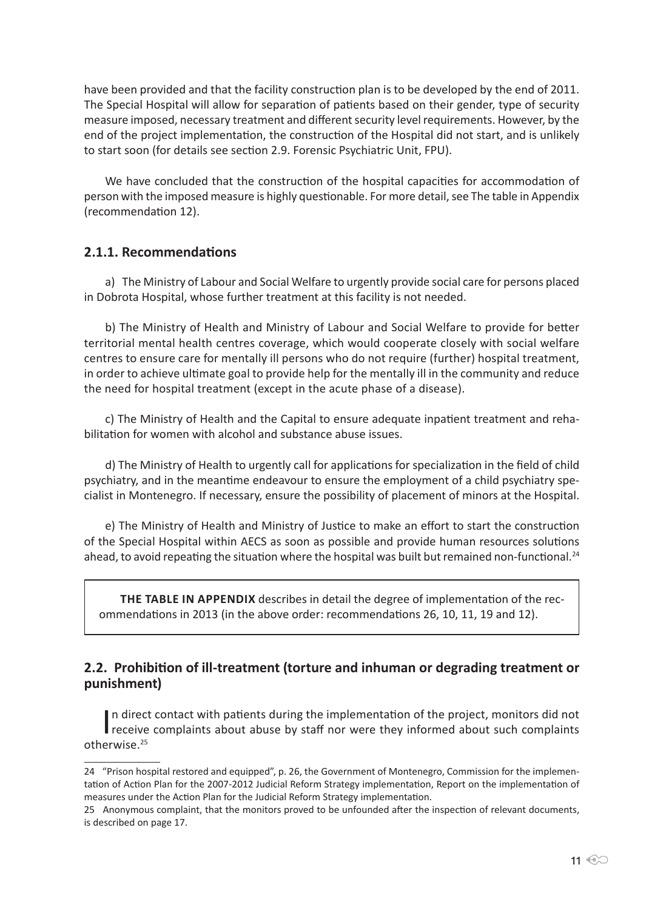have been provided and that the facility construction plan is to be developed by the end of 2011. The Special Hospital will allow for separation of patients based on their gender, type of security measure imposed, necessary treatment and different security level requirements. However, by the end of the project implementation, the construction of the Hospital did not start, and is unlikely to start soon (for details see section 2.9. Forensic Psychiatric Unit, FPU).

We have concluded that the construction of the hospital capacities for accommodation of person with the imposed measure is highly questionable. For more detail, see The table in Appendix (recommendation 12).

## **2.1.1. Recommendations**

a) The Ministry of Labour and Social Welfare to urgently provide social care for persons placed in Dobrota Hospital, whose further treatment at this facility is not needed.

b) The Ministry of Health and Ministry of Labour and Social Welfare to provide for better territorial mental health centres coverage, which would cooperate closely with social welfare centres to ensure care for mentally ill persons who do not require (further) hospital treatment, in order to achieve ultimate goal to provide help for the mentally ill in the community and reduce the need for hospital treatment (except in the acute phase of a disease).

c) The Ministry of Health and the Capital to ensure adequate inpatient treatment and rehabilitation for women with alcohol and substance abuse issues.

d) The Ministry of Health to urgently call for applications for specialization in the field of child psychiatry, and in the meantime endeavour to ensure the employment of a child psychiatry specialist in Montenegro. If necessary, ensure the possibility of placement of minors at the Hospital.

e) The Ministry of Health and Ministry of Justice to make an effort to start the construction of the Special Hospital within AECS as soon as possible and provide human resources solutions ahead, to avoid repeating the situation where the hospital was built but remained non-functional.<sup>24</sup>

**THE TABLE IN APPENDIX** describes in detail the degree of implementation of the recommendations in 2013 (in the above order: recommendations 26, 10, 11, 19 and 12).

## **2.2. Prohibition of ill-treatment (torture and inhuman or degrading treatment or punishment)**

In direct contact with patients during the implementation of the project, monitors did not<br>receive complaints about abuse by staff nor were they informed about such complaints n direct contact with patients during the implementation of the project, monitors did not otherwise.<sup>25</sup>

<sup>24 &</sup>quot;Prison hospital restored and equipped", p. 26, the Government of Montenegro, Commission for the implementation of Action Plan for the 2007-2012 Judicial Reform Strategy implementation, Report on the implementation of measures under the Action Plan for the Judicial Reform Strategy implementation.

<sup>25</sup> Anonymous complaint, that the monitors proved to be unfounded after the inspection of relevant documents, is described on page 17.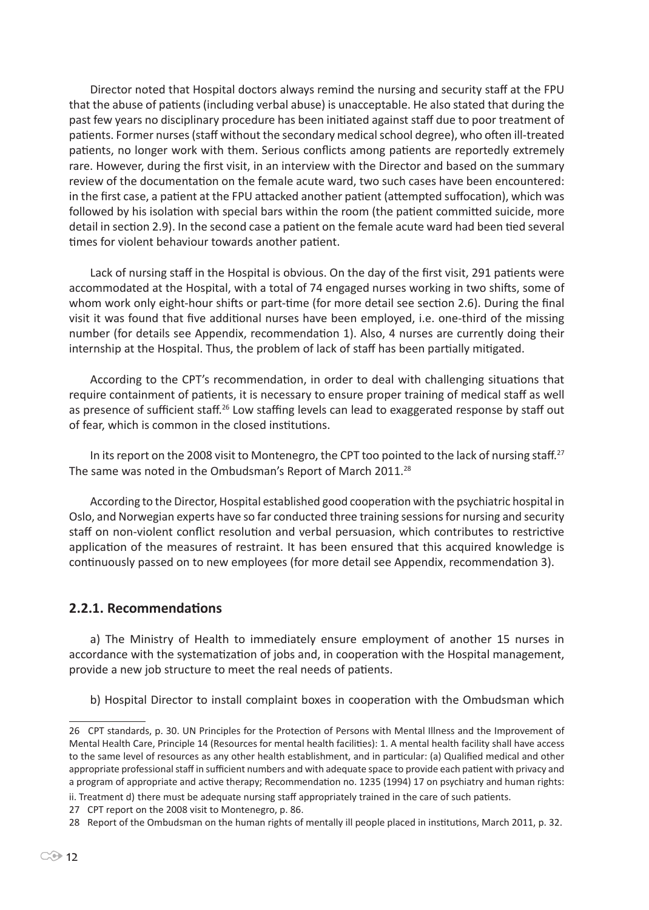Director noted that Hospital doctors always remind the nursing and security staff at the FPU that the abuse of patients (including verbal abuse) is unacceptable. He also stated that during the past few years no disciplinary procedure has been initiated against staff due to poor treatment of patients. Former nurses (staff without the secondary medical school degree), who often ill-treated patients, no longer work with them. Serious conflicts among patients are reportedly extremely rare. However, during the first visit, in an interview with the Director and based on the summary review of the documentation on the female acute ward, two such cases have been encountered: in the first case, a patient at the FPU attacked another patient (attempted suffocation), which was followed by his isolation with special bars within the room (the patient committed suicide, more detail in section 2.9). In the second case a patient on the female acute ward had been tied several times for violent behaviour towards another patient.

Lack of nursing staff in the Hospital is obvious. On the day of the first visit, 291 patients were accommodated at the Hospital, with a total of 74 engaged nurses working in two shifts, some of whom work only eight-hour shifts or part-time (for more detail see section 2.6). During the final visit it was found that five additional nurses have been employed, i.e. one-third of the missing number (for details see Appendix, recommendation 1). Also, 4 nurses are currently doing their internship at the Hospital. Thus, the problem of lack of staff has been partially mitigated.

According to the CPT's recommendation, in order to deal with challenging situations that require containment of patients, it is necessary to ensure proper training of medical staff as well as presence of sufficient staff.<sup>26</sup> Low staffing levels can lead to exaggerated response by staff out of fear, which is common in the closed institutions.

In its report on the 2008 visit to Montenegro, the CPT too pointed to the lack of nursing staff.<sup>27</sup> The same was noted in the Ombudsman's Report of March 2011.<sup>28</sup>

According to the Director, Hospital established good cooperation with the psychiatric hospital in Oslo, and Norwegian experts have so far conducted three training sessions for nursing and security staff on non-violent conflict resolution and verbal persuasion, which contributes to restrictive application of the measures of restraint. It has been ensured that this acquired knowledge is continuously passed on to new employees (for more detail see Appendix, recommendation 3).

## **2.2.1. Recommendations**

a) The Ministry of Health to immediately ensure employment of another 15 nurses in accordance with the systematization of jobs and, in cooperation with the Hospital management, provide a new job structure to meet the real needs of patients.

b) Hospital Director to install complaint boxes in cooperation with the Ombudsman which

ii. Treatment d) there must be adequate nursing staff appropriately trained in the care of such patients.

<sup>26</sup> CPT standards, p. 30. UN Principles for the Protection of Persons with Mental Illness and the Improvement of Mental Health Care, Principle 14 (Resources for mental health facilities): 1. A mental health facility shall have access to the same level of resources as any other health establishment, and in particular: (a) Qualified medical and other appropriate professional staff in sufficient numbers and with adequate space to provide each patient with privacy and a program of appropriate and active therapy; Recommendation no. 1235 (1994) 17 on psychiatry and human rights:

<sup>27</sup> CPT report on the 2008 visit to Montenegro, p. 86.

<sup>28</sup> Report of the Ombudsman on the human rights of mentally ill people placed in institutions, March 2011, p. 32.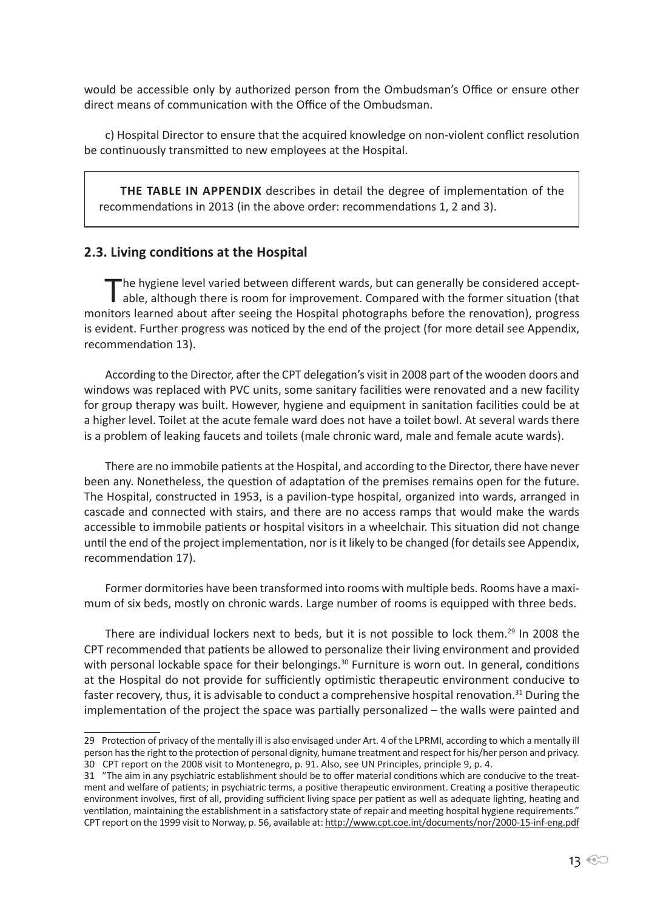would be accessible only by authorized person from the Ombudsman's Office or ensure other direct means of communication with the Office of the Ombudsman.

c) Hospital Director to ensure that the acquired knowledge on non-violent conflict resolution be continuously transmitted to new employees at the Hospital.

**The table in Appendix** describes in detail the degree of implementation of the recommendations in 2013 (in the above order: recommendations 1, 2 and 3).

#### **2.3. Living conditions at the Hospital**

The hygiene level varied between different wards, but can generally be considered accept-<br>able, although there is room for improvement. Compared with the former situation (that monitors learned about after seeing the Hospital photographs before the renovation), progress is evident. Further progress was noticed by the end of the project (for more detail see Appendix, recommendation 13).

According to the Director, after the CPT delegation's visit in 2008 part of the wooden doors and windows was replaced with PVC units, some sanitary facilities were renovated and a new facility for group therapy was built. However, hygiene and equipment in sanitation facilities could be at a higher level. Toilet at the acute female ward does not have a toilet bowl. At several wards there is a problem of leaking faucets and toilets (male chronic ward, male and female acute wards).

There are no immobile patients at the Hospital, and according to the Director, there have never been any. Nonetheless, the question of adaptation of the premises remains open for the future. The Hospital, constructed in 1953, is a pavilion-type hospital, organized into wards, arranged in cascade and connected with stairs, and there are no access ramps that would make the wards accessible to immobile patients or hospital visitors in a wheelchair. This situation did not change until the end of the project implementation, nor is it likely to be changed (for details see Appendix, recommendation 17).

Former dormitories have been transformed into rooms with multiple beds. Rooms have a maximum of six beds, mostly on chronic wards. Large number of rooms is equipped with three beds.

There are individual lockers next to beds, but it is not possible to lock them.<sup>29</sup> In 2008 the CPT recommended that patients be allowed to personalize their living environment and provided with personal lockable space for their belongings.<sup>30</sup> Furniture is worn out. In general, conditions at the Hospital do not provide for sufficiently optimistic therapeutic environment conducive to faster recovery, thus, it is advisable to conduct a comprehensive hospital renovation.<sup>31</sup> During the implementation of the project the space was partially personalized – the walls were painted and

<sup>29</sup> Protection of privacy of the mentally ill is also envisaged under Art. 4 of the LPRMI, according to which a mentally ill person has the right to the protection of personal dignity, humane treatment and respect for his/her person and privacy. 30 CPT report on the 2008 visit to Montenegro, p. 91. Also, see UN Principles, principle 9, p. 4.

<sup>31 &</sup>quot;The aim in any psychiatric establishment should be to offer material conditions which are conducive to the treatment and welfare of patients; in psychiatric terms, a positive therapeutic environment. Creating a positive therapeutic environment involves, first of all, providing sufficient living space per patient as well as adequate lighting, heating and ventilation, maintaining the establishment in a satisfactory state of repair and meeting hospital hygiene requirements." CPT report on the 1999 visit to Norway, p. 56, available at: http://www.cpt.coe.int/documents/nor/2000-15-inf-eng.pdf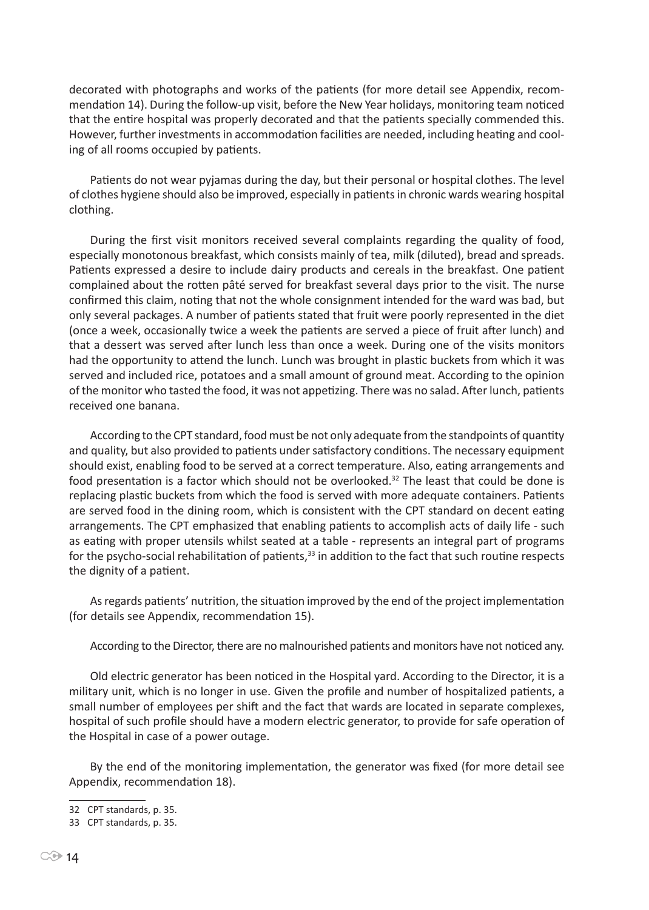decorated with photographs and works of the patients (for more detail see Appendix, recommendation 14). During the follow-up visit, before the New Year holidays, monitoring team noticed that the entire hospital was properly decorated and that the patients specially commended this. However, further investments in accommodation facilities are needed, including heating and cooling of all rooms occupied by patients.

Patients do not wear pyjamas during the day, but their personal or hospital clothes. The level of clothes hygiene should also be improved, especially in patients in chronic wards wearing hospital clothing.

During the first visit monitors received several complaints regarding the quality of food, especially monotonous breakfast, which consists mainly of tea, milk (diluted), bread and spreads. Patients expressed a desire to include dairy products and cereals in the breakfast. One patient complained about the rotten pâté served for breakfast several days prior to the visit. The nurse confirmed this claim, noting that not the whole consignment intended for the ward was bad, but only several packages. A number of patients stated that fruit were poorly represented in the diet (once a week, occasionally twice a week the patients are served a piece of fruit after lunch) and that a dessert was served after lunch less than once a week. During one of the visits monitors had the opportunity to attend the lunch. Lunch was brought in plastic buckets from which it was served and included rice, potatoes and a small amount of ground meat. According to the opinion of the monitor who tasted the food, it was not appetizing. There was no salad. After lunch, patients received one banana.

According to the CPT standard, food must be not only adequate from the standpoints of quantity and quality, but also provided to patients under satisfactory conditions. The necessary equipment should exist, enabling food to be served at a correct temperature. Also, eating arrangements and food presentation is a factor which should not be overlooked.<sup>32</sup> The least that could be done is replacing plastic buckets from which the food is served with more adequate containers. Patients are served food in the dining room, which is consistent with the CPT standard on decent eating arrangements. The CPT emphasized that enabling patients to accomplish acts of daily life - such as eating with proper utensils whilst seated at a table - represents an integral part of programs for the psycho-social rehabilitation of patients, $33$  in addition to the fact that such routine respects the dignity of a patient.

As regards patients' nutrition, the situation improved by the end of the project implementation (for details see Appendix, recommendation 15).

According to the Director, there are no malnourished patients and monitors have not noticed any.

Old electric generator has been noticed in the Hospital yard. According to the Director, it is a military unit, which is no longer in use. Given the profile and number of hospitalized patients, a small number of employees per shift and the fact that wards are located in separate complexes, hospital of such profile should have a modern electric generator, to provide for safe operation of the Hospital in case of a power outage.

By the end of the monitoring implementation, the generator was fixed (for more detail see Appendix, recommendation 18).

<sup>32</sup> CPT standards, p. 35.

<sup>33</sup> CPT standards, p. 35.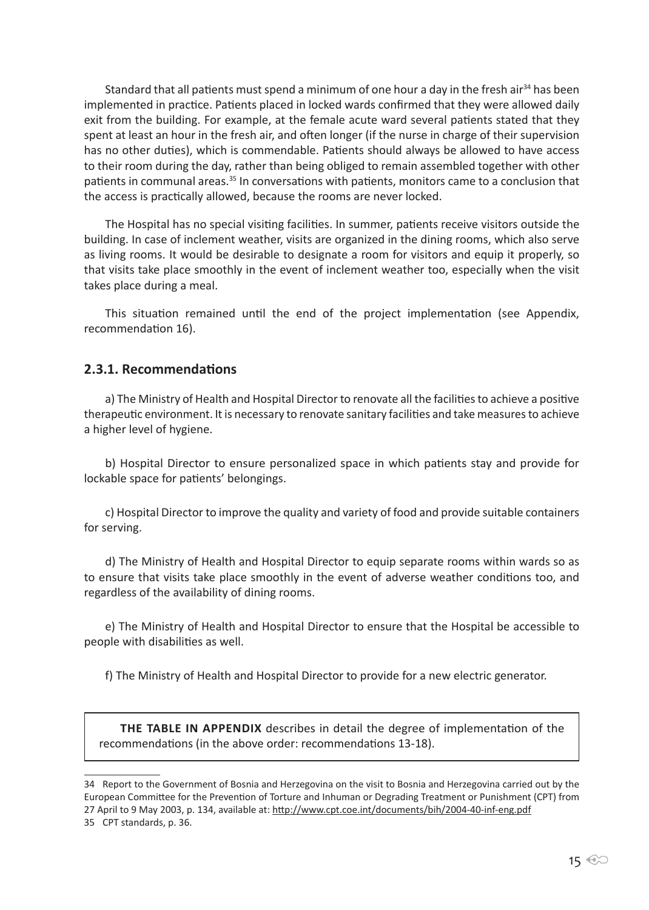Standard that all patients must spend a minimum of one hour a day in the fresh air<sup>34</sup> has been implemented in practice. Patients placed in locked wards confirmed that they were allowed daily exit from the building. For example, at the female acute ward several patients stated that they spent at least an hour in the fresh air, and often longer (if the nurse in charge of their supervision has no other duties), which is commendable. Patients should always be allowed to have access to their room during the day, rather than being obliged to remain assembled together with other patients in communal areas.<sup>35</sup> In conversations with patients, monitors came to a conclusion that the access is practically allowed, because the rooms are never locked.

The Hospital has no special visiting facilities. In summer, patients receive visitors outside the building. In case of inclement weather, visits are organized in the dining rooms, which also serve as living rooms. It would be desirable to designate a room for visitors and equip it properly, so that visits take place smoothly in the event of inclement weather too, especially when the visit takes place during a meal.

This situation remained until the end of the project implementation (see Appendix, recommendation 16).

#### **2.3.1. Recommendations**

a) The Ministry of Health and Hospital Director to renovate all the facilities to achieve a positive therapeutic environment. It is necessary to renovate sanitary facilities and take measures to achieve a higher level of hygiene.

b) Hospital Director to ensure personalized space in which patients stay and provide for lockable space for patients' belongings.

c) Hospital Director to improve the quality and variety of food and provide suitable containers for serving.

d) The Ministry of Health and Hospital Director to equip separate rooms within wards so as to ensure that visits take place smoothly in the event of adverse weather conditions too, and regardless of the availability of dining rooms.

e) The Ministry of Health and Hospital Director to ensure that the Hospital be accessible to people with disabilities as well.

f) The Ministry of Health and Hospital Director to provide for a new electric generator.

**The table in Appendix** describes in detail the degree of implementation of the recommendations (in the above order: recommendations 13-18).

<sup>34</sup> Report to the Government of Bosnia and Herzegovina on the visit to Bosnia and Herzegovina carried out by the European Committee for the Prevention of Torture and Inhuman or Degrading Treatment or Punishment (CPT) from 27 April to 9 May 2003, p. 134, available at: http://www.cpt.coe.int/documents/bih/2004-40-inf-eng.pdf 35 CPT standards, p. 36.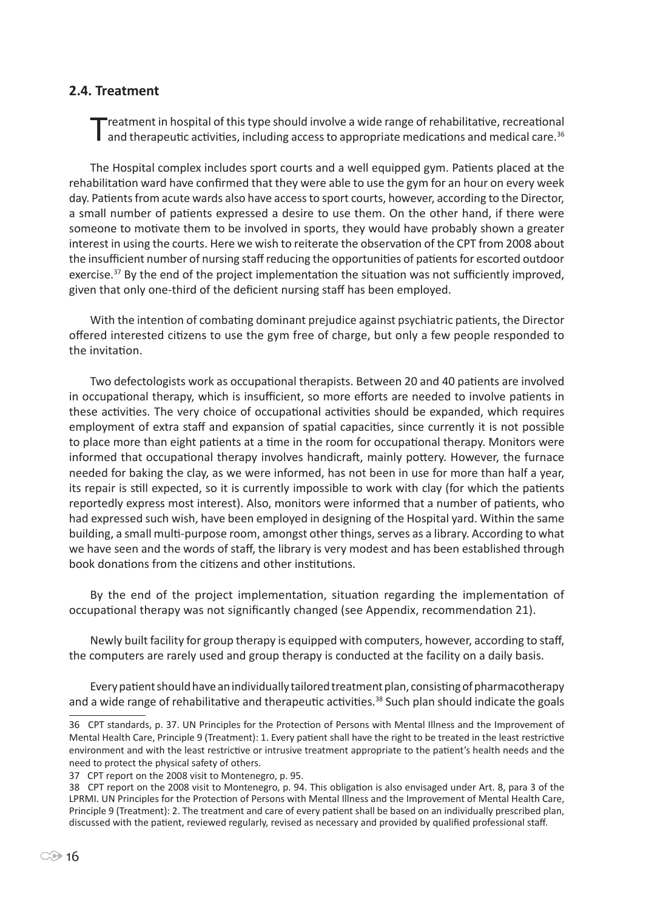#### **2.4. Treatment**

Treatment in hospital of this type should involve a wide range of rehabilitative, recreational<br>and therapeutic activities, including access to appropriate medications and medical care.<sup>36</sup>

The Hospital complex includes sport courts and a well equipped gym. Patients placed at the rehabilitation ward have confirmed that they were able to use the gym for an hour on every week day. Patients from acute wards also have access to sport courts, however, according to the Director, a small number of patients expressed a desire to use them. On the other hand, if there were someone to motivate them to be involved in sports, they would have probably shown a greater interest in using the courts. Here we wish to reiterate the observation of the CPT from 2008 about the insufficient number of nursing staff reducing the opportunities of patients for escorted outdoor exercise.<sup>37</sup> By the end of the project implementation the situation was not sufficiently improved, given that only one-third of the deficient nursing staff has been employed.

With the intention of combating dominant prejudice against psychiatric patients, the Director offered interested citizens to use the gym free of charge, but only a few people responded to the invitation.

Two defectologists work as occupational therapists. Between 20 and 40 patients are involved in occupational therapy, which is insufficient, so more efforts are needed to involve patients in these activities. The very choice of occupational activities should be expanded, which requires employment of extra staff and expansion of spatial capacities, since currently it is not possible to place more than eight patients at a time in the room for occupational therapy. Monitors were informed that occupational therapy involves handicraft, mainly pottery. However, the furnace needed for baking the clay, as we were informed, has not been in use for more than half a year, its repair is still expected, so it is currently impossible to work with clay (for which the patients reportedly express most interest). Also, monitors were informed that a number of patients, who had expressed such wish, have been employed in designing of the Hospital yard. Within the same building, a small multi-purpose room, amongst other things, serves as a library. According to what we have seen and the words of staff, the library is very modest and has been established through book donations from the citizens and other institutions.

By the end of the project implementation, situation regarding the implementation of occupational therapy was not significantly changed (see Appendix, recommendation 21).

Newly built facility for group therapy is equipped with computers, however, according to staff, the computers are rarely used and group therapy is conducted at the facility on a daily basis.

Every patient should have an individually tailored treatment plan, consisting of pharmacotherapy and a wide range of rehabilitative and therapeutic activities.<sup>38</sup> Such plan should indicate the goals

<sup>36</sup> CPT standards, p. 37. UN Principles for the Protection of Persons with Mental Illness and the Improvement of Mental Health Care, Principle 9 (Treatment): 1. Every patient shall have the right to be treated in the least restrictive environment and with the least restrictive or intrusive treatment appropriate to the patient's health needs and the need to protect the physical safety of others.

<sup>37</sup> CPT report on the 2008 visit to Montenegro, p. 95.

<sup>38</sup> CPT report on the 2008 visit to Montenegro, p. 94. This obligation is also envisaged under Art. 8, para 3 of the LPRMI. UN Principles for the Protection of Persons with Mental Illness and the Improvement of Mental Health Care, Principle 9 (Treatment): 2. The treatment and care of every patient shall be based on an individually prescribed plan, discussed with the patient, reviewed regularly, revised as necessary and provided by qualified professional staff.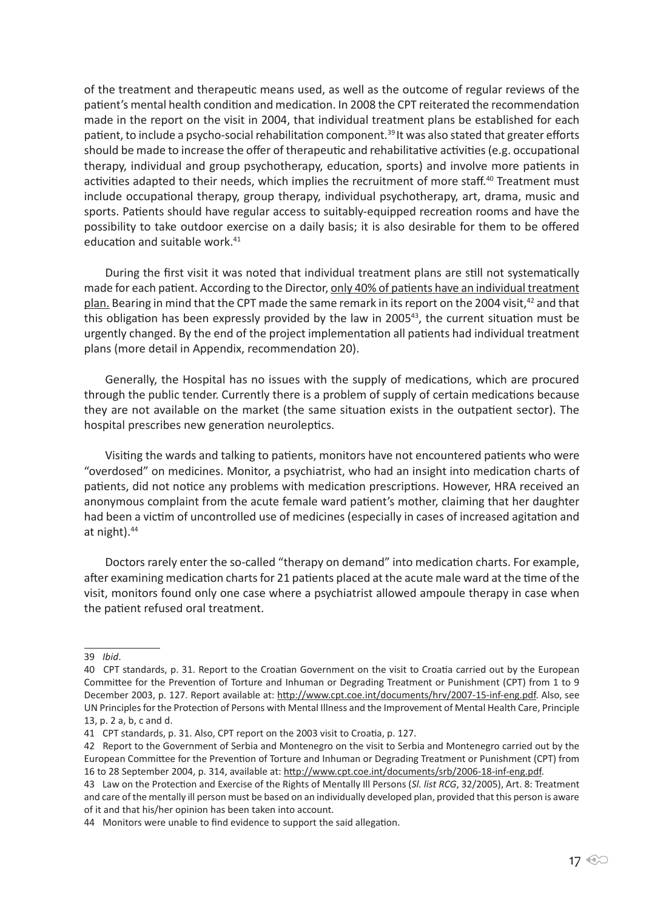of the treatment and therapeutic means used, as well as the outcome of regular reviews of the patient's mental health condition and medication. In 2008 the CPT reiterated the recommendation made in the report on the visit in 2004, that individual treatment plans be established for each patient, to include a psycho-social rehabilitation component.<sup>39</sup> It was also stated that greater efforts should be made to increase the offer of therapeutic and rehabilitative activities (e.g. occupational therapy, individual and group psychotherapy, education, sports) and involve more patients in activities adapted to their needs, which implies the recruitment of more staff.40 Treatment must include occupational therapy, group therapy, individual psychotherapy, art, drama, music and sports. Patients should have regular access to suitably-equipped recreation rooms and have the possibility to take outdoor exercise on a daily basis; it is also desirable for them to be offered education and suitable work. $41$ 

During the first visit it was noted that individual treatment plans are still not systematically made for each patient. According to the Director, only 40% of patients have an individual treatment plan. Bearing in mind that the CPT made the same remark in its report on the 2004 visit,<sup>42</sup> and that this obligation has been expressly provided by the law in  $2005^{43}$ , the current situation must be urgently changed. By the end of the project implementation all patients had individual treatment plans (more detail in Appendix, recommendation 20).

Generally, the Hospital has no issues with the supply of medications, which are procured through the public tender. Currently there is a problem of supply of certain medications because they are not available on the market (the same situation exists in the outpatient sector). The hospital prescribes new generation neuroleptics.

Visiting the wards and talking to patients, monitors have not encountered patients who were "overdosed" on medicines. Monitor, a psychiatrist, who had an insight into medication charts of patients, did not notice any problems with medication prescriptions. However, HRA received an anonymous complaint from the acute female ward patient's mother, claiming that her daughter had been a victim of uncontrolled use of medicines (especially in cases of increased agitation and at night).<sup>44</sup>

Doctors rarely enter the so-called "therapy on demand" into medication charts. For example, after examining medication charts for 21 patients placed at the acute male ward at the time of the visit, monitors found only one case where a psychiatrist allowed ampoule therapy in case when the patient refused oral treatment.

43 Law on the Protection and Exercise of the Rights of Mentally Ill Persons (*Sl. list RCG*, 32/2005), Art. 8: Treatment and care of the mentally ill person must be based on an individually developed plan, provided that this person is aware of it and that his/her opinion has been taken into account.

<sup>39</sup> *Ibid*.

<sup>40</sup> CPT standards, p. 31. Report to the Croatian Government on the visit to Croatia carried out by the European Committee for the Prevention of Torture and Inhuman or Degrading Treatment or Punishment (CPT) from 1 to 9 December 2003, p. 127. Report available at: http://www.cpt.coe.int/documents/hrv/2007-15-inf-eng.pdf. Also, see UN Principles for the Protection of Persons with Mental Illness and the Improvement of Mental Health Care, Principle 13, p. 2 a, b, c and d.

<sup>41</sup> CPT standards, p. 31. Also, CPT report on the 2003 visit to Croatia, p. 127.

<sup>42</sup> Report to the Government of Serbia and Montenegro on the visit to Serbia and Montenegro carried out by the European Committee for the Prevention of Torture and Inhuman or Degrading Treatment or Punishment (CPT) from 16 to 28 September 2004, p. 314, available at: http://www.cpt.coe.int/documents/srb/2006-18-inf-eng.pdf.

<sup>44</sup> Monitors were unable to find evidence to support the said allegation.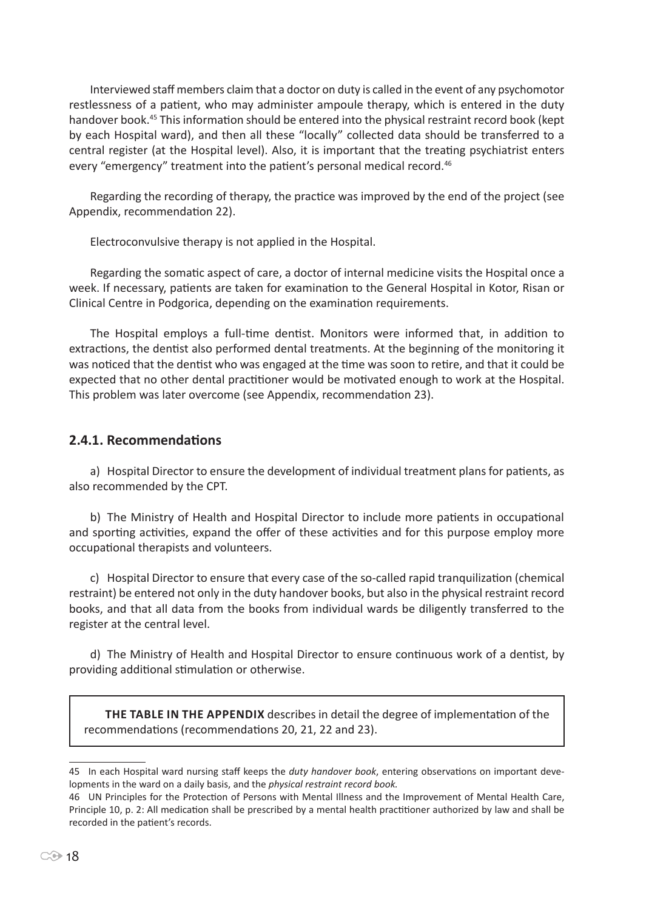Interviewed staff members claim that a doctor on duty is called in the event of any psychomotor restlessness of a patient, who may administer ampoule therapy, which is entered in the duty handover book.45 This information should be entered into the physical restraint record book (kept by each Hospital ward), and then all these "locally" collected data should be transferred to a central register (at the Hospital level). Also, it is important that the treating psychiatrist enters every "emergency" treatment into the patient's personal medical record.<sup>46</sup>

Regarding the recording of therapy, the practice was improved by the end of the project (see Appendix, recommendation 22).

Electroconvulsive therapy is not applied in the Hospital.

Regarding the somatic aspect of care, a doctor of internal medicine visits the Hospital once a week. If necessary, patients are taken for examination to the General Hospital in Kotor, Risan or Clinical Centre in Podgorica, depending on the examination requirements.

The Hospital employs a full-time dentist. Monitors were informed that, in addition to extractions, the dentist also performed dental treatments. At the beginning of the monitoring it was noticed that the dentist who was engaged at the time was soon to retire, and that it could be expected that no other dental practitioner would be motivated enough to work at the Hospital. This problem was later overcome (see Appendix, recommendation 23).

## **2.4.1. Recommendations**

a) Hospital Director to ensure the development of individual treatment plans for patients, as also recommended by the CPT.

b) The Ministry of Health and Hospital Director to include more patients in occupational and sporting activities, expand the offer of these activities and for this purpose employ more occupational therapists and volunteers.

c) Hospital Director to ensure that every case of the so-called rapid tranquilization (chemical restraint) be entered not only in the duty handover books, but also in the physical restraint record books, and that all data from the books from individual wards be diligently transferred to the register at the central level.

d) The Ministry of Health and Hospital Director to ensure continuous work of a dentist, by providing additional stimulation or otherwise.

**The table in the Appendix** describes in detail the degree of implementation of the recommendations (recommendations 20, 21, 22 and 23).

<sup>45</sup> In each Hospital ward nursing staff keeps the *duty handover book*, entering observations on important developments in the ward on a daily basis, and the *physical restraint record book.*

<sup>46</sup> UN Principles for the Protection of Persons with Mental Illness and the Improvement of Mental Health Care, Principle 10, p. 2: All medication shall be prescribed by a mental health practitioner authorized by law and shall be recorded in the patient's records.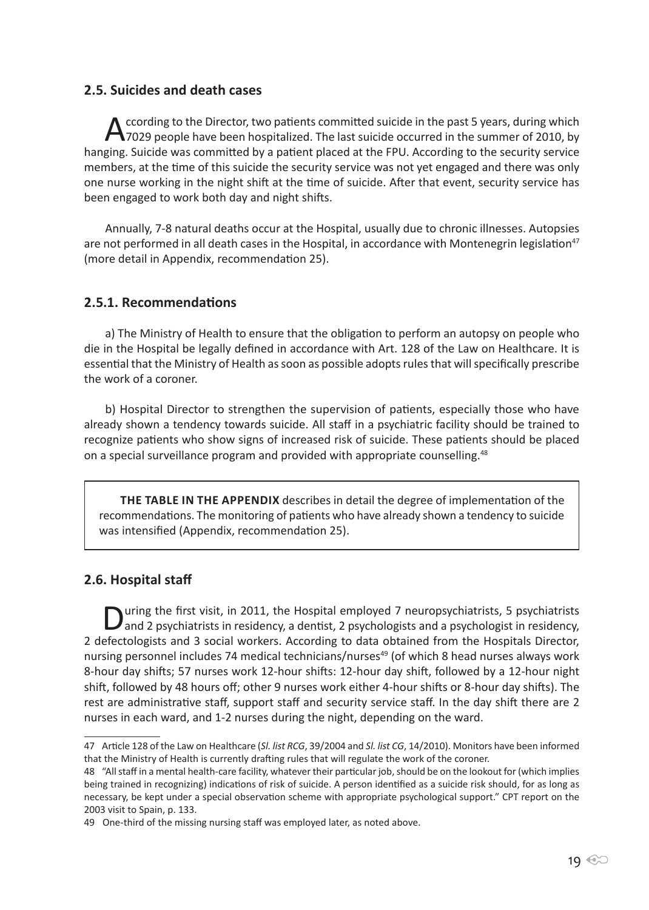#### **2.5. Suicides and death cases**

According to the Director, two patients committed suicide in the past 5 years, during which<br>
7029 people have been hospitalized. The last suicide occurred in the summer of 2010, by hanging. Suicide was committed by a patient placed at the FPU. According to the security service members, at the time of this suicide the security service was not yet engaged and there was only one nurse working in the night shift at the time of suicide. After that event, security service has been engaged to work both day and night shifts.

Annually, 7-8 natural deaths occur at the Hospital, usually due to chronic illnesses. Autopsies are not performed in all death cases in the Hospital, in accordance with Montenegrin legislation<sup>47</sup> (more detail in Appendix, recommendation 25).

## **2.5.1. Recommendations**

a) The Ministry of Health to ensure that the obligation to perform an autopsy on people who die in the Hospital be legally defined in accordance with Art. 128 of the Law on Healthcare. It is essential that the Ministry of Health as soon as possible adopts rules that will specifically prescribe the work of a coroner.

b) Hospital Director to strengthen the supervision of patients, especially those who have already shown a tendency towards suicide. All staff in a psychiatric facility should be trained to recognize patients who show signs of increased risk of suicide. These patients should be placed on a special surveillance program and provided with appropriate counselling.48

**The table in the Appendix** describes in detail the degree of implementation of the recommendations. The monitoring of patients who have already shown a tendency to suicide was intensified (Appendix, recommendation 25).

## **2.6. Hospital staff**

During the first visit, in 2011, the Hospital employed 7 neuropsychiatrists, 5 psychiatrists and 2 psychiatrists in residency, a dentist, 2 psychologists and a psychologist in residency, 2 defectologists and 3 social workers. According to data obtained from the Hospitals Director, nursing personnel includes 74 medical technicians/nurses<sup>49</sup> (of which 8 head nurses always work 8-hour day shifts; 57 nurses work 12-hour shifts: 12-hour day shift, followed by a 12-hour night shift, followed by 48 hours off; other 9 nurses work either 4-hour shifts or 8-hour day shifts). The rest are administrative staff, support staff and security service staff. In the day shift there are 2 nurses in each ward, and 1-2 nurses during the night, depending on the ward.

<sup>47</sup> Article 128 of the Law on Healthcare (*Sl. list RCG*, 39/2004 and *Sl. list CG*, 14/2010). Monitors have been informed that the Ministry of Health is currently drafting rules that will regulate the work of the coroner.

<sup>48 &</sup>quot;All staff in a mental health-care facility, whatever their particular job, should be on the lookout for (which implies being trained in recognizing) indications of risk of suicide. A person identified as a suicide risk should, for as long as necessary, be kept under a special observation scheme with appropriate psychological support." CPT report on the 2003 visit to Spain, p. 133.

<sup>49</sup> One-third of the missing nursing staff was employed later, as noted above.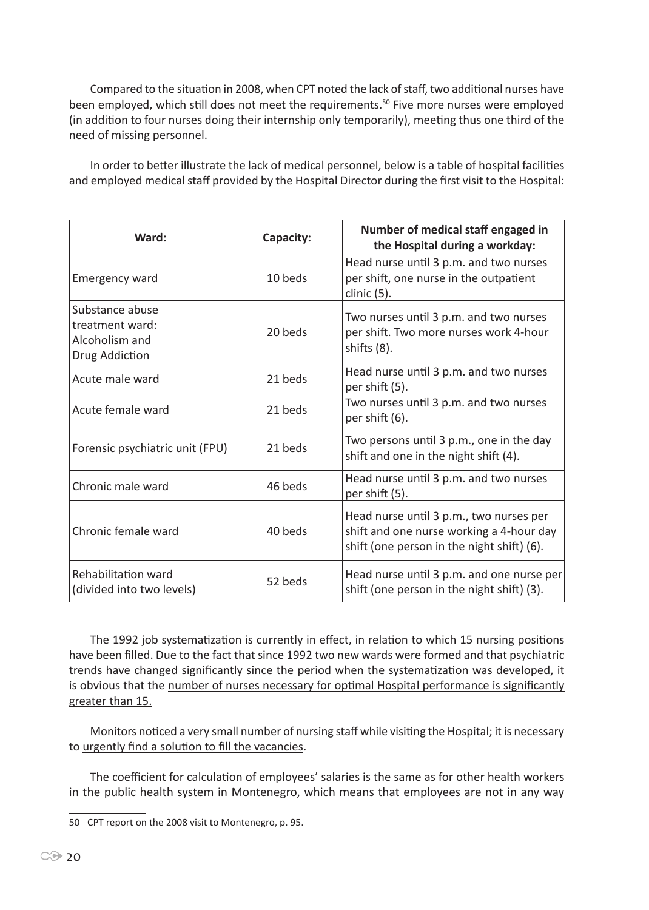Compared to the situation in 2008, when CPT noted the lack of staff, two additional nurses have been employed, which still does not meet the requirements.<sup>50</sup> Five more nurses were employed (in addition to four nurses doing their internship only temporarily), meeting thus one third of the need of missing personnel.

In order to better illustrate the lack of medical personnel, below is a table of hospital facilities and employed medical staff provided by the Hospital Director during the first visit to the Hospital:

| Ward:                                                                  | Capacity: | Number of medical staff engaged in<br>the Hospital during a workday:                                                              |
|------------------------------------------------------------------------|-----------|-----------------------------------------------------------------------------------------------------------------------------------|
| <b>Emergency ward</b>                                                  | 10 beds   | Head nurse until 3 p.m. and two nurses<br>per shift, one nurse in the outpatient<br>clinic (5).                                   |
| Substance abuse<br>treatment ward:<br>Alcoholism and<br>Drug Addiction | 20 beds   | Two nurses until 3 p.m. and two nurses<br>per shift. Two more nurses work 4-hour<br>shifts (8).                                   |
| Acute male ward                                                        | 21 beds   | Head nurse until 3 p.m. and two nurses<br>per shift (5).                                                                          |
| Acute female ward                                                      | 21 beds   | Two nurses until 3 p.m. and two nurses<br>per shift (6).                                                                          |
| Forensic psychiatric unit (FPU)                                        | 21 beds   | Two persons until 3 p.m., one in the day<br>shift and one in the night shift (4).                                                 |
| Chronic male ward                                                      | 46 beds   | Head nurse until 3 p.m. and two nurses<br>per shift (5).                                                                          |
| Chronic female ward                                                    | 40 beds   | Head nurse until 3 p.m., two nurses per<br>shift and one nurse working a 4-hour day<br>shift (one person in the night shift) (6). |
| Rehabilitation ward<br>(divided into two levels)                       | 52 beds   | Head nurse until 3 p.m. and one nurse per<br>shift (one person in the night shift) (3).                                           |

The 1992 job systematization is currently in effect, in relation to which 15 nursing positions have been filled. Due to the fact that since 1992 two new wards were formed and that psychiatric trends have changed significantly since the period when the systematization was developed, it is obvious that the number of nurses necessary for optimal Hospital performance is significantly greater than 15.

Monitors noticed a very small number of nursing staff while visiting the Hospital; it is necessary to urgently find a solution to fill the vacancies.

The coefficient for calculation of employees' salaries is the same as for other health workers in the public health system in Montenegro, which means that employees are not in any way

<sup>50</sup> CPT report on the 2008 visit to Montenegro, p. 95.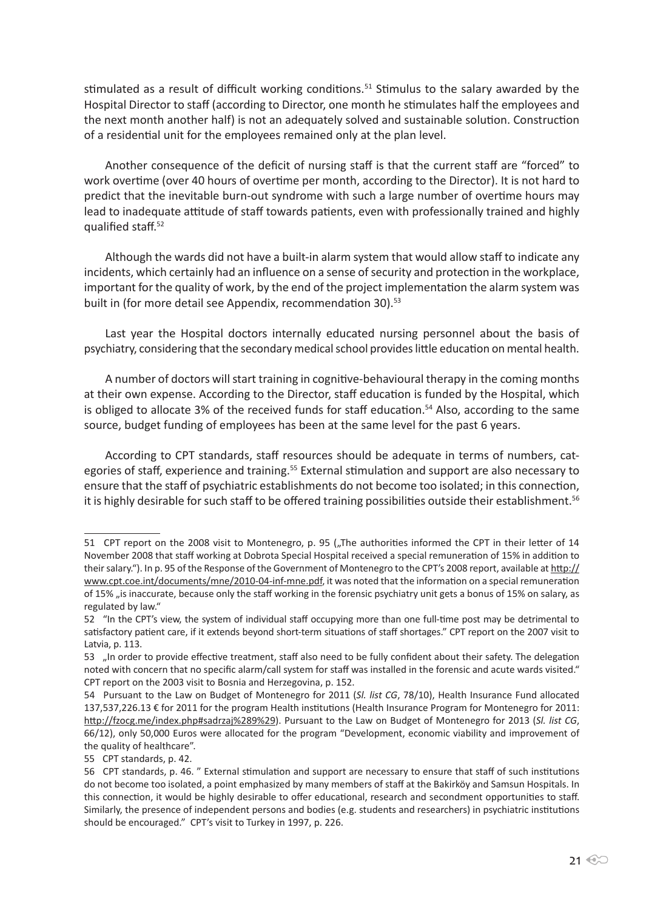stimulated as a result of difficult working conditions.<sup>51</sup> Stimulus to the salary awarded by the Hospital Director to staff (according to Director, one month he stimulates half the employees and the next month another half) is not an adequately solved and sustainable solution. Construction of a residential unit for the employees remained only at the plan level.

Another consequence of the deficit of nursing staff is that the current staff are "forced" to work overtime (over 40 hours of overtime per month, according to the Director). It is not hard to predict that the inevitable burn-out syndrome with such a large number of overtime hours may lead to inadequate attitude of staff towards patients, even with professionally trained and highly qualified staff.<sup>52</sup>

Although the wards did not have a built-in alarm system that would allow staff to indicate any incidents, which certainly had an influence on a sense of security and protection in the workplace, important for the quality of work, by the end of the project implementation the alarm system was built in (for more detail see Appendix, recommendation 30).<sup>53</sup>

Last year the Hospital doctors internally educated nursing personnel about the basis of psychiatry, considering that the secondary medical school provides little education on mental health.

A number of doctors will start training in cognitive-behavioural therapy in the coming months at their own expense. According to the Director, staff education is funded by the Hospital, which is obliged to allocate 3% of the received funds for staff education.<sup>54</sup> Also, according to the same source, budget funding of employees has been at the same level for the past 6 years.

According to CPT standards, staff resources should be adequate in terms of numbers, categories of staff, experience and training.<sup>55</sup> External stimulation and support are also necessary to ensure that the staff of psychiatric establishments do not become too isolated; in this connection, it is highly desirable for such staff to be offered training possibilities outside their establishment.<sup>56</sup>

<sup>51</sup> CPT report on the 2008 visit to Montenegro, p. 95 ("The authorities informed the CPT in their letter of 14 November 2008 that staff working at Dobrota Special Hospital received a special remuneration of 15% in addition to their salary."). In p. 95 of the Response of the Government of Montenegro to the CPT's 2008 report, available at http:// www.cpt.coe.int/documents/mne/2010-04-inf-mne.pdf, it was noted that the information on a special remuneration of 15% "is inaccurate, because only the staff working in the forensic psychiatry unit gets a bonus of 15% on salary, as regulated by law."

<sup>52 &</sup>quot;In the CPT's view, the system of individual staff occupying more than one full-time post may be detrimental to satisfactory patient care, if it extends beyond short-term situations of staff shortages." CPT report on the 2007 visit to Latvia, p. 113.

<sup>53 &</sup>quot;In order to provide effective treatment, staff also need to be fully confident about their safety. The delegation noted with concern that no specific alarm/call system for staff was installed in the forensic and acute wards visited." CPT report on the 2003 visit to Bosnia and Herzegovina, p. 152.

<sup>54</sup> Pursuant to the Law on Budget of Montenegro for 2011 (*Sl. list CG*, 78/10), Health Insurance Fund allocated 137,537,226.13 € for 2011 for the program Health institutions (Health Insurance Program for Montenegro for 2011: http://fzocg.me/index.php#sadrzaj%289%29). Pursuant to the Law on Budget of Montenegro for 2013 (*Sl. list CG*, 66/12), only 50,000 Euros were allocated for the program "Development, economic viability and improvement of the quality of healthcare".

<sup>55</sup> CPT standards, p. 42.

<sup>56</sup> CPT standards, p. 46. " External stimulation and support are necessary to ensure that staff of such institutions do not become too isolated, a point emphasized by many members of staff at the Bakirköy and Samsun Hospitals. In this connection, it would be highly desirable to offer educational, research and secondment opportunities to staff. Similarly, the presence of independent persons and bodies (e.g. students and researchers) in psychiatric institutions should be encouraged." CPT's visit to Turkey in 1997, p. 226.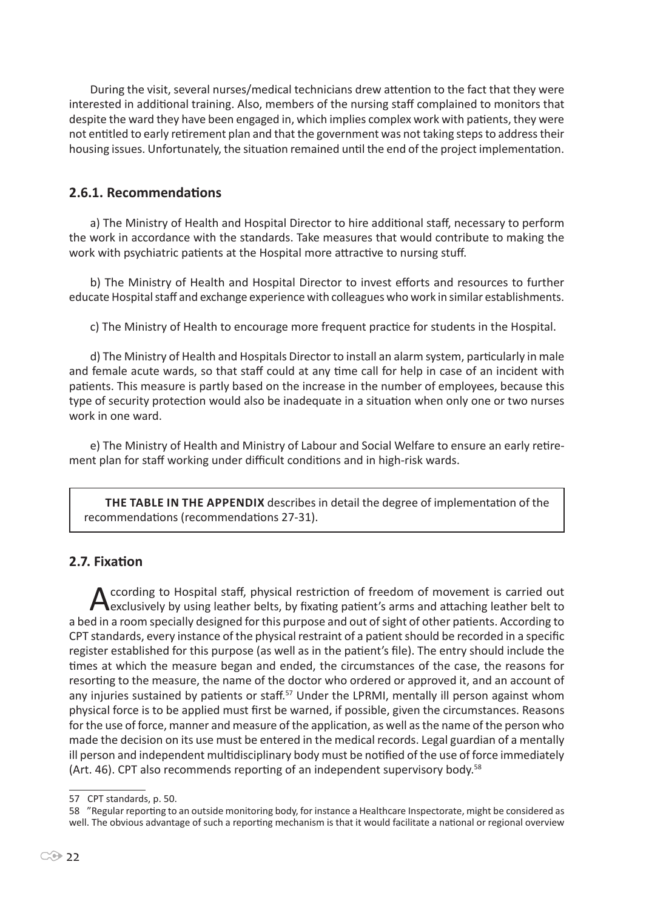During the visit, several nurses/medical technicians drew attention to the fact that they were interested in additional training. Also, members of the nursing staff complained to monitors that despite the ward they have been engaged in, which implies complex work with patients, they were not entitled to early retirement plan and that the government was not taking steps to address their housing issues. Unfortunately, the situation remained until the end of the project implementation.

## **2.6.1. Recommendations**

a) The Ministry of Health and Hospital Director to hire additional staff, necessary to perform the work in accordance with the standards. Take measures that would contribute to making the work with psychiatric patients at the Hospital more attractive to nursing stuff.

b) The Ministry of Health and Hospital Director to invest efforts and resources to further educate Hospital staff and exchange experience with colleagues who work in similar establishments.

c) The Ministry of Health to encourage more frequent practice for students in the Hospital.

d) The Ministry of Health and Hospitals Director to install an alarm system, particularly in male and female acute wards, so that staff could at any time call for help in case of an incident with patients. This measure is partly based on the increase in the number of employees, because this type of security protection would also be inadequate in a situation when only one or two nurses work in one ward.

e) The Ministry of Health and Ministry of Labour and Social Welfare to ensure an early retirement plan for staff working under difficult conditions and in high-risk wards.

**The table in the Appendix** describes in detail the degree of implementation of the recommendations (recommendations 27-31).

# **2.7. Fixation**

According to Hospital staff, physical restriction of freedom of movement is carried out exclusively by using leather belts, by fixating patient's arms and attaching leather belt to a bed in a room specially designed for this purpose and out of sight of other patients. According to CPT standards, every instance of the physical restraint of a patient should be recorded in a specific register established for this purpose (as well as in the patient's file). The entry should include the times at which the measure began and ended, the circumstances of the case, the reasons for resorting to the measure, the name of the doctor who ordered or approved it, and an account of any injuries sustained by patients or staff.<sup>57</sup> Under the LPRMI, mentally ill person against whom physical force is to be applied must first be warned, if possible, given the circumstances. Reasons for the use of force, manner and measure of the application, as well as the name of the person who made the decision on its use must be entered in the medical records. Legal guardian of a mentally ill person and independent multidisciplinary body must be notified of the use of force immediately (Art. 46). CPT also recommends reporting of an independent supervisory body.<sup>58</sup>

<sup>57</sup> CPT standards, p. 50.

<sup>58 &</sup>quot;Regular reporting to an outside monitoring body, for instance a Healthcare Inspectorate, might be considered as well. The obvious advantage of such a reporting mechanism is that it would facilitate a national or regional overview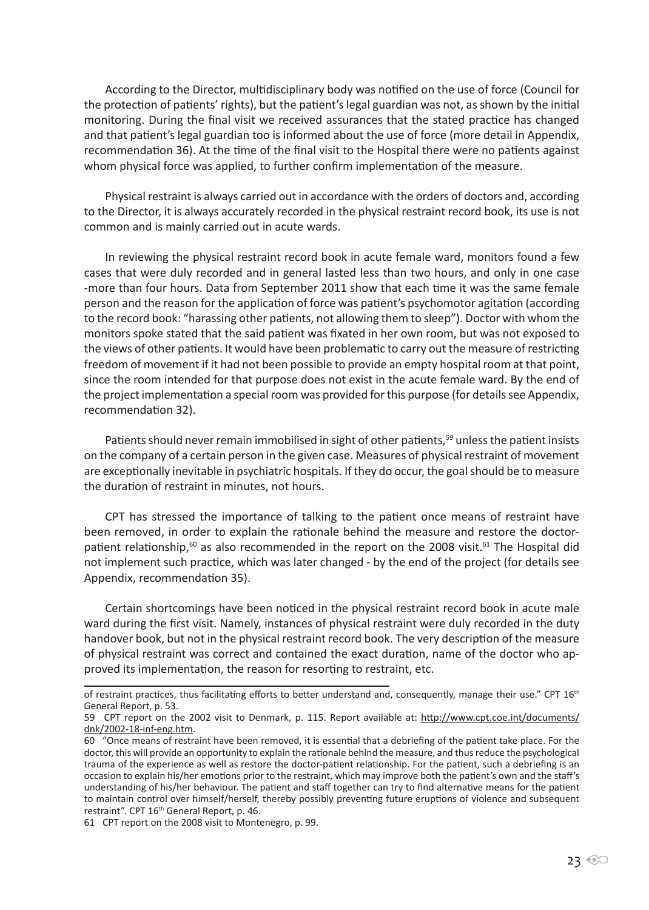According to the Director, multidisciplinary body was notified on the use of force (Council for the protection of patients' rights), but the patient's legal guardian was not, as shown by the initial monitoring. During the final visit we received assurances that the stated practice has changed and that patient's legal guardian too is informed about the use of force (more detail in Appendix, recommendation 36). At the time of the final visit to the Hospital there were no patients against whom physical force was applied, to further confirm implementation of the measure.

Physical restraint is always carried out in accordance with the orders of doctors and, according to the Director, it is always accurately recorded in the physical restraint record book, its use is not common and is mainly carried out in acute wards.

In reviewing the physical restraint record book in acute female ward, monitors found a few cases that were duly recorded and in general lasted less than two hours, and only in one case -more than four hours. Data from September 2011 show that each time it was the same female person and the reason for the application of force was patient's psychomotor agitation (according to the record book: "harassing other patients, not allowing them to sleep"). Doctor with whom the monitors spoke stated that the said patient was fixated in her own room, but was not exposed to the views of other patients. It would have been problematic to carry out the measure of restricting freedom of movement if it had not been possible to provide an empty hospital room at that point, since the room intended for that purpose does not exist in the acute female ward. By the end of the project implementation a special room was provided for this purpose (for details see Appendix, recommendation 32).

Patients should never remain immobilised in sight of other patients,<sup>59</sup> unless the patient insists on the company of a certain person in the given case. Measures of physical restraint of movement are exceptionally inevitable in psychiatric hospitals. If they do occur, the goal should be to measure the duration of restraint in minutes, not hours.

CPT has stressed the importance of talking to the patient once means of restraint have been removed, in order to explain the rationale behind the measure and restore the doctorpatient relationship, $60$  as also recommended in the report on the 2008 visit. $61$  The Hospital did not implement such practice, which was later changed - by the end of the project (for details see Appendix, recommendation 35).

Certain shortcomings have been noticed in the physical restraint record book in acute male ward during the first visit. Namely, instances of physical restraint were duly recorded in the duty handover book, but not in the physical restraint record book. The very description of the measure of physical restraint was correct and contained the exact duration, name of the doctor who approved its implementation, the reason for resorting to restraint, etc.

of restraint practices, thus facilitating efforts to better understand and, consequently, manage their use." CPT 16<sup>th</sup> General Report, p. 53.

<sup>59</sup> CPT report on the 2002 visit to Denmark, p. 115. Report available at: http://www.cpt.coe.int/documents/ dnk/2002-18-inf-eng.htm.

<sup>60 &</sup>quot;Once means of restraint have been removed, it is essential that a debriefing of the patient take place. For the doctor, this will provide an opportunity to explain the rationale behind the measure, and thus reduce the psychological trauma of the experience as well as restore the doctor-patient relationship. For the patient, such a debriefing is an occasion to explain his/her emotions prior to the restraint, which may improve both the patient's own and the staff's understanding of his/her behaviour. The patient and staff together can try to find alternative means for the patient to maintain control over himself/herself, thereby possibly preventing future eruptions of violence and subsequent restraint". CPT 16<sup>th</sup> General Report, p. 46.

<sup>61</sup> CPT report on the 2008 visit to Montenegro, p. 99.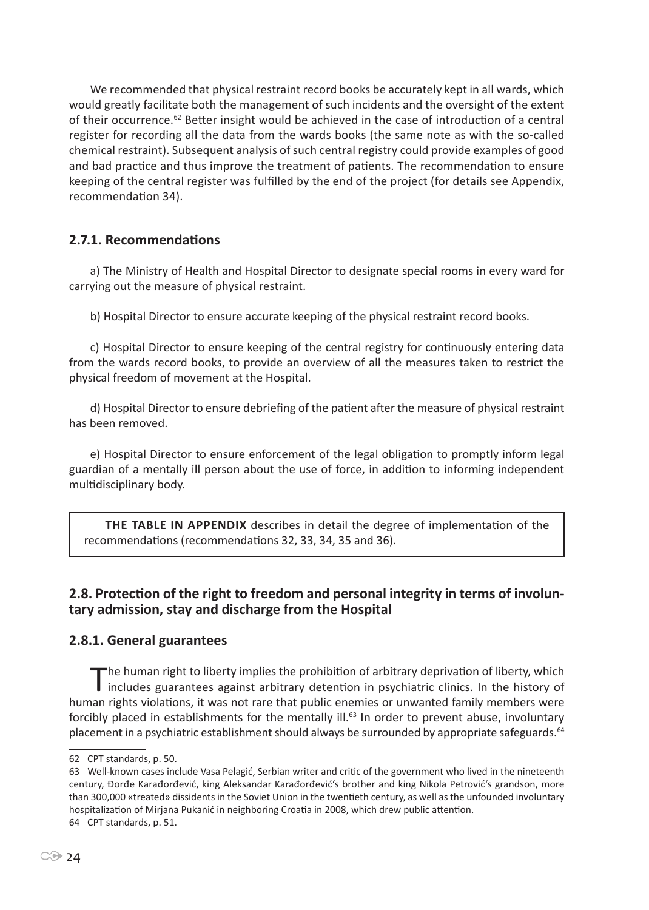We recommended that physical restraint record books be accurately kept in all wards, which would greatly facilitate both the management of such incidents and the oversight of the extent of their occurrence.<sup>62</sup> Better insight would be achieved in the case of introduction of a central register for recording all the data from the wards books (the same note as with the so-called chemical restraint). Subsequent analysis of such central registry could provide examples of good and bad practice and thus improve the treatment of patients. The recommendation to ensure keeping of the central register was fulfilled by the end of the project (for details see Appendix, recommendation 34).

# **2.7.1. Recommendations**

a) The Ministry of Health and Hospital Director to designate special rooms in every ward for carrying out the measure of physical restraint.

b) Hospital Director to ensure accurate keeping of the physical restraint record books.

c) Hospital Director to ensure keeping of the central registry for continuously entering data from the wards record books, to provide an overview of all the measures taken to restrict the physical freedom of movement at the Hospital.

d) Hospital Director to ensure debriefing of the patient after the measure of physical restraint has been removed.

e) Hospital Director to ensure enforcement of the legal obligation to promptly inform legal guardian of a mentally ill person about the use of force, in addition to informing independent multidisciplinary body.

**The table in Appendix** describes in detail the degree of implementation of the recommendations (recommendations 32, 33, 34, 35 and 36).

## **2.8. Protection of the right to freedom and personal integrity in terms of involuntary admission, stay and discharge from the Hospital**

#### **2.8.1. General guarantees**

The human right to liberty implies the prohibition of arbitrary deprivation of liberty, which includes guarantees against arbitrary detention in psychiatric clinics. In the history of human rights violations, it was not rare that public enemies or unwanted family members were forcibly placed in establishments for the mentally ill.<sup>63</sup> In order to prevent abuse, involuntary placement in a psychiatric establishment should always be surrounded by appropriate safeguards.<sup>64</sup>

<sup>62</sup> CPT standards, p. 50.

<sup>63</sup> Well-known cases include Vasa Pelagić, Serbian writer and critic of the government who lived in the nineteenth century, Đorđe Karađorđević, king Aleksandar Karađorđević's brother and king Nikola Petrović's grandson, more than 300,000 «treated» dissidents in the Soviet Union in the twentieth century, as well as the unfounded involuntary hospitalization of Mirjana Pukanić in neighboring Croatia in 2008, which drew public attention. 64 CPT standards, p. 51.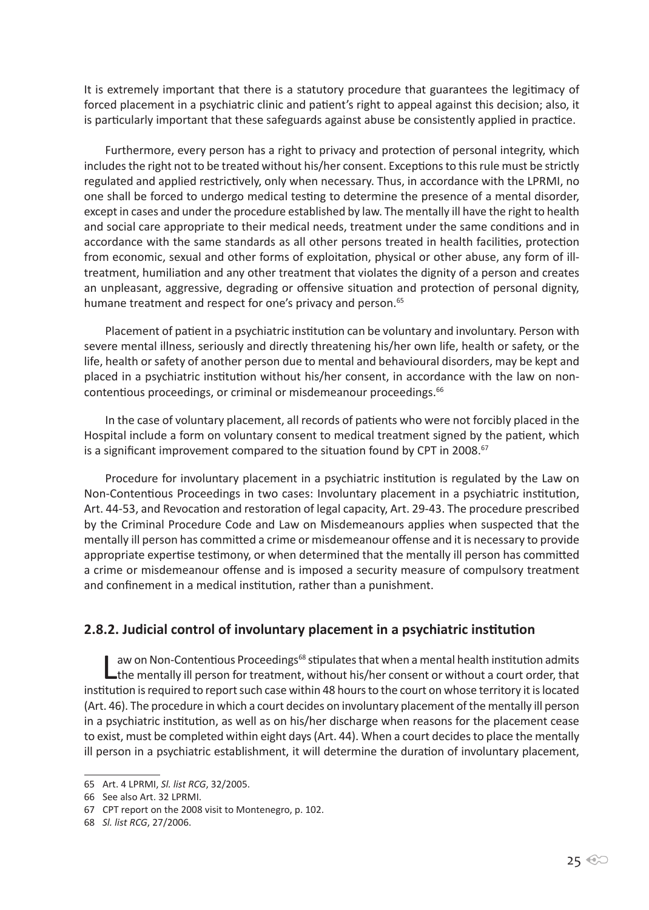It is extremely important that there is a statutory procedure that guarantees the legitimacy of forced placement in a psychiatric clinic and patient's right to appeal against this decision; also, it is particularly important that these safeguards against abuse be consistently applied in practice.

Furthermore, every person has a right to privacy and protection of personal integrity, which includes the right not to be treated without his/her consent. Exceptions to this rule must be strictly regulated and applied restrictively, only when necessary. Thus, in accordance with the LPRMI, no one shall be forced to undergo medical testing to determine the presence of a mental disorder, except in cases and under the procedure established by law. The mentally ill have the right to health and social care appropriate to their medical needs, treatment under the same conditions and in accordance with the same standards as all other persons treated in health facilities, protection from economic, sexual and other forms of exploitation, physical or other abuse, any form of illtreatment, humiliation and any other treatment that violates the dignity of a person and creates an unpleasant, aggressive, degrading or offensive situation and protection of personal dignity, humane treatment and respect for one's privacy and person.<sup>65</sup>

Placement of patient in a psychiatric institution can be voluntary and involuntary. Person with severe mental illness, seriously and directly threatening his/her own life, health or safety, or the life, health or safety of another person due to mental and behavioural disorders, may be kept and placed in a psychiatric institution without his/her consent, in accordance with the law on noncontentious proceedings, or criminal or misdemeanour proceedings.<sup>66</sup>

In the case of voluntary placement, all records of patients who were not forcibly placed in the Hospital include a form on voluntary consent to medical treatment signed by the patient, which is a significant improvement compared to the situation found by CPT in 2008.<sup>67</sup>

Procedure for involuntary placement in a psychiatric institution is regulated by the Law on Non-Contentious Proceedings in two cases: Involuntary placement in a psychiatric institution, Art. 44-53, and Revocation and restoration of legal capacity, Art. 29-43. The procedure prescribed by the Criminal Procedure Code and Law on Misdemeanours applies when suspected that the mentally ill person has committed a crime or misdemeanour offense and it is necessary to provide appropriate expertise testimony, or when determined that the mentally ill person has committed a crime or misdemeanour offense and is imposed a security measure of compulsory treatment and confinement in a medical institution, rather than a punishment.

#### **2.8.2. Judicial control of involuntary placement in a psychiatric institution**

Law on Non-Contentious Proceedings<sup>68</sup> stipulates that when a mental health institution admits<br>the mentally ill person for treatment, without his/her consent or without a court order, that institution is required to report such case within 48 hours to the court on whose territory it is located (Art. 46). The procedure in which a court decides on involuntary placement of the mentally ill person in a psychiatric institution, as well as on his/her discharge when reasons for the placement cease to exist, must be completed within eight days (Art. 44). When a court decides to place the mentally ill person in a psychiatric establishment, it will determine the duration of involuntary placement,

<sup>65</sup> Art. 4 LPRMI, *Sl. list RCG*, 32/2005.

<sup>66</sup> See also Art. 32 LPRMI.

<sup>67</sup> CPT report on the 2008 visit to Montenegro, p. 102.

<sup>68</sup> *Sl. list RCG*, 27/2006.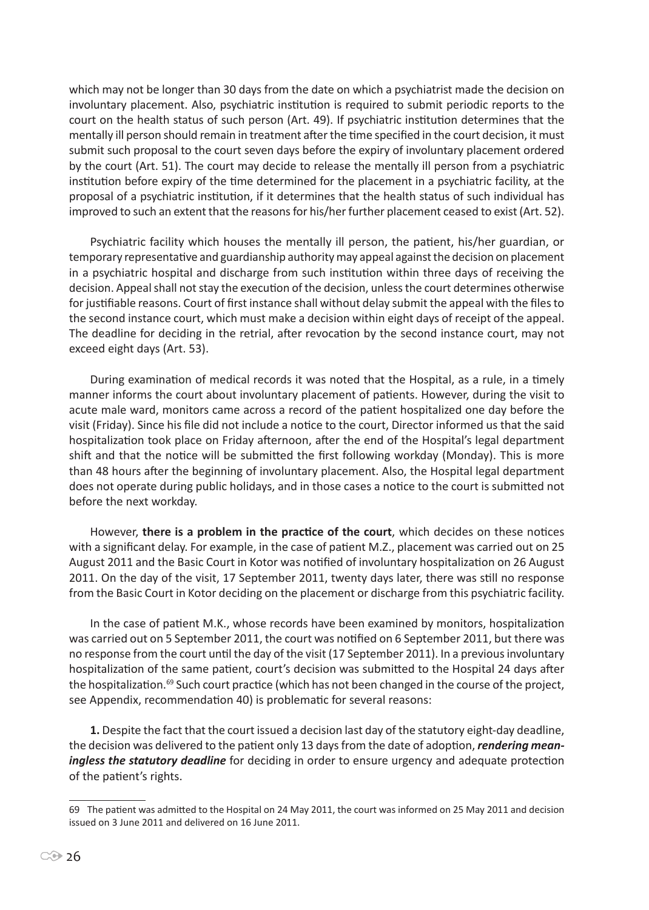which may not be longer than 30 days from the date on which a psychiatrist made the decision on involuntary placement. Also, psychiatric institution is required to submit periodic reports to the court on the health status of such person (Art. 49). If psychiatric institution determines that the mentally ill person should remain in treatment after the time specified in the court decision, it must submit such proposal to the court seven days before the expiry of involuntary placement ordered by the court (Art. 51). The court may decide to release the mentally ill person from a psychiatric institution before expiry of the time determined for the placement in a psychiatric facility, at the proposal of a psychiatric institution, if it determines that the health status of such individual has improved to such an extent that the reasons for his/her further placement ceased to exist (Art. 52).

Psychiatric facility which houses the mentally ill person, the patient, his/her guardian, or temporary representative and guardianship authority may appeal against the decision on placement in a psychiatric hospital and discharge from such institution within three days of receiving the decision. Appeal shall not stay the execution of the decision, unless the court determines otherwise for justifiable reasons. Court of first instance shall without delay submit the appeal with the files to the second instance court, which must make a decision within eight days of receipt of the appeal. The deadline for deciding in the retrial, after revocation by the second instance court, may not exceed eight days (Art. 53).

During examination of medical records it was noted that the Hospital, as a rule, in a timely manner informs the court about involuntary placement of patients. However, during the visit to acute male ward, monitors came across a record of the patient hospitalized one day before the visit (Friday). Since his file did not include a notice to the court, Director informed us that the said hospitalization took place on Friday afternoon, after the end of the Hospital's legal department shift and that the notice will be submitted the first following workday (Monday). This is more than 48 hours after the beginning of involuntary placement. Also, the Hospital legal department does not operate during public holidays, and in those cases a notice to the court is submitted not before the next workday.

However, **there is a problem in the practice of the court**, which decides on these notices with a significant delay. For example, in the case of patient M.Z., placement was carried out on 25 August 2011 and the Basic Court in Kotor was notified of involuntary hospitalization on 26 August 2011. On the day of the visit, 17 September 2011, twenty days later, there was still no response from the Basic Court in Kotor deciding on the placement or discharge from this psychiatric facility.

In the case of patient M.K., whose records have been examined by monitors, hospitalization was carried out on 5 September 2011, the court was notified on 6 September 2011, but there was no response from the court until the day of the visit (17 September 2011). In a previous involuntary hospitalization of the same patient, court's decision was submitted to the Hospital 24 days after the hospitalization.<sup>69</sup> Such court practice (which has not been changed in the course of the project, see Appendix, recommendation 40) is problematic for several reasons:

**1.** Despite the fact that the court issued a decision last day of the statutory eight-day deadline, the decision was delivered to the patient only 13 days from the date of adoption, *rendering meaningless the statutory deadline* for deciding in order to ensure urgency and adequate protection of the patient's rights.

<sup>69</sup> The patient was admitted to the Hospital on 24 May 2011, the court was informed on 25 May 2011 and decision issued on 3 June 2011 and delivered on 16 June 2011.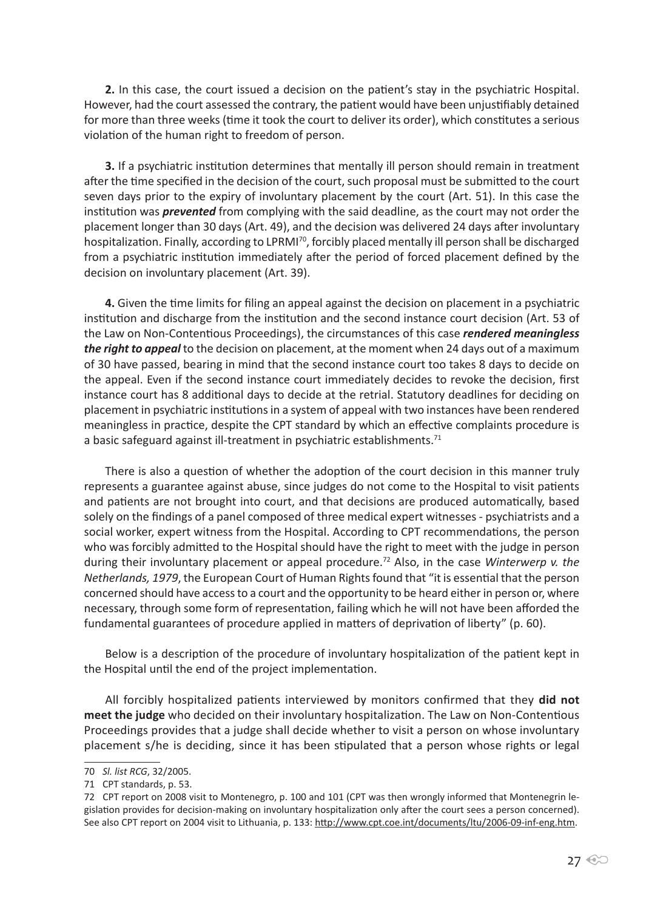**2.** In this case, the court issued a decision on the patient's stay in the psychiatric Hospital. However, had the court assessed the contrary, the patient would have been unjustifiably detained for more than three weeks (time it took the court to deliver its order), which constitutes a serious violation of the human right to freedom of person.

**3.** If a psychiatric institution determines that mentally ill person should remain in treatment after the time specified in the decision of the court, such proposal must be submitted to the court seven days prior to the expiry of involuntary placement by the court (Art. 51). In this case the institution was *prevented* from complying with the said deadline, as the court may not order the placement longer than 30 days (Art. 49), and the decision was delivered 24 days after involuntary hospitalization. Finally, according to LPRMI<sup>70</sup>, forcibly placed mentally ill person shall be discharged from a psychiatric institution immediately after the period of forced placement defined by the decision on involuntary placement (Art. 39).

**4.** Given the time limits for filing an appeal against the decision on placement in a psychiatric institution and discharge from the institution and the second instance court decision (Art. 53 of the Law on Non-Contentious Proceedings), the circumstances of this case *rendered meaningless the right to appeal* to the decision on placement, at the moment when 24 days out of a maximum of 30 have passed, bearing in mind that the second instance court too takes 8 days to decide on the appeal. Even if the second instance court immediately decides to revoke the decision, first instance court has 8 additional days to decide at the retrial. Statutory deadlines for deciding on placement in psychiatric institutions in a system of appeal with two instances have been rendered meaningless in practice, despite the CPT standard by which an effective complaints procedure is a basic safeguard against ill-treatment in psychiatric establishments.<sup>71</sup>

There is also a question of whether the adoption of the court decision in this manner truly represents a guarantee against abuse, since judges do not come to the Hospital to visit patients and patients are not brought into court, and that decisions are produced automatically, based solely on the findings of a panel composed of three medical expert witnesses - psychiatrists and a social worker, expert witness from the Hospital. According to CPT recommendations, the person who was forcibly admitted to the Hospital should have the right to meet with the judge in person during their involuntary placement or appeal procedure.72 Also, in the case *Winterwerp v. the Netherlands, 1979*, the European Court of Human Rights found that "it is essential that the person concerned should have access to a court and the opportunity to be heard either in person or, where necessary, through some form of representation, failing which he will not have been afforded the fundamental guarantees of procedure applied in matters of deprivation of liberty" (p. 60).

Below is a description of the procedure of involuntary hospitalization of the patient kept in the Hospital until the end of the project implementation.

All forcibly hospitalized patients interviewed by monitors confirmed that they **did not meet the judge** who decided on their involuntary hospitalization. The Law on Non-Contentious Proceedings provides that a judge shall decide whether to visit a person on whose involuntary placement s/he is deciding, since it has been stipulated that a person whose rights or legal

<sup>70</sup> *Sl. list RCG*, 32/2005.

<sup>71</sup> CPT standards, p. 53.

<sup>72</sup> CPT report on 2008 visit to Montenegro, p. 100 and 101 (CPT was then wrongly informed that Montenegrin legislation provides for decision-making on involuntary hospitalization only after the court sees a person concerned). See also CPT report on 2004 visit to Lithuania, p. 133: http://www.cpt.coe.int/documents/ltu/2006-09-inf-eng.htm.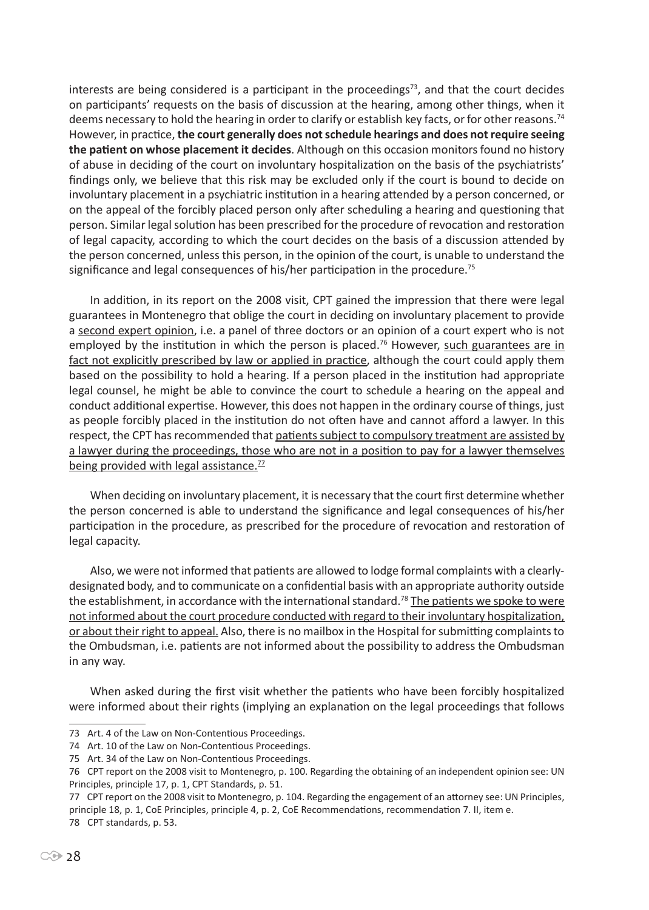interests are being considered is a participant in the proceedings<sup>73</sup>, and that the court decides on participants' requests on the basis of discussion at the hearing, among other things, when it deems necessary to hold the hearing in order to clarify or establish key facts, or for other reasons.<sup>74</sup> However, in practice, **the court generally does not schedule hearings and does not require seeing the patient on whose placement it decides**. Although on this occasion monitors found no history of abuse in deciding of the court on involuntary hospitalization on the basis of the psychiatrists' findings only, we believe that this risk may be excluded only if the court is bound to decide on involuntary placement in a psychiatric institution in a hearing attended by a person concerned, or on the appeal of the forcibly placed person only after scheduling a hearing and questioning that person. Similar legal solution has been prescribed for the procedure of revocation and restoration of legal capacity, according to which the court decides on the basis of a discussion attended by the person concerned, unless this person, in the opinion of the court, is unable to understand the significance and legal consequences of his/her participation in the procedure.<sup>75</sup>

In addition, in its report on the 2008 visit, CPT gained the impression that there were legal guarantees in Montenegro that oblige the court in deciding on involuntary placement to provide a second expert opinion, i.e. a panel of three doctors or an opinion of a court expert who is not employed by the institution in which the person is placed.<sup>76</sup> However, such guarantees are in fact not explicitly prescribed by law or applied in practice, although the court could apply them based on the possibility to hold a hearing. If a person placed in the institution had appropriate legal counsel, he might be able to convince the court to schedule a hearing on the appeal and conduct additional expertise. However, this does not happen in the ordinary course of things, just as people forcibly placed in the institution do not often have and cannot afford a lawyer. In this respect, the CPT has recommended that patients subject to compulsory treatment are assisted by a lawyer during the proceedings, those who are not in a position to pay for a lawyer themselves being provided with legal assistance.<sup>77</sup>

When deciding on involuntary placement, it is necessary that the court first determine whether the person concerned is able to understand the significance and legal consequences of his/her participation in the procedure, as prescribed for the procedure of revocation and restoration of legal capacity.

Also, we were not informed that patients are allowed to lodge formal complaints with a clearlydesignated body, and to communicate on a confidential basis with an appropriate authority outside the establishment, in accordance with the international standard.<sup>78</sup> The patients we spoke to were not informed about the court procedure conducted with regard to their involuntary hospitalization, or about their right to appeal. Also, there is no mailbox in the Hospital for submitting complaints to the Ombudsman, i.e. patients are not informed about the possibility to address the Ombudsman in any way.

When asked during the first visit whether the patients who have been forcibly hospitalized were informed about their rights (implying an explanation on the legal proceedings that follows

77 CPT report on the 2008 visit to Montenegro, p. 104. Regarding the engagement of an attorney see: UN Principles, principle 18, p. 1, CoE Principles, principle 4, p. 2, CoE Recommendations, recommendation 7. II, item e. 78 CPT standards, p. 53.

<sup>73</sup> Art. 4 of the Law on Non-Contentious Proceedings.

<sup>74</sup> Art. 10 of the Law on Non-Contentious Proceedings.

<sup>75</sup> Art. 34 of the Law on Non-Contentious Proceedings.

<sup>76</sup> CPT report on the 2008 visit to Montenegro, p. 100. Regarding the obtaining of an independent opinion see: UN Principles, principle 17, p. 1, CPT Standards, p. 51.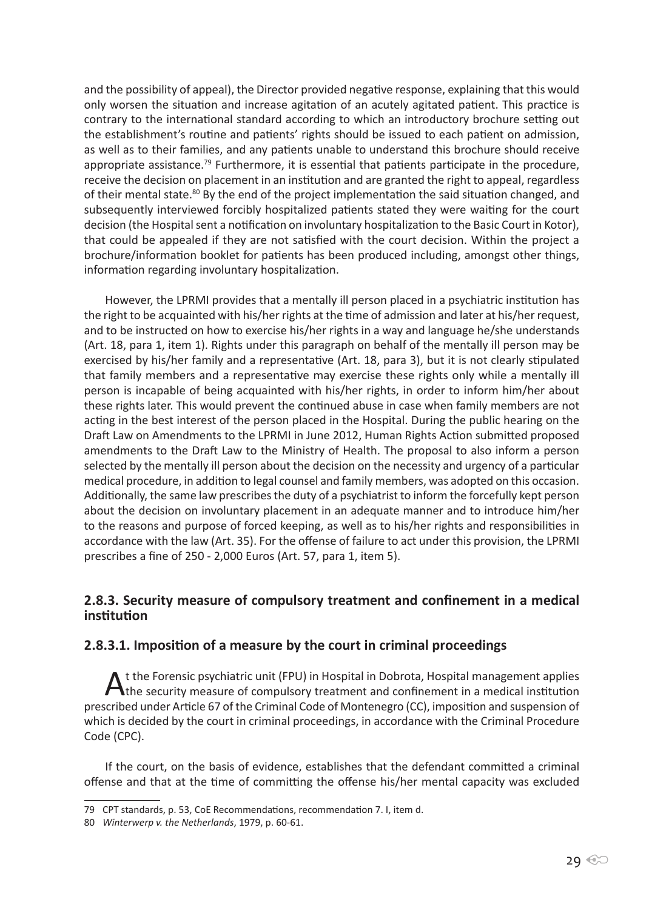and the possibility of appeal), the Director provided negative response, explaining that this would only worsen the situation and increase agitation of an acutely agitated patient. This practice is contrary to the international standard according to which an introductory brochure setting out the establishment's routine and patients' rights should be issued to each patient on admission, as well as to their families, and any patients unable to understand this brochure should receive appropriate assistance.<sup>79</sup> Furthermore, it is essential that patients participate in the procedure, receive the decision on placement in an institution and are granted the right to appeal, regardless of their mental state.<sup>80</sup> By the end of the project implementation the said situation changed, and subsequently interviewed forcibly hospitalized patients stated they were waiting for the court decision (the Hospital sent a notification on involuntary hospitalization to the Basic Court in Kotor), that could be appealed if they are not satisfied with the court decision. Within the project a brochure/information booklet for patients has been produced including, amongst other things, information regarding involuntary hospitalization.

However, the LPRMI provides that a mentally ill person placed in a psychiatric institution has the right to be acquainted with his/her rights at the time of admission and later at his/her request, and to be instructed on how to exercise his/her rights in a way and language he/she understands (Art. 18, para 1, item 1). Rights under this paragraph on behalf of the mentally ill person may be exercised by his/her family and a representative (Art. 18, para 3), but it is not clearly stipulated that family members and a representative may exercise these rights only while a mentally ill person is incapable of being acquainted with his/her rights, in order to inform him/her about these rights later. This would prevent the continued abuse in case when family members are not acting in the best interest of the person placed in the Hospital. During the public hearing on the Draft Law on Amendments to the LPRMI in June 2012, Human Rights Action submitted proposed amendments to the Draft Law to the Ministry of Health. The proposal to also inform a person selected by the mentally ill person about the decision on the necessity and urgency of a particular medical procedure, in addition to legal counsel and family members, was adopted on this occasion. Additionally, the same law prescribes the duty of a psychiatrist to inform the forcefully kept person about the decision on involuntary placement in an adequate manner and to introduce him/her to the reasons and purpose of forced keeping, as well as to his/her rights and responsibilities in accordance with the law (Art. 35). For the offense of failure to act under this provision, the LPRMI prescribes a fine of 250 - 2,000 Euros (Art. 57, para 1, item 5).

## **2.8.3. Security measure of compulsory treatment and confinement in a medical institution**

## **2.8.3.1. Imposition of a measure by the court in criminal proceedings**

At the Forensic psychiatric unit (FPU) in Hospital in Dobrota, Hospital management applies<br>the security measure of compulsory treatment and confinement in a medical institution prescribed under Article 67 of the Criminal Code of Montenegro (CC), imposition and suspension of which is decided by the court in criminal proceedings, in accordance with the Criminal Procedure Code (CPC).

If the court, on the basis of evidence, establishes that the defendant committed a criminal offense and that at the time of committing the offense his/her mental capacity was excluded

<sup>79</sup> CPT standards, p. 53, CoE Recommendations, recommendation 7. I, item d.

<sup>80</sup> *Winterwerp v. the Netherlands*, 1979, p. 60-61.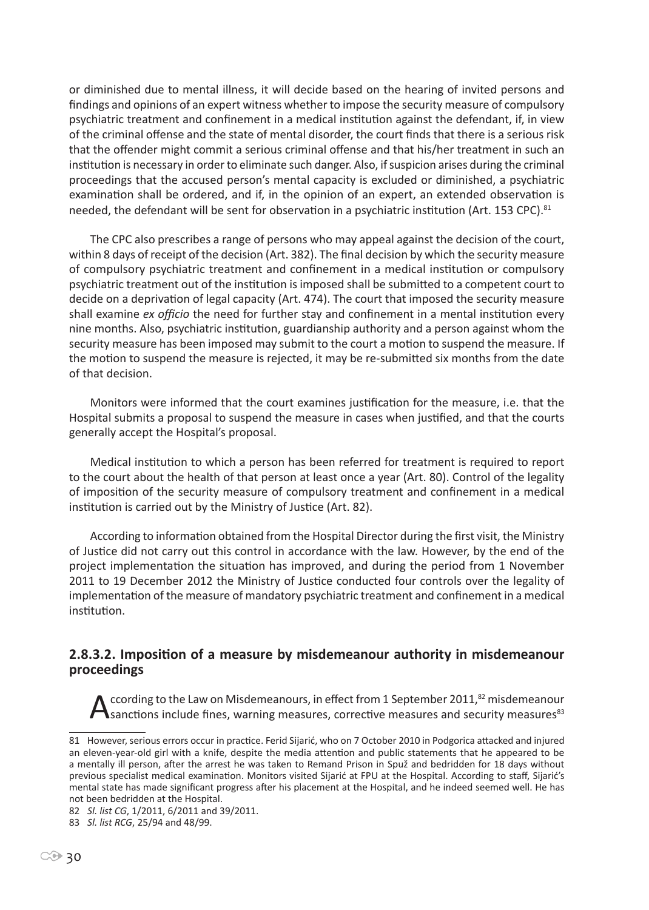or diminished due to mental illness, it will decide based on the hearing of invited persons and findings and opinions of an expert witness whether to impose the security measure of compulsory psychiatric treatment and confinement in a medical institution against the defendant, if, in view of the criminal offense and the state of mental disorder, the court finds that there is a serious risk that the offender might commit a serious criminal offense and that his/her treatment in such an institution is necessary in order to eliminate such danger. Also, if suspicion arises during the criminal proceedings that the accused person's mental capacity is excluded or diminished, a psychiatric examination shall be ordered, and if, in the opinion of an expert, an extended observation is needed, the defendant will be sent for observation in a psychiatric institution (Art. 153 CPC).<sup>81</sup>

The CPC also prescribes a range of persons who may appeal against the decision of the court, within 8 days of receipt of the decision (Art. 382). The final decision by which the security measure of compulsory psychiatric treatment and confinement in a medical institution or compulsory psychiatric treatment out of the institution is imposed shall be submitted to a competent court to decide on a deprivation of legal capacity (Art. 474). The court that imposed the security measure shall examine *ex officio* the need for further stay and confinement in a mental institution every nine months. Also, psychiatric institution, guardianship authority and a person against whom the security measure has been imposed may submit to the court a motion to suspend the measure. If the motion to suspend the measure is rejected, it may be re-submitted six months from the date of that decision.

Monitors were informed that the court examines justification for the measure, i.e. that the Hospital submits a proposal to suspend the measure in cases when justified, and that the courts generally accept the Hospital's proposal.

Medical institution to which a person has been referred for treatment is required to report to the court about the health of that person at least once a year (Art. 80). Control of the legality of imposition of the security measure of compulsory treatment and confinement in a medical institution is carried out by the Ministry of Justice (Art. 82).

According to information obtained from the Hospital Director during the first visit, the Ministry of Justice did not carry out this control in accordance with the law. However, by the end of the project implementation the situation has improved, and during the period from 1 November 2011 to 19 December 2012 the Ministry of Justice conducted four controls over the legality of implementation of the measure of mandatory psychiatric treatment and confinement in a medical institution.

#### **2.8.3.2. Imposition of a measure by misdemeanour authority in misdemeanour proceedings**

ccording to the Law on Misdemeanours, in effect from 1 September 2011,<sup>82</sup> misdemeanour  $\blacktriangle$  sanctions include fines, warning measures, corrective measures and security measures<sup>83</sup>

<sup>81</sup> However, serious errors occur in practice. Ferid Sijarić, who on 7 October 2010 in Podgorica attacked and injured an eleven-year-old girl with a knife, despite the media attention and public statements that he appeared to be a mentally ill person, after the arrest he was taken to Remand Prison in Spuž and bedridden for 18 days without previous specialist medical examination. Monitors visited Sijarić at FPU at the Hospital. According to staff, Sijarić's mental state has made significant progress after his placement at the Hospital, and he indeed seemed well. He has not been bedridden at the Hospital.

<sup>82</sup> *Sl. list CG*, 1/2011, 6/2011 and 39/2011.

<sup>83</sup> *Sl. list RCG*, 25/94 and 48/99.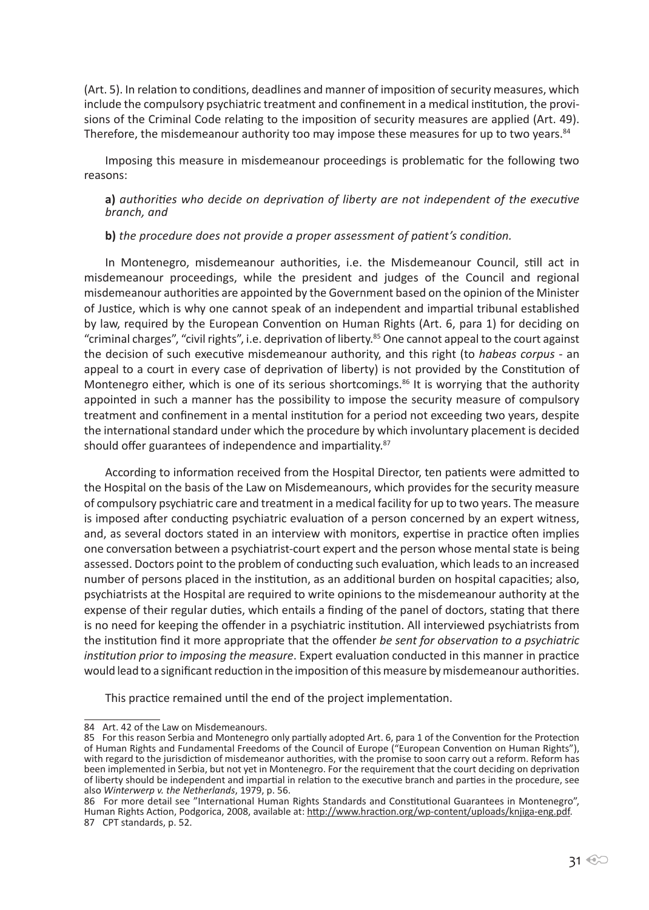(Art. 5). In relation to conditions, deadlines and manner of imposition of security measures, which include the compulsory psychiatric treatment and confinement in a medical institution, the provisions of the Criminal Code relating to the imposition of security measures are applied (Art. 49). Therefore, the misdemeanour authority too may impose these measures for up to two years.<sup>84</sup>

Imposing this measure in misdemeanour proceedings is problematic for the following two reasons:

**a)** *authorities who decide on deprivation of liberty are not independent of the executive branch, and*

**b)** *the procedure does not provide a proper assessment of patient's condition.*

In Montenegro, misdemeanour authorities, i.e. the Misdemeanour Council, still act in misdemeanour proceedings, while the president and judges of the Council and regional misdemeanour authorities are appointed by the Government based on the opinion of the Minister of Justice, which is why one cannot speak of an independent and impartial tribunal established by law, required by the European Convention on Human Rights (Art. 6, para 1) for deciding on "criminal charges", "civil rights", i.e. deprivation of liberty.<sup>85</sup> One cannot appeal to the court against the decision of such executive misdemeanour authority, and this right (to *habeas corpus* - an appeal to a court in every case of deprivation of liberty) is not provided by the Constitution of Montenegro either, which is one of its serious shortcomings.<sup>86</sup> It is worrying that the authority appointed in such a manner has the possibility to impose the security measure of compulsory treatment and confinement in a mental institution for a period not exceeding two years, despite the international standard under which the procedure by which involuntary placement is decided should offer guarantees of independence and impartiality.<sup>87</sup>

According to information received from the Hospital Director, ten patients were admitted to the Hospital on the basis of the Law on Misdemeanours, which provides for the security measure of compulsory psychiatric care and treatment in a medical facility for up to two years. The measure is imposed after conducting psychiatric evaluation of a person concerned by an expert witness, and, as several doctors stated in an interview with monitors, expertise in practice often implies one conversation between a psychiatrist-court expert and the person whose mental state is being assessed. Doctors point to the problem of conducting such evaluation, which leads to an increased number of persons placed in the institution, as an additional burden on hospital capacities; also, psychiatrists at the Hospital are required to write opinions to the misdemeanour authority at the expense of their regular duties, which entails a finding of the panel of doctors, stating that there is no need for keeping the offender in a psychiatric institution. All interviewed psychiatrists from the institution find it more appropriate that the offender *be sent for observation to a psychiatric institution prior to imposing the measure*. Expert evaluation conducted in this manner in practice would lead to a significant reduction in the imposition of this measure by misdemeanour authorities.

This practice remained until the end of the project implementation.

<sup>84</sup> Art. 42 of the Law on Misdemeanours.

<sup>85</sup> For this reason Serbia and Montenegro only partially adopted Art. 6, para 1 of the Convention for the Protection of Human Rights and Fundamental Freedoms of the Council of Europe ("European Convention on Human Rights"), with regard to the jurisdiction of misdemeanor authorities, with the promise to soon carry out a reform. Reform has been implemented in Serbia, but not yet in Montenegro. For the requirement that the court deciding on deprivation of liberty should be independent and impartial in relation to the executive branch and parties in the procedure, see also *Winterwerp v. the Netherlands*, 1979, p. 56.

<sup>86</sup> For more detail see "International Human Rights Standards and Constitutional Guarantees in Montenegro", Human Rights Action, Podgorica, 2008, available at: http://www.hraction.org/wp-content/uploads/knjiga-eng.pdf.<br>87 CPT standards, p. 52.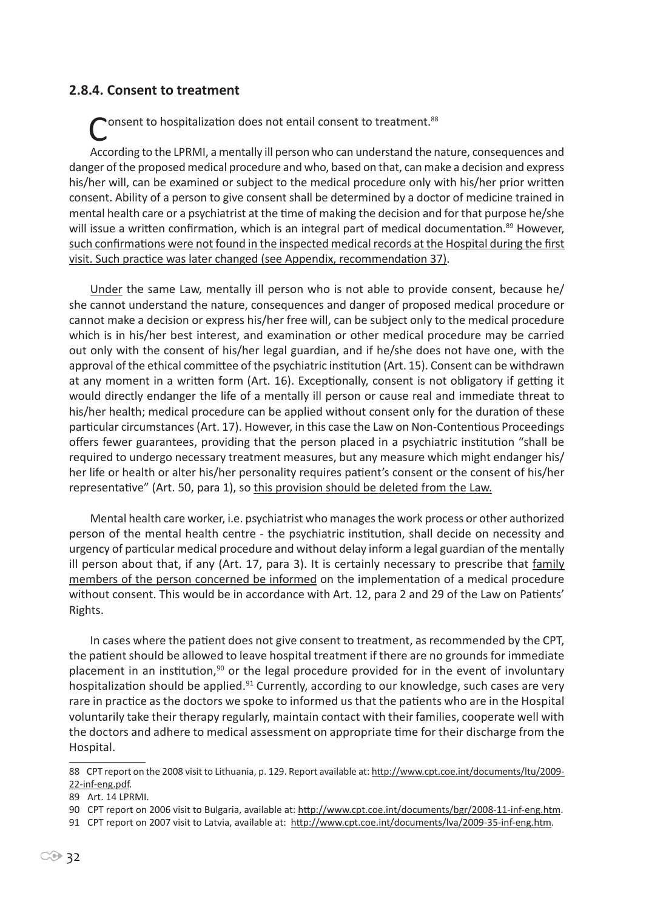#### **2.8.4. Consent to treatment**

onsent to hospitalization does not entail consent to treatment.<sup>88</sup> According to the LPRMI, a mentally ill person who can understand the nature, consequences and danger of the proposed medical procedure and who, based on that, can make a decision and express his/her will, can be examined or subject to the medical procedure only with his/her prior written consent. Ability of a person to give consent shall be determined by a doctor of medicine trained in mental health care or a psychiatrist at the time of making the decision and for that purpose he/she will issue a written confirmation, which is an integral part of medical documentation.<sup>89</sup> However, such confirmations were not found in the inspected medical records at the Hospital during the first visit. Such practice was later changed (see Appendix, recommendation 37).

Under the same Law, mentally ill person who is not able to provide consent, because he/ she cannot understand the nature, consequences and danger of proposed medical procedure or cannot make a decision or express his/her free will, can be subject only to the medical procedure which is in his/her best interest, and examination or other medical procedure may be carried out only with the consent of his/her legal guardian, and if he/she does not have one, with the approval of the ethical committee of the psychiatric institution (Art. 15). Consent can be withdrawn at any moment in a written form (Art. 16). Exceptionally, consent is not obligatory if getting it would directly endanger the life of a mentally ill person or cause real and immediate threat to his/her health; medical procedure can be applied without consent only for the duration of these particular circumstances (Art. 17). However, in this case the Law on Non-Contentious Proceedings offers fewer guarantees, providing that the person placed in a psychiatric institution "shall be required to undergo necessary treatment measures, but any measure which might endanger his/ her life or health or alter his/her personality requires patient's consent or the consent of his/her representative" (Art. 50, para 1), so this provision should be deleted from the Law.

Mental health care worker, i.e. psychiatrist who manages the work process or other authorized person of the mental health centre - the psychiatric institution, shall decide on necessity and urgency of particular medical procedure and without delay inform a legal guardian of the mentally ill person about that, if any (Art. 17, para 3). It is certainly necessary to prescribe that family members of the person concerned be informed on the implementation of a medical procedure without consent. This would be in accordance with Art. 12, para 2 and 29 of the Law on Patients' Rights.

In cases where the patient does not give consent to treatment, as recommended by the CPT, the patient should be allowed to leave hospital treatment if there are no grounds for immediate placement in an institution, $90$  or the legal procedure provided for in the event of involuntary hospitalization should be applied.<sup>91</sup> Currently, according to our knowledge, such cases are very rare in practice as the doctors we spoke to informed us that the patients who are in the Hospital voluntarily take their therapy regularly, maintain contact with their families, cooperate well with the doctors and adhere to medical assessment on appropriate time for their discharge from the Hospital.

<sup>88</sup> CPT report on the 2008 visit to Lithuania, p. 129. Report available at: http://www.cpt.coe.int/documents/ltu/2009-22-inf-eng.pdf.

<sup>89</sup> Art. 14 LPRMI.

<sup>90</sup> CPT report on 2006 visit to Bulgaria, available at: http://www.cpt.coe.int/documents/bgr/2008-11-inf-eng.htm.

<sup>91</sup> CPT report on 2007 visit to Latvia, available at: http://www.cpt.coe.int/documents/lva/2009-35-inf-eng.htm.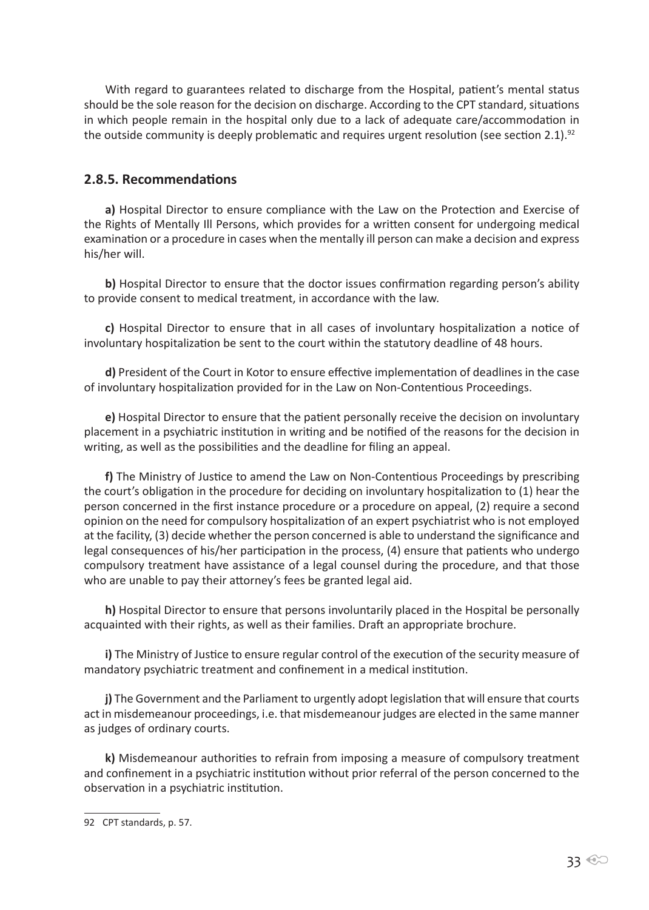With regard to guarantees related to discharge from the Hospital, patient's mental status should be the sole reason for the decision on discharge. According to the CPT standard, situations in which people remain in the hospital only due to a lack of adequate care/accommodation in the outside community is deeply problematic and requires urgent resolution (see section 2.1).<sup>92</sup>

#### **2.8.5. Recommendations**

**a)** Hospital Director to ensure compliance with the Law on the Protection and Exercise of the Rights of Mentally Ill Persons, which provides for a written consent for undergoing medical examination or a procedure in cases when the mentally ill person can make a decision and express his/her will.

**b)** Hospital Director to ensure that the doctor issues confirmation regarding person's ability to provide consent to medical treatment, in accordance with the law.

**c)** Hospital Director to ensure that in all cases of involuntary hospitalization a notice of involuntary hospitalization be sent to the court within the statutory deadline of 48 hours.

**d)** President of the Court in Kotor to ensure effective implementation of deadlines in the case of involuntary hospitalization provided for in the Law on Non-Contentious Proceedings.

**e)** Hospital Director to ensure that the patient personally receive the decision on involuntary placement in a psychiatric institution in writing and be notified of the reasons for the decision in writing, as well as the possibilities and the deadline for filing an appeal.

**f)** The Ministry of Justice to amend the Law on Non-Contentious Proceedings by prescribing the court's obligation in the procedure for deciding on involuntary hospitalization to (1) hear the person concerned in the first instance procedure or a procedure on appeal, (2) require a second opinion on the need for compulsory hospitalization of an expert psychiatrist who is not employed at the facility, (3) decide whether the person concerned is able to understand the significance and legal consequences of his/her participation in the process, (4) ensure that patients who undergo compulsory treatment have assistance of a legal counsel during the procedure, and that those who are unable to pay their attorney's fees be granted legal aid.

**h)** Hospital Director to ensure that persons involuntarily placed in the Hospital be personally acquainted with their rights, as well as their families. Draft an appropriate brochure.

**i)** The Ministry of Justice to ensure regular control of the execution of the security measure of mandatory psychiatric treatment and confinement in a medical institution.

**j)** The Government and the Parliament to urgently adopt legislation that will ensure that courts act in misdemeanour proceedings, i.e. that misdemeanour judges are elected in the same manner as judges of ordinary courts.

**k)** Misdemeanour authorities to refrain from imposing a measure of compulsory treatment and confinement in a psychiatric institution without prior referral of the person concerned to the observation in a psychiatric institution.

<sup>92</sup> CPT standards, p. 57.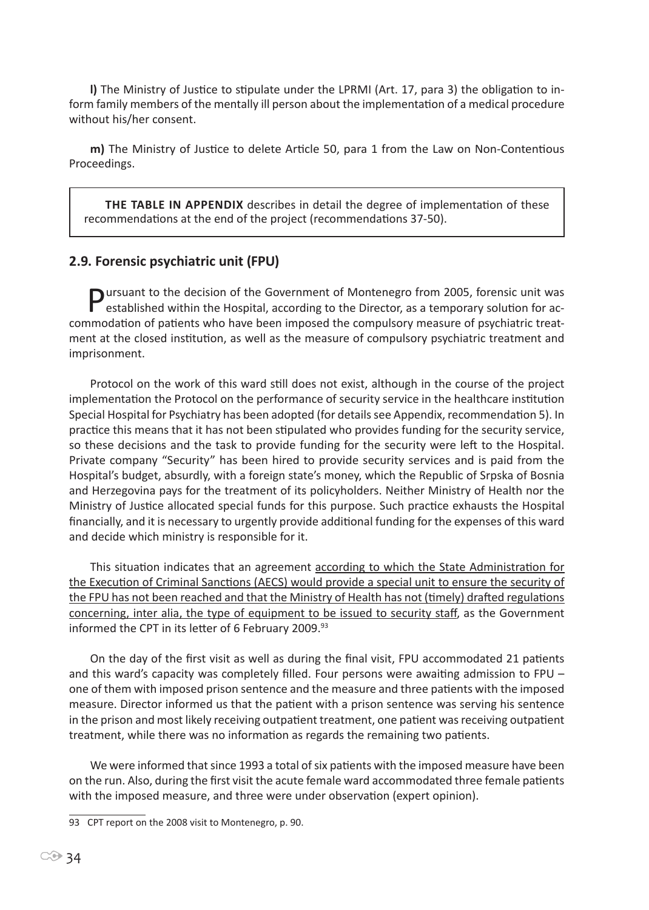**l)** The Ministry of Justice to stipulate under the LPRMI (Art. 17, para 3) the obligation to inform family members of the mentally ill person about the implementation of a medical procedure without his/her consent.

**m)** The Ministry of Justice to delete Article 50, para 1 from the Law on Non-Contentious Proceedings.

**The table in Appendix** describes in detail the degree of implementation of these recommendations at the end of the project (recommendations 37-50).

## **2.9. Forensic psychiatric unit (FPU)**

**Pursuant to the decision of the Government of Montenegro from 2005, forensic unit was established within the Hospital, according to the Director, as a temporary solution for ac**commodation of patients who have been imposed the compulsory measure of psychiatric treatment at the closed institution, as well as the measure of compulsory psychiatric treatment and imprisonment.

Protocol on the work of this ward still does not exist, although in the course of the project implementation the Protocol on the performance of security service in the healthcare institution Special Hospital for Psychiatry has been adopted (for details see Appendix, recommendation 5). In practice this means that it has not been stipulated who provides funding for the security service, so these decisions and the task to provide funding for the security were left to the Hospital. Private company "Security" has been hired to provide security services and is paid from the Hospital's budget, absurdly, with a foreign state's money, which the Republic of Srpska of Bosnia and Herzegovina pays for the treatment of its policyholders. Neither Ministry of Health nor the Ministry of Justice allocated special funds for this purpose. Such practice exhausts the Hospital financially, and it is necessary to urgently provide additional funding for the expenses of this ward and decide which ministry is responsible for it.

This situation indicates that an agreement according to which the State Administration for the Execution of Criminal Sanctions (AECS) would provide a special unit to ensure the security of the FPU has not been reached and that the Ministry of Health has not (timely) drafted regulations concerning, inter alia, the type of equipment to be issued to security staff, as the Government informed the CPT in its letter of 6 February 2009.<sup>93</sup>

On the day of the first visit as well as during the final visit, FPU accommodated 21 patients and this ward's capacity was completely filled. Four persons were awaiting admission to FPU – one of them with imposed prison sentence and the measure and three patients with the imposed measure. Director informed us that the patient with a prison sentence was serving his sentence in the prison and most likely receiving outpatient treatment, one patient was receiving outpatient treatment, while there was no information as regards the remaining two patients.

We were informed that since 1993 a total of six patients with the imposed measure have been on the run. Also, during the first visit the acute female ward accommodated three female patients with the imposed measure, and three were under observation (expert opinion).

<sup>93</sup> CPT report on the 2008 visit to Montenegro, p. 90.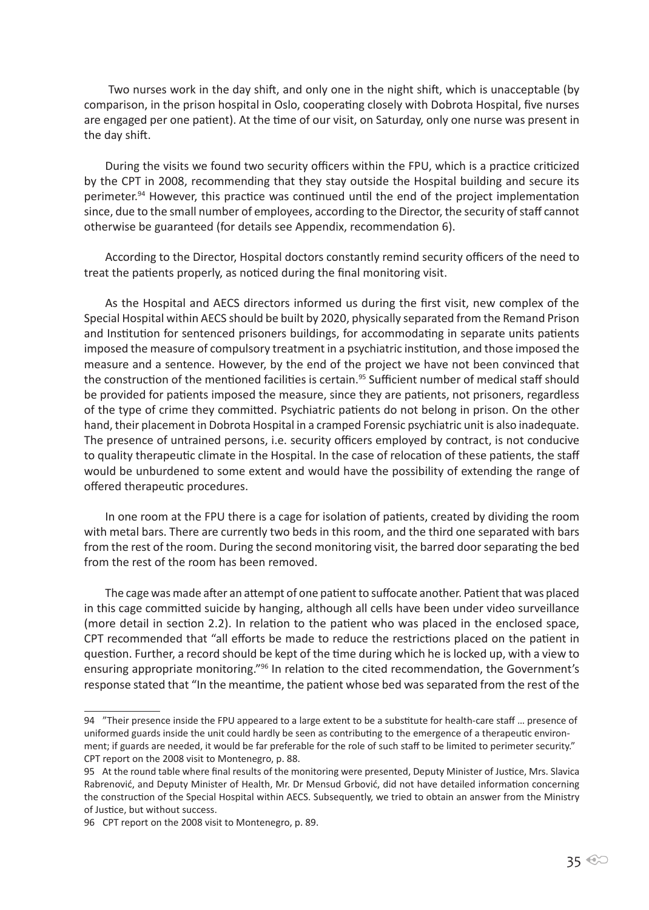Two nurses work in the day shift, and only one in the night shift, which is unacceptable (by comparison, in the prison hospital in Oslo, cooperating closely with Dobrota Hospital, five nurses are engaged per one patient). At the time of our visit, on Saturday, only one nurse was present in the day shift.

During the visits we found two security officers within the FPU, which is a practice criticized by the CPT in 2008, recommending that they stay outside the Hospital building and secure its perimeter.<sup>94</sup> However, this practice was continued until the end of the project implementation since, due to the small number of employees, according to the Director, the security of staff cannot otherwise be guaranteed (for details see Appendix, recommendation 6).

According to the Director, Hospital doctors constantly remind security officers of the need to treat the patients properly, as noticed during the final monitoring visit.

As the Hospital and AECS directors informed us during the first visit, new complex of the Special Hospital within AECS should be built by 2020, physically separated from the Remand Prison and Institution for sentenced prisoners buildings, for accommodating in separate units patients imposed the measure of compulsory treatment in a psychiatric institution, and those imposed the measure and a sentence. However, by the end of the project we have not been convinced that the construction of the mentioned facilities is certain.<sup>95</sup> Sufficient number of medical staff should be provided for patients imposed the measure, since they are patients, not prisoners, regardless of the type of crime they committed. Psychiatric patients do not belong in prison. On the other hand, their placement in Dobrota Hospital in a cramped Forensic psychiatric unit is also inadequate. The presence of untrained persons, i.e. security officers employed by contract, is not conducive to quality therapeutic climate in the Hospital. In the case of relocation of these patients, the staff would be unburdened to some extent and would have the possibility of extending the range of offered therapeutic procedures.

In one room at the FPU there is a cage for isolation of patients, created by dividing the room with metal bars. There are currently two beds in this room, and the third one separated with bars from the rest of the room. During the second monitoring visit, the barred door separating the bed from the rest of the room has been removed.

The cage was made after an attempt of one patient to suffocate another. Patient that was placed in this cage committed suicide by hanging, although all cells have been under video surveillance (more detail in section 2.2). In relation to the patient who was placed in the enclosed space, CPT recommended that "all efforts be made to reduce the restrictions placed on the patient in question. Further, a record should be kept of the time during which he is locked up, with a view to ensuring appropriate monitoring."<sup>96</sup> In relation to the cited recommendation, the Government's response stated that "In the meantime, the patient whose bed was separated from the rest of the

<sup>94 &</sup>quot;Their presence inside the FPU appeared to a large extent to be a substitute for health-care staff … presence of uniformed guards inside the unit could hardly be seen as contributing to the emergence of a therapeutic environment; if guards are needed, it would be far preferable for the role of such staff to be limited to perimeter security." CPT report on the 2008 visit to Montenegro, p. 88.

<sup>95</sup> At the round table where final results of the monitoring were presented, Deputy Minister of Justice, Mrs. Slavica Rabrenović, and Deputy Minister of Health, Mr. Dr Mensud Grbović, did not have detailed information concerning the construction of the Special Hospital within AECS. Subsequently, we tried to obtain an answer from the Ministry of Justice, but without success.

<sup>96</sup> CPT report on the 2008 visit to Montenegro, p. 89.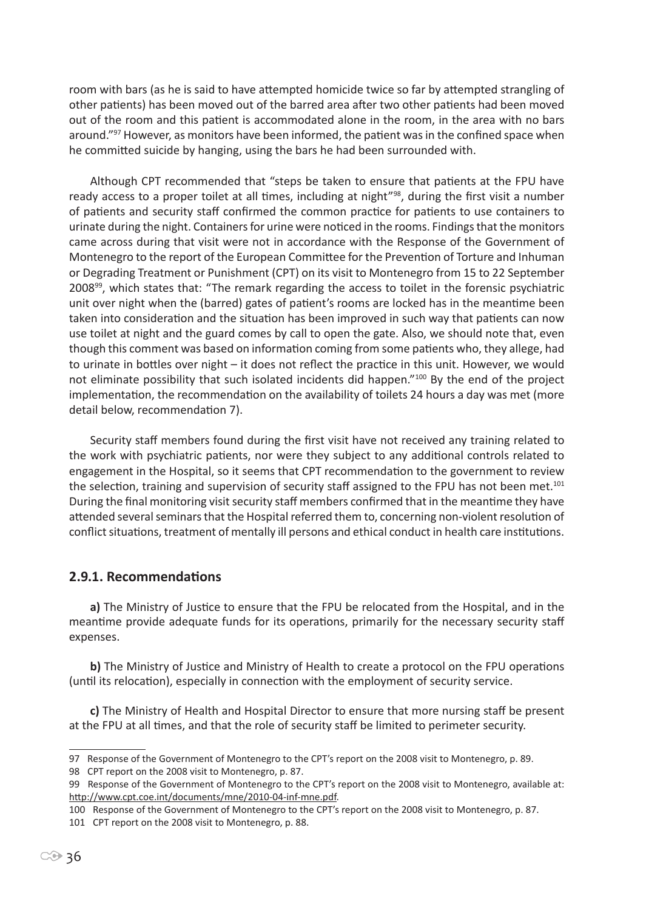room with bars (as he is said to have attempted homicide twice so far by attempted strangling of other patients) has been moved out of the barred area after two other patients had been moved out of the room and this patient is accommodated alone in the room, in the area with no bars around."<sup>97</sup> However, as monitors have been informed, the patient was in the confined space when he committed suicide by hanging, using the bars he had been surrounded with.

Although CPT recommended that "steps be taken to ensure that patients at the FPU have ready access to a proper toilet at all times, including at night<sup>"98</sup>, during the first visit a number of patients and security staff confirmed the common practice for patients to use containers to urinate during the night. Containers for urine were noticed in the rooms. Findings that the monitors came across during that visit were not in accordance with the Response of the Government of Montenegro to the report of the European Committee for the Prevention of Torture and Inhuman or Degrading Treatment or Punishment (CPT) on its visit to Montenegro from 15 to 22 September 2008<sup>99</sup>, which states that: "The remark regarding the access to toilet in the forensic psychiatric unit over night when the (barred) gates of patient's rooms are locked has in the meantime been taken into consideration and the situation has been improved in such way that patients can now use toilet at night and the guard comes by call to open the gate. Also, we should note that, even though this comment was based on information coming from some patients who, they allege, had to urinate in bottles over night – it does not reflect the practice in this unit. However, we would not eliminate possibility that such isolated incidents did happen."<sup>100</sup> By the end of the project implementation, the recommendation on the availability of toilets 24 hours a day was met (more detail below, recommendation 7).

Security staff members found during the first visit have not received any training related to the work with psychiatric patients, nor were they subject to any additional controls related to engagement in the Hospital, so it seems that CPT recommendation to the government to review the selection, training and supervision of security staff assigned to the FPU has not been met.<sup>101</sup> During the final monitoring visit security staff members confirmed that in the meantime they have attended several seminars that the Hospital referred them to, concerning non-violent resolution of conflict situations, treatment of mentally ill persons and ethical conduct in health care institutions.

## **2.9.1. Recommendations**

**a)** The Ministry of Justice to ensure that the FPU be relocated from the Hospital, and in the meantime provide adequate funds for its operations, primarily for the necessary security staff expenses.

**b)** The Ministry of Justice and Ministry of Health to create a protocol on the FPU operations (until its relocation), especially in connection with the employment of security service.

**c)** The Ministry of Health and Hospital Director to ensure that more nursing staff be present at the FPU at all times, and that the role of security staff be limited to perimeter security.

98 CPT report on the 2008 visit to Montenegro, p. 87.

<sup>97</sup> Response of the Government of Montenegro to the CPT's report on the 2008 visit to Montenegro, p. 89.

<sup>99</sup> Response of the Government of Montenegro to the CPT's report on the 2008 visit to Montenegro, available at: http://www.cpt.coe.int/documents/mne/2010-04-inf-mne.pdf.

<sup>100</sup> Response of the Government of Montenegro to the CPT's report on the 2008 visit to Montenegro, p. 87.

<sup>101</sup> CPT report on the 2008 visit to Montenegro, p. 88.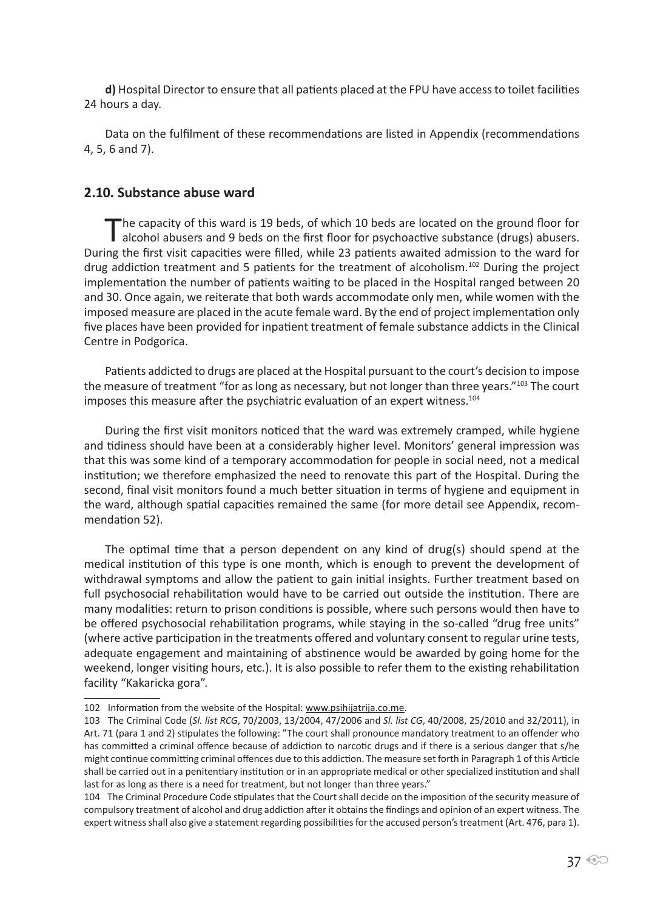**d)** Hospital Director to ensure that all patients placed at the FPU have access to toilet facilities 24 hours a day.

Data on the fulfilment of these recommendations are listed in Appendix (recommendations 4, 5, 6 and 7).

#### **2.10. Substance abuse ward**

The capacity of this ward is 19 beds, of which 10 beds are located on the ground floor for alcohol abusers and 9 beds on the first floor for psychoactive substance (drugs) abusers. During the first visit capacities were filled, while 23 patients awaited admission to the ward for drug addiction treatment and 5 patients for the treatment of alcoholism.<sup>102</sup> During the project implementation the number of patients waiting to be placed in the Hospital ranged between 20 and 30. Once again, we reiterate that both wards accommodate only men, while women with the imposed measure are placed in the acute female ward. By the end of project implementation only five places have been provided for inpatient treatment of female substance addicts in the Clinical Centre in Podgorica.

Patients addicted to drugs are placed at the Hospital pursuant to the court's decision to impose the measure of treatment "for as long as necessary, but not longer than three years."<sup>103</sup> The court imposes this measure after the psychiatric evaluation of an expert witness.<sup>104</sup>

During the first visit monitors noticed that the ward was extremely cramped, while hygiene and tidiness should have been at a considerably higher level. Monitors' general impression was that this was some kind of a temporary accommodation for people in social need, not a medical institution; we therefore emphasized the need to renovate this part of the Hospital. During the second, final visit monitors found a much better situation in terms of hygiene and equipment in the ward, although spatial capacities remained the same (for more detail see Appendix, recommendation 52).

The optimal time that a person dependent on any kind of drug(s) should spend at the medical institution of this type is one month, which is enough to prevent the development of withdrawal symptoms and allow the patient to gain initial insights. Further treatment based on full psychosocial rehabilitation would have to be carried out outside the institution. There are many modalities: return to prison conditions is possible, where such persons would then have to be offered psychosocial rehabilitation programs, while staying in the so-called "drug free units" (where active participation in the treatments offered and voluntary consent to regular urine tests, adequate engagement and maintaining of abstinence would be awarded by going home for the weekend, longer visiting hours, etc.). It is also possible to refer them to the existing rehabilitation facility "Kakaricka gora".

<sup>102</sup> Information from the website of the Hospital: www.psihijatrija.co.me.

<sup>103</sup> The Criminal Code (*Sl. list RCG*, 70/2003, 13/2004, 47/2006 and *Sl. list CG*, 40/2008, 25/2010 and 32/2011), in Art. 71 (para 1 and 2) stipulates the following: "The court shall pronounce mandatory treatment to an offender who has committed a criminal offence because of addiction to narcotic drugs and if there is a serious danger that s/he might continue committing criminal offences due to this addiction. The measure set forth in Paragraph 1 of this Article shall be carried out in a penitentiary institution or in an appropriate medical or other specialized institution and shall last for as long as there is a need for treatment, but not longer than three years."

<sup>104</sup> The Criminal Procedure Code stipulates that the Court shall decide on the imposition of the security measure of compulsory treatment of alcohol and drug addiction after it obtains the findings and opinion of an expert witness. The expert witness shall also give a statement regarding possibilities for the accused person's treatment (Art. 476, para 1).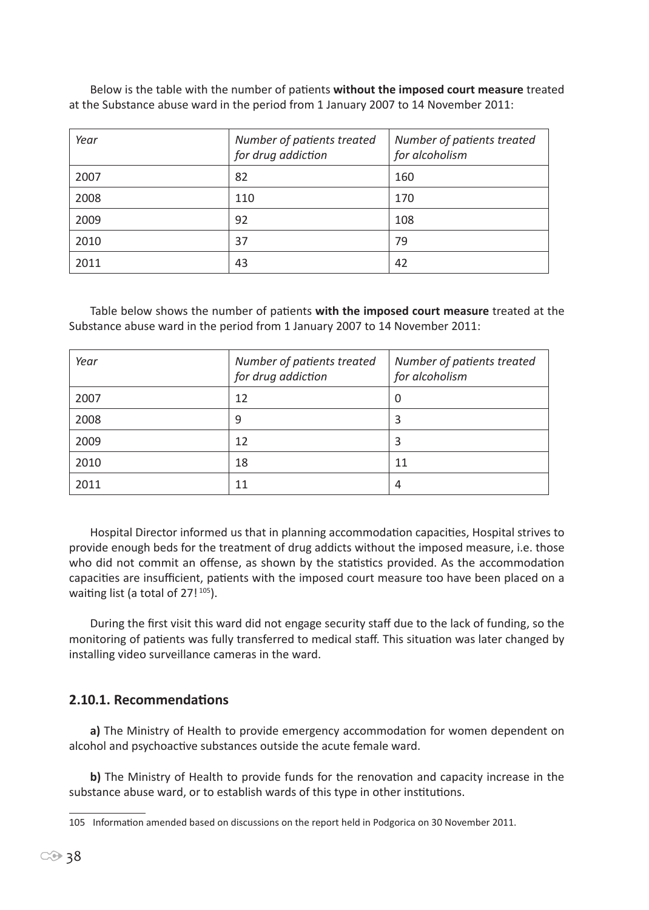Below is the table with the number of patients **without the imposed court measure** treated at the Substance abuse ward in the period from 1 January 2007 to 14 November 2011:

| Year | Number of patients treated<br>for drug addiction | Number of patients treated<br>for alcoholism |
|------|--------------------------------------------------|----------------------------------------------|
| 2007 | 82                                               | 160                                          |
| 2008 | 110                                              | 170                                          |
| 2009 | 92                                               | 108                                          |
| 2010 | 37                                               | 79                                           |
| 2011 | 43                                               | 42                                           |

Table below shows the number of patients **with the imposed court measure** treated at the Substance abuse ward in the period from 1 January 2007 to 14 November 2011:

| Year | Number of patients treated<br>for drug addiction | Number of patients treated<br>for alcoholism |
|------|--------------------------------------------------|----------------------------------------------|
| 2007 | 12                                               | 0                                            |
| 2008 | 9                                                | 3                                            |
| 2009 | 12                                               | 3                                            |
| 2010 | 18                                               | 11                                           |
| 2011 | 11                                               | 4                                            |

Hospital Director informed us that in planning accommodation capacities, Hospital strives to provide enough beds for the treatment of drug addicts without the imposed measure, i.e. those who did not commit an offense, as shown by the statistics provided. As the accommodation capacities are insufficient, patients with the imposed court measure too have been placed on a waiting list (a total of  $27!^{105}$ ).

During the first visit this ward did not engage security staff due to the lack of funding, so the monitoring of patients was fully transferred to medical staff. This situation was later changed by installing video surveillance cameras in the ward.

## **2.10.1. Recommendations**

**a)** The Ministry of Health to provide emergency accommodation for women dependent on alcohol and psychoactive substances outside the acute female ward.

**b)** The Ministry of Health to provide funds for the renovation and capacity increase in the substance abuse ward, or to establish wards of this type in other institutions.

<sup>105</sup> Information amended based on discussions on the report held in Podgorica on 30 November 2011.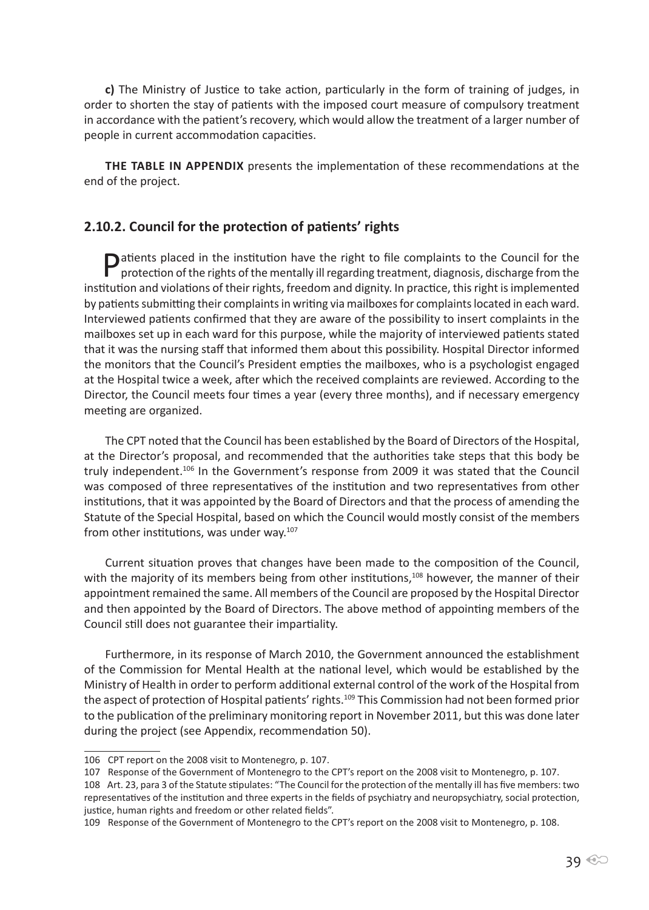**c)** The Ministry of Justice to take action, particularly in the form of training of judges, in order to shorten the stay of patients with the imposed court measure of compulsory treatment in accordance with the patient's recovery, which would allow the treatment of a larger number of people in current accommodation capacities.

**THE TABLE IN APPENDIX** presents the implementation of these recommendations at the end of the project.

#### **2.10.2. Council for the protection of patients' rights**

**P**atients placed in the institution have the right to file complaints to the Council for the protection of the rights of the mentally ill regarding treatment, diagnosis, discharge from the institution and violations of their rights, freedom and dignity. In practice, this right is implemented by patients submitting their complaints in writing via mailboxes for complaints located in each ward. Interviewed patients confirmed that they are aware of the possibility to insert complaints in the mailboxes set up in each ward for this purpose, while the majority of interviewed patients stated that it was the nursing staff that informed them about this possibility. Hospital Director informed the monitors that the Council's President empties the mailboxes, who is a psychologist engaged at the Hospital twice a week, after which the received complaints are reviewed. According to the Director, the Council meets four times a year (every three months), and if necessary emergency meeting are organized.

The CPT noted that the Council has been established by the Board of Directors of the Hospital, at the Director's proposal, and recommended that the authorities take steps that this body be truly independent.<sup>106</sup> In the Government's response from 2009 it was stated that the Council was composed of three representatives of the institution and two representatives from other institutions, that it was appointed by the Board of Directors and that the process of amending the Statute of the Special Hospital, based on which the Council would mostly consist of the members from other institutions, was under way.<sup>107</sup>

Current situation proves that changes have been made to the composition of the Council, with the majority of its members being from other institutions,<sup>108</sup> however, the manner of their appointment remained the same. All members of the Council are proposed by the Hospital Director and then appointed by the Board of Directors. The above method of appointing members of the Council still does not guarantee their impartiality.

Furthermore, in its response of March 2010, the Government announced the establishment of the Commission for Mental Health at the national level, which would be established by the Ministry of Health in order to perform additional external control of the work of the Hospital from the aspect of protection of Hospital patients' rights.<sup>109</sup> This Commission had not been formed prior to the publication of the preliminary monitoring report in November 2011, but this was done later during the project (see Appendix, recommendation 50).

<sup>106</sup> CPT report on the 2008 visit to Montenegro, p. 107.

<sup>107</sup> Response of the Government of Montenegro to the CPT's report on the 2008 visit to Montenegro, p. 107.

<sup>108</sup> Art. 23, para 3 of the Statute stipulates: "The Council for the protection of the mentally ill has five members: two representatives of the institution and three experts in the fields of psychiatry and neuropsychiatry, social protection, justice, human rights and freedom or other related fields".

<sup>109</sup> Response of the Government of Montenegro to the CPT's report on the 2008 visit to Montenegro, p. 108.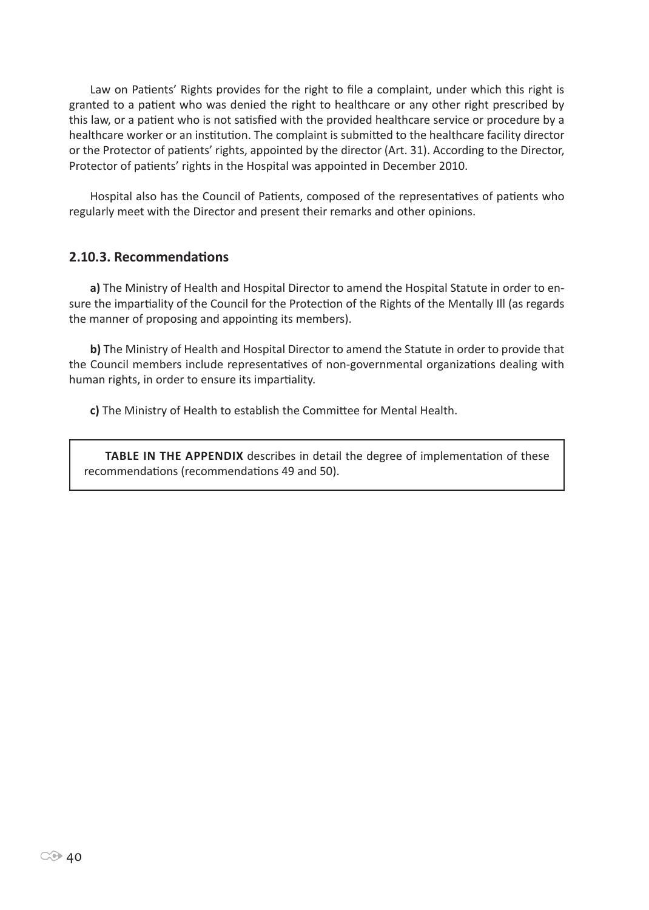Law on Patients' Rights provides for the right to file a complaint, under which this right is granted to a patient who was denied the right to healthcare or any other right prescribed by this law, or a patient who is not satisfied with the provided healthcare service or procedure by a healthcare worker or an institution. The complaint is submitted to the healthcare facility director or the Protector of patients' rights, appointed by the director (Art. 31). According to the Director, Protector of patients' rights in the Hospital was appointed in December 2010.

Hospital also has the Council of Patients, composed of the representatives of patients who regularly meet with the Director and present their remarks and other opinions.

#### **2.10.3. Recommendations**

**a)** The Ministry of Health and Hospital Director to amend the Hospital Statute in order to ensure the impartiality of the Council for the Protection of the Rights of the Mentally Ill (as regards the manner of proposing and appointing its members).

**b)** The Ministry of Health and Hospital Director to amend the Statute in order to provide that the Council members include representatives of non-governmental organizations dealing with human rights, in order to ensure its impartiality.

**c)** The Ministry of Health to establish the Committee for Mental Health.

**Table in the Appendix** describes in detail the degree of implementation of these recommendations (recommendations 49 and 50).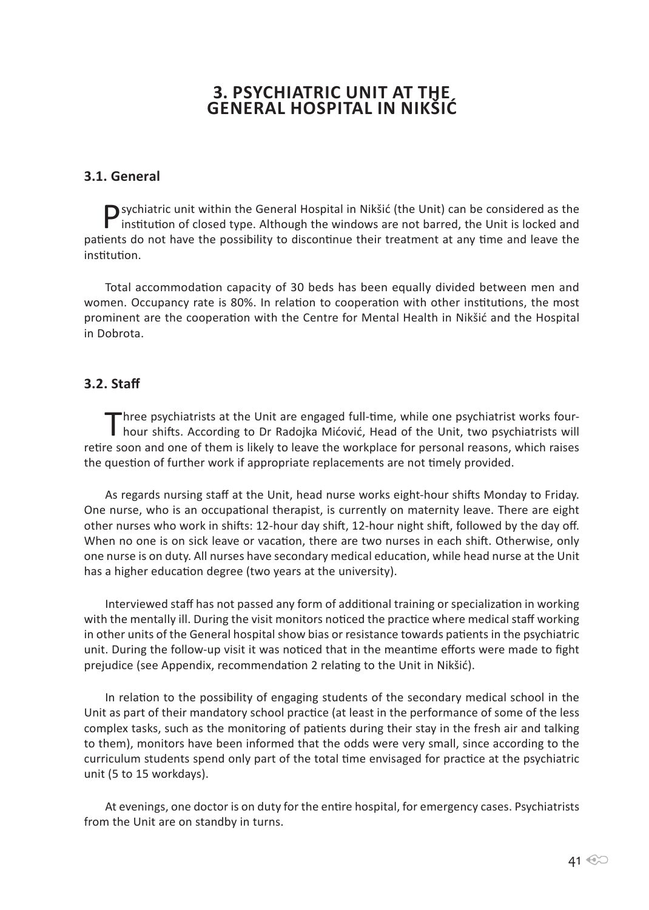# **3. Psychiatric unit at the General hospital in Nikšić**

# **3.1. General**

Psychiatric unit within the General Hospital in Nikšić (the Unit) can be considered as the institution of closed type. Although the wind is institution of closed type. Although the windows are not barred, the Unit is locked and patients do not have the possibility to discontinue their treatment at any time and leave the institution.

Total accommodation capacity of 30 beds has been equally divided between men and women. Occupancy rate is 80%. In relation to cooperation with other institutions, the most prominent are the cooperation with the Centre for Mental Health in Nikšić and the Hospital in Dobrota.

# **3.2. Staff**

Three psychiatrists at the Unit are engaged full-time, while one psychiatrist works four-<br>hour shifts. According to Dr Radojka Mićović, Head of the Unit, two psychiatrists will retire soon and one of them is likely to leave the workplace for personal reasons, which raises the question of further work if appropriate replacements are not timely provided.

As regards nursing staff at the Unit, head nurse works eight-hour shifts Monday to Friday. One nurse, who is an occupational therapist, is currently on maternity leave. There are eight other nurses who work in shifts: 12-hour day shift, 12-hour night shift, followed by the day off. When no one is on sick leave or vacation, there are two nurses in each shift. Otherwise, only one nurse is on duty. All nurses have secondary medical education, while head nurse at the Unit has a higher education degree (two years at the university).

Interviewed staff has not passed any form of additional training or specialization in working with the mentally ill. During the visit monitors noticed the practice where medical staff working in other units of the General hospital show bias or resistance towards patients in the psychiatric unit. During the follow-up visit it was noticed that in the meantime efforts were made to fight prejudice (see Appendix, recommendation 2 relating to the Unit in Nikšić).

In relation to the possibility of engaging students of the secondary medical school in the Unit as part of their mandatory school practice (at least in the performance of some of the less complex tasks, such as the monitoring of patients during their stay in the fresh air and talking to them), monitors have been informed that the odds were very small, since according to the curriculum students spend only part of the total time envisaged for practice at the psychiatric unit (5 to 15 workdays).

At evenings, one doctor is on duty for the entire hospital, for emergency cases. Psychiatrists from the Unit are on standby in turns.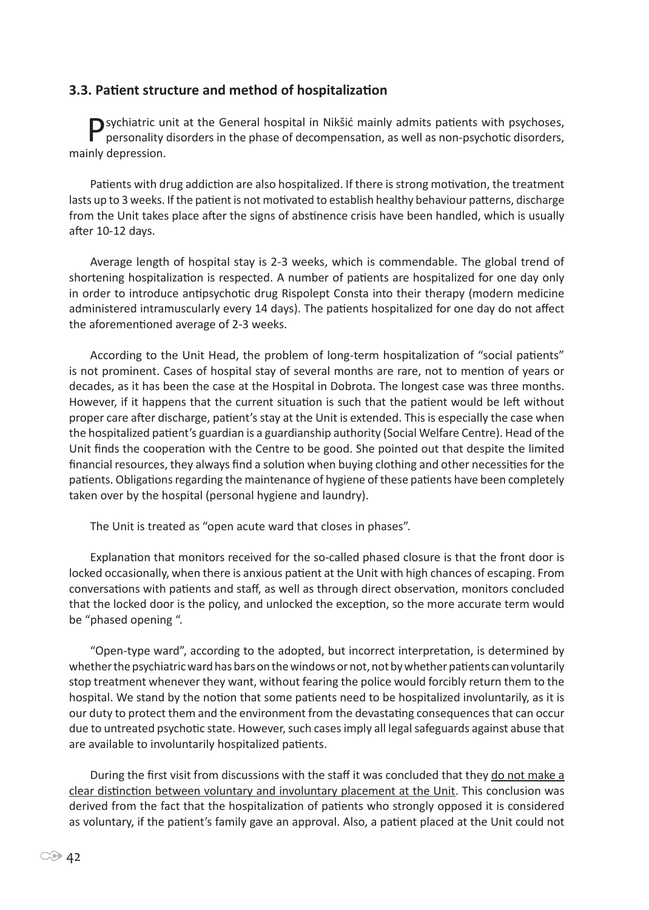#### **3.3. Patient structure and method of hospitalization**

Psychiatric unit at the General hospital in Nikšić mainly admits patients with psychoses, personality disorders in the phase of decompensation, as well as non-psychotic disorders, mainly depression.

Patients with drug addiction are also hospitalized. If there is strong motivation, the treatment lasts up to 3 weeks. If the patient is not motivated to establish healthy behaviour patterns, discharge from the Unit takes place after the signs of abstinence crisis have been handled, which is usually after 10-12 days.

Average length of hospital stay is 2-3 weeks, which is commendable. The global trend of shortening hospitalization is respected. A number of patients are hospitalized for one day only in order to introduce antipsychotic drug Rispolept Consta into their therapy (modern medicine administered intramuscularly every 14 days). The patients hospitalized for one day do not affect the aforementioned average of 2-3 weeks.

According to the Unit Head, the problem of long-term hospitalization of "social patients" is not prominent. Cases of hospital stay of several months are rare, not to mention of years or decades, as it has been the case at the Hospital in Dobrota. The longest case was three months. However, if it happens that the current situation is such that the patient would be left without proper care after discharge, patient's stay at the Unit is extended. This is especially the case when the hospitalized patient's guardian is a guardianship authority (Social Welfare Centre). Head of the Unit finds the cooperation with the Centre to be good. She pointed out that despite the limited financial resources, they always find a solution when buying clothing and other necessities for the patients. Obligations regarding the maintenance of hygiene of these patients have been completely taken over by the hospital (personal hygiene and laundry).

The Unit is treated as "open acute ward that closes in phases".

Explanation that monitors received for the so-called phased closure is that the front door is locked occasionally, when there is anxious patient at the Unit with high chances of escaping. From conversations with patients and staff, as well as through direct observation, monitors concluded that the locked door is the policy, and unlocked the exception, so the more accurate term would be "phased opening ".

"Open-type ward", according to the adopted, but incorrect interpretation, is determined by whether the psychiatric ward has bars on the windows or not, not by whether patients can voluntarily stop treatment whenever they want, without fearing the police would forcibly return them to the hospital. We stand by the notion that some patients need to be hospitalized involuntarily, as it is our duty to protect them and the environment from the devastating consequences that can occur due to untreated psychotic state. However, such cases imply all legal safeguards against abuse that are available to involuntarily hospitalized patients.

During the first visit from discussions with the staff it was concluded that they do not make a clear distinction between voluntary and involuntary placement at the Unit. This conclusion was derived from the fact that the hospitalization of patients who strongly opposed it is considered as voluntary, if the patient's family gave an approval. Also, a patient placed at the Unit could not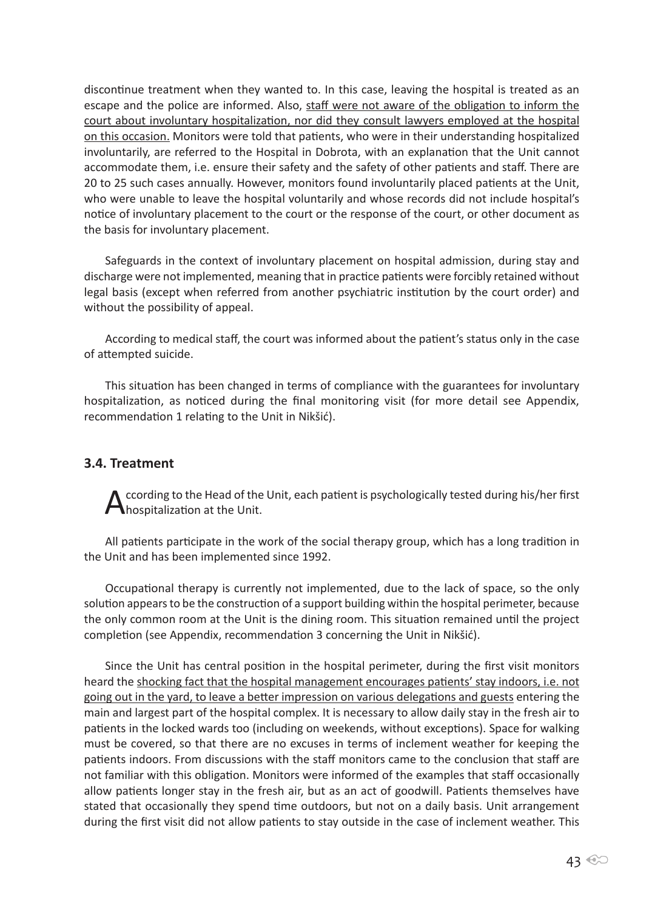discontinue treatment when they wanted to. In this case, leaving the hospital is treated as an escape and the police are informed. Also, staff were not aware of the obligation to inform the court about involuntary hospitalization, nor did they consult lawyers employed at the hospital on this occasion. Monitors were told that patients, who were in their understanding hospitalized involuntarily, are referred to the Hospital in Dobrota, with an explanation that the Unit cannot accommodate them, i.e. ensure their safety and the safety of other patients and staff. There are 20 to 25 such cases annually. However, monitors found involuntarily placed patients at the Unit, who were unable to leave the hospital voluntarily and whose records did not include hospital's notice of involuntary placement to the court or the response of the court, or other document as the basis for involuntary placement.

Safeguards in the context of involuntary placement on hospital admission, during stay and discharge were not implemented, meaning that in practice patients were forcibly retained without legal basis (except when referred from another psychiatric institution by the court order) and without the possibility of appeal.

According to medical staff, the court was informed about the patient's status only in the case of attempted suicide.

This situation has been changed in terms of compliance with the guarantees for involuntary hospitalization, as noticed during the final monitoring visit (for more detail see Appendix, recommendation 1 relating to the Unit in Nikšić).

## **3.4. Treatment**

ccording to the Head of the Unit, each patient is psychologically tested during his/her first **A**hospitalization at the Unit.

All patients participate in the work of the social therapy group, which has a long tradition in the Unit and has been implemented since 1992.

Occupational therapy is currently not implemented, due to the lack of space, so the only solution appears to be the construction of a support building within the hospital perimeter, because the only common room at the Unit is the dining room. This situation remained until the project completion (see Appendix, recommendation 3 concerning the Unit in Nikšić).

Since the Unit has central position in the hospital perimeter, during the first visit monitors heard the shocking fact that the hospital management encourages patients' stay indoors, i.e. not going out in the yard, to leave a better impression on various delegations and guests entering the main and largest part of the hospital complex. It is necessary to allow daily stay in the fresh air to patients in the locked wards too (including on weekends, without exceptions). Space for walking must be covered, so that there are no excuses in terms of inclement weather for keeping the patients indoors. From discussions with the staff monitors came to the conclusion that staff are not familiar with this obligation. Monitors were informed of the examples that staff occasionally allow patients longer stay in the fresh air, but as an act of goodwill. Patients themselves have stated that occasionally they spend time outdoors, but not on a daily basis. Unit arrangement during the first visit did not allow patients to stay outside in the case of inclement weather. This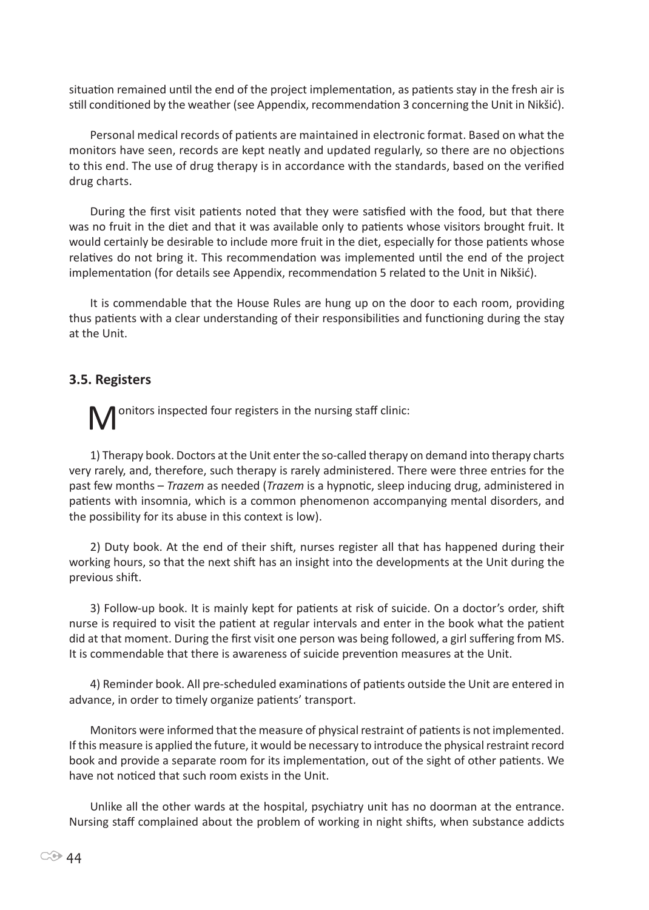situation remained until the end of the project implementation, as patients stay in the fresh air is still conditioned by the weather (see Appendix, recommendation 3 concerning the Unit in Nikšić).

Personal medical records of patients are maintained in electronic format. Based on what the monitors have seen, records are kept neatly and updated regularly, so there are no objections to this end. The use of drug therapy is in accordance with the standards, based on the verified drug charts.

During the first visit patients noted that they were satisfied with the food, but that there was no fruit in the diet and that it was available only to patients whose visitors brought fruit. It would certainly be desirable to include more fruit in the diet, especially for those patients whose relatives do not bring it. This recommendation was implemented until the end of the project implementation (for details see Appendix, recommendation 5 related to the Unit in Nikšić).

It is commendable that the House Rules are hung up on the door to each room, providing thus patients with a clear understanding of their responsibilities and functioning during the stay at the Unit.

#### **3.5. Registers**

onitors inspected four registers in the nursing staff clinic:

1) Therapy book. Doctors at the Unit enter the so-called therapy on demand into therapy charts very rarely, and, therefore, such therapy is rarely administered. There were three entries for the past few months – *Trazem* as needed (*Trazem* is a hypnotic, sleep inducing drug, administered in patients with insomnia, which is a common phenomenon accompanying mental disorders, and the possibility for its abuse in this context is low).

2) Duty book. At the end of their shift, nurses register all that has happened during their working hours, so that the next shift has an insight into the developments at the Unit during the previous shift.

3) Follow-up book. It is mainly kept for patients at risk of suicide. On a doctor's order, shift nurse is required to visit the patient at regular intervals and enter in the book what the patient did at that moment. During the first visit one person was being followed, a girl suffering from MS. It is commendable that there is awareness of suicide prevention measures at the Unit.

4) Reminder book. All pre-scheduled examinations of patients outside the Unit are entered in advance, in order to timely organize patients' transport.

Monitors were informed that the measure of physical restraint of patients is not implemented. If this measure is applied the future, it would be necessary to introduce the physical restraint record book and provide a separate room for its implementation, out of the sight of other patients. We have not noticed that such room exists in the Unit.

Unlike all the other wards at the hospital, psychiatry unit has no doorman at the entrance. Nursing staff complained about the problem of working in night shifts, when substance addicts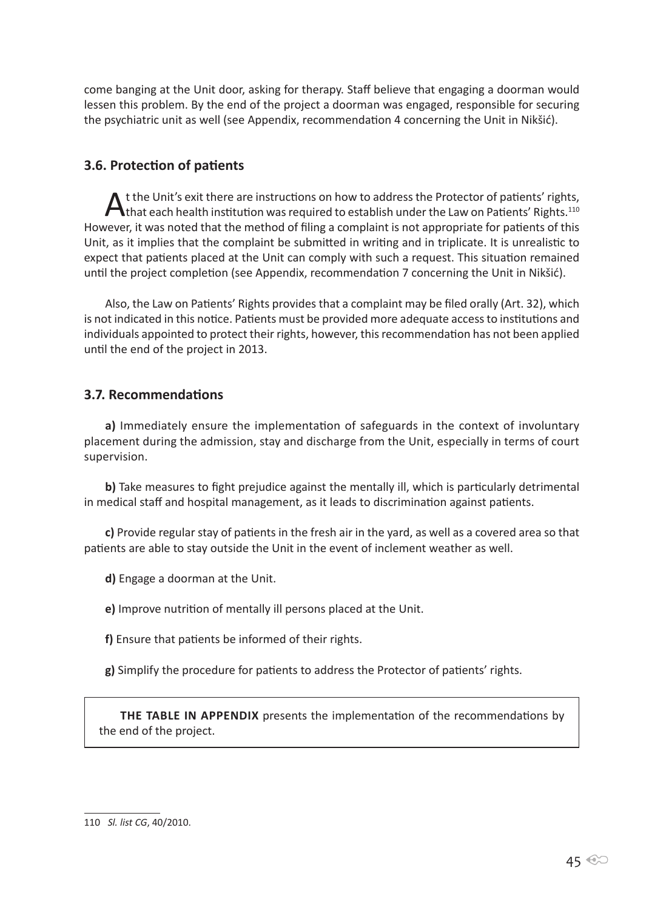come banging at the Unit door, asking for therapy. Staff believe that engaging a doorman would lessen this problem. By the end of the project a doorman was engaged, responsible for securing the psychiatric unit as well (see Appendix, recommendation 4 concerning the Unit in Nikšić).

# **3.6. Protection of patients**

At the Unit's exit there are instructions on how to address the Protector of patients' rights,<br>that each health institution was required to establish under the Law on Patients' Rights.<sup>110</sup> However, it was noted that the method of filing a complaint is not appropriate for patients of this Unit, as it implies that the complaint be submitted in writing and in triplicate. It is unrealistic to expect that patients placed at the Unit can comply with such a request. This situation remained until the project completion (see Appendix, recommendation 7 concerning the Unit in Nikšić).

Also, the Law on Patients' Rights provides that a complaint may be filed orally (Art. 32), which is not indicated in this notice. Patients must be provided more adequate access to institutions and individuals appointed to protect their rights, however, this recommendation has not been applied until the end of the project in 2013.

## **3.7. Recommendations**

**a)** Immediately ensure the implementation of safeguards in the context of involuntary placement during the admission, stay and discharge from the Unit, especially in terms of court supervision.

**b)** Take measures to fight prejudice against the mentally ill, which is particularly detrimental in medical staff and hospital management, as it leads to discrimination against patients.

**c)** Provide regular stay of patients in the fresh air in the yard, as well as a covered area so that patients are able to stay outside the Unit in the event of inclement weather as well.

**d)** Engage a doorman at the Unit.

**e)** Improve nutrition of mentally ill persons placed at the Unit.

**f)** Ensure that patients be informed of their rights.

**g)** Simplify the procedure for patients to address the Protector of patients' rights.

**THE TABLE IN APPENDIX** presents the implementation of the recommendations by the end of the project.

<sup>110</sup> *Sl. list CG*, 40/2010.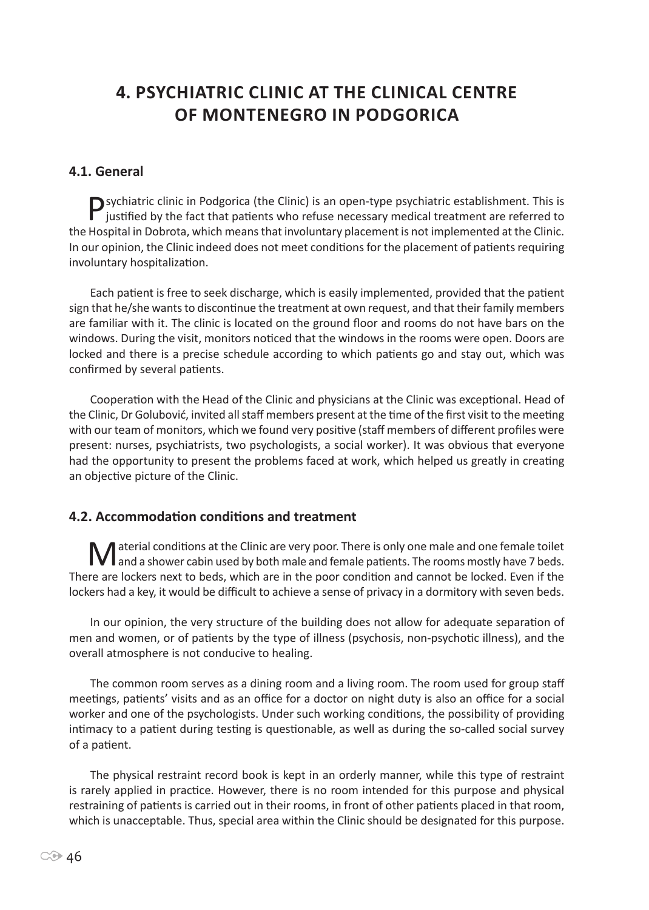# **4. Psychiatric clinic at the Clinical Centre of Montenegro in Podgorica**

# **4.1. General**

Psychiatric clinic in Podgorica (the Clinic) is an open-type psychiatric establishment. This is justified by the fact that patients who refuse necessary medical treatment are referred to the Hospital in Dobrota, which means that involuntary placement is not implemented at the Clinic. In our opinion, the Clinic indeed does not meet conditions for the placement of patients requiring involuntary hospitalization.

Each patient is free to seek discharge, which is easily implemented, provided that the patient sign that he/she wants to discontinue the treatment at own request, and that their family members are familiar with it. The clinic is located on the ground floor and rooms do not have bars on the windows. During the visit, monitors noticed that the windows in the rooms were open. Doors are locked and there is a precise schedule according to which patients go and stay out, which was confirmed by several patients.

Cooperation with the Head of the Clinic and physicians at the Clinic was exceptional. Head of the Clinic, Dr Golubović, invited all staff members present at the time of the first visit to the meeting with our team of monitors, which we found very positive (staff members of different profiles were present: nurses, psychiatrists, two psychologists, a social worker). It was obvious that everyone had the opportunity to present the problems faced at work, which helped us greatly in creating an objective picture of the Clinic.

# **4.2. Accommodation conditions and treatment**

Material conditions at the Clinic are very poor. There is only one male and one female toilet<br>and a shower cabin used by both male and female patients. The rooms mostly have 7 beds. There are lockers next to beds, which are in the poor condition and cannot be locked. Even if the lockers had a key, it would be difficult to achieve a sense of privacy in a dormitory with seven beds.

In our opinion, the very structure of the building does not allow for adequate separation of men and women, or of patients by the type of illness (psychosis, non-psychotic illness), and the overall atmosphere is not conducive to healing.

The common room serves as a dining room and a living room. The room used for group staff meetings, patients' visits and as an office for a doctor on night duty is also an office for a social worker and one of the psychologists. Under such working conditions, the possibility of providing intimacy to a patient during testing is questionable, as well as during the so-called social survey of a patient.

The physical restraint record book is kept in an orderly manner, while this type of restraint is rarely applied in practice. However, there is no room intended for this purpose and physical restraining of patients is carried out in their rooms, in front of other patients placed in that room, which is unacceptable. Thus, special area within the Clinic should be designated for this purpose.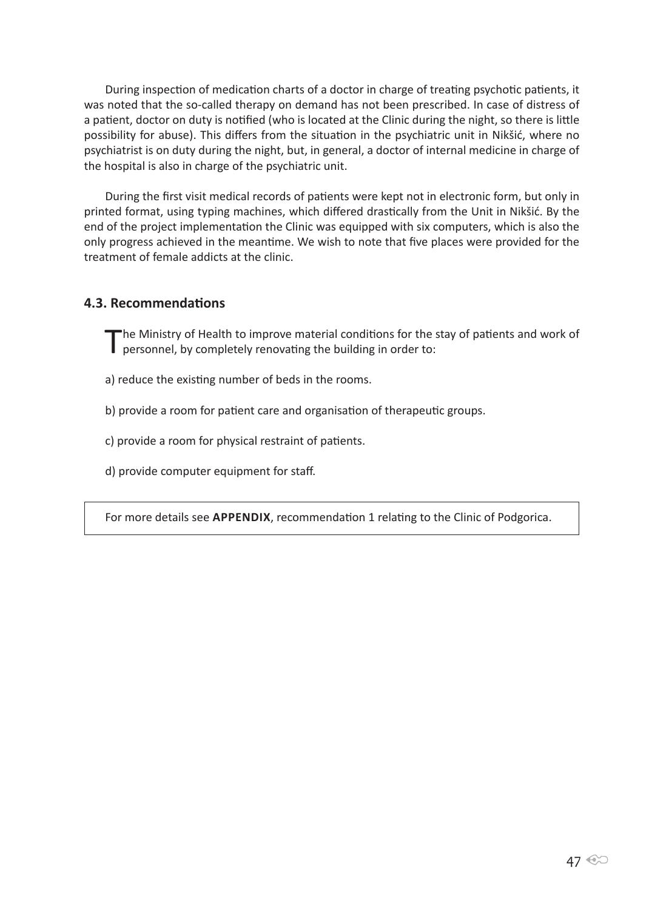During inspection of medication charts of a doctor in charge of treating psychotic patients, it was noted that the so-called therapy on demand has not been prescribed. In case of distress of a patient, doctor on duty is notified (who is located at the Clinic during the night, so there is little possibility for abuse). This differs from the situation in the psychiatric unit in Nikšić, where no psychiatrist is on duty during the night, but, in general, a doctor of internal medicine in charge of the hospital is also in charge of the psychiatric unit.

During the first visit medical records of patients were kept not in electronic form, but only in printed format, using typing machines, which differed drastically from the Unit in Nikšić. By the end of the project implementation the Clinic was equipped with six computers, which is also the only progress achieved in the meantime. We wish to note that five places were provided for the treatment of female addicts at the clinic.

#### **4.3. Recommendations**

The Ministry of Health to improve material conditions for the stay of patients and work of personnel, by completely renovating the building in order to:

- a) reduce the existing number of beds in the rooms.
- b) provide a room for patient care and organisation of therapeutic groups.
- c) provide a room for physical restraint of patients.
- d) provide computer equipment for staff.

For more details see **APPENDIX**, recommendation 1 relating to the Clinic of Podgorica.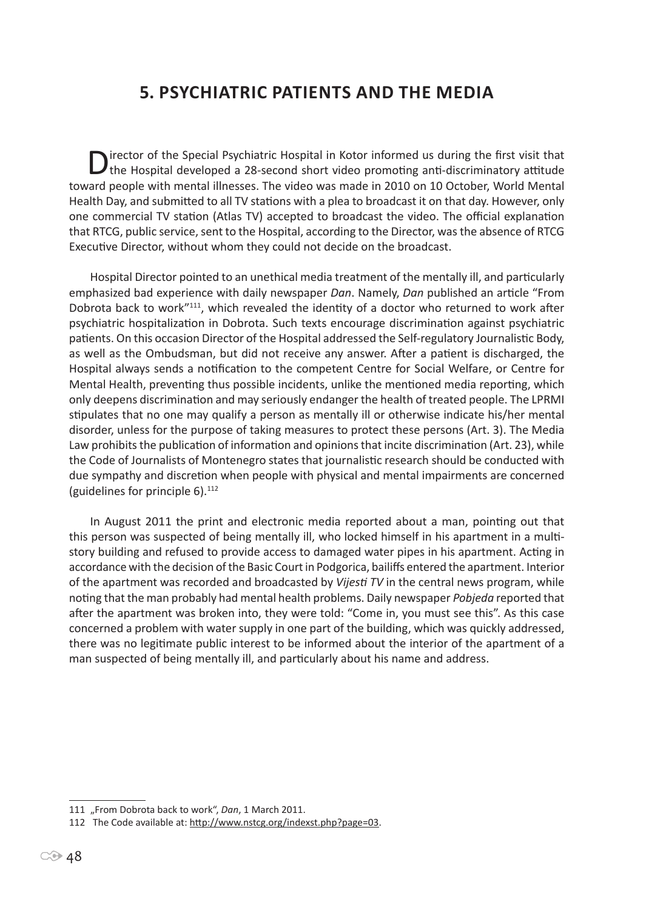# **5. Psychiatric patients and the media**

Director of the Special Psychiatric Hospital in Kotor informed us during the first visit that the Hospital developed a 28-second short video promoting anti-discriminatory attitude toward people with mental illnesses. The video was made in 2010 on 10 October, World Mental Health Day, and submitted to all TV stations with a plea to broadcast it on that day. However, only one commercial TV station (Atlas TV) accepted to broadcast the video. The official explanation that RTCG, public service, sent to the Hospital, according to the Director, was the absence of RTCG Executive Director, without whom they could not decide on the broadcast.

Hospital Director pointed to an unethical media treatment of the mentally ill, and particularly emphasized bad experience with daily newspaper *Dan*. Namely, *Dan* published an article "From Dobrota back to work"<sup>111</sup>, which revealed the identity of a doctor who returned to work after psychiatric hospitalization in Dobrota. Such texts encourage discrimination against psychiatric patients. On this occasion Director of the Hospital addressed the Self-regulatory Journalistic Body, as well as the Ombudsman, but did not receive any answer. After a patient is discharged, the Hospital always sends a notification to the competent Centre for Social Welfare, or Centre for Mental Health, preventing thus possible incidents, unlike the mentioned media reporting, which only deepens discrimination and may seriously endanger the health of treated people. The LPRMI stipulates that no one may qualify a person as mentally ill or otherwise indicate his/her mental disorder, unless for the purpose of taking measures to protect these persons (Art. 3). The Media Law prohibits the publication of information and opinions that incite discrimination (Art. 23), while the Code of Journalists of Montenegro states that journalistic research should be conducted with due sympathy and discretion when people with physical and mental impairments are concerned (guidelines for principle  $6$ ).<sup>112</sup>

In August 2011 the print and electronic media reported about a man, pointing out that this person was suspected of being mentally ill, who locked himself in his apartment in a multistory building and refused to provide access to damaged water pipes in his apartment. Acting in accordance with the decision of the Basic Court in Podgorica, bailiffs entered the apartment. Interior of the apartment was recorded and broadcasted by *Vijesti TV* in the central news program, while noting that the man probably had mental health problems. Daily newspaper *Pobjeda* reported that after the apartment was broken into, they were told: "Come in, you must see this". As this case concerned a problem with water supply in one part of the building, which was quickly addressed, there was no legitimate public interest to be informed about the interior of the apartment of a man suspected of being mentally ill, and particularly about his name and address.

<sup>111 &</sup>quot;From Dobrota back to work", *Dan*, 1 March 2011.

<sup>112</sup> The Code available at: http://www.nstcg.org/indexst.php?page=03.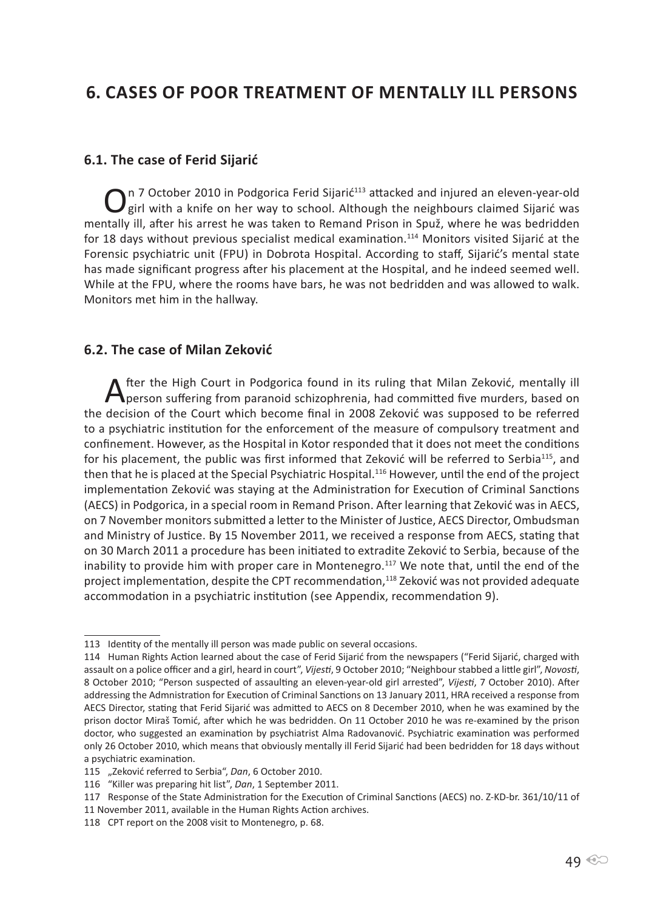# **6. Cases of poor treatment of mentally ill persons**

#### **6.1. The case of Ferid Sijarić**

On 7 October 2010 in Podgorica Ferid Sijarić<sup>113</sup> attacked and injured an eleven-year-old girl with a knife on her way to school. Although the neighbours claimed Sijarić was mentally ill, after his arrest he was taken to Remand Prison in Spuž, where he was bedridden for 18 days without previous specialist medical examination.<sup>114</sup> Monitors visited Sijarić at the Forensic psychiatric unit (FPU) in Dobrota Hospital. According to staff, Sijarić's mental state has made significant progress after his placement at the Hospital, and he indeed seemed well. While at the FPU, where the rooms have bars, he was not bedridden and was allowed to walk. Monitors met him in the hallway.

#### **6.2. The case of Milan Zeković**

After the High Court in Podgorica found in its ruling that Milan Zeković, mentally ill<br>person suffering from paranoid schizophrenia, had committed five murders, based on the decision of the Court which become final in 2008 Zeković was supposed to be referred to a psychiatric institution for the enforcement of the measure of compulsory treatment and confinement. However, as the Hospital in Kotor responded that it does not meet the conditions for his placement, the public was first informed that Zeković will be referred to Serbia<sup>115</sup>, and then that he is placed at the Special Psychiatric Hospital.<sup>116</sup> However, until the end of the project implementation Zeković was staying at the Administration for Execution of Criminal Sanctions (AECS) in Podgorica, in a special room in Remand Prison. After learning that Zeković was in AECS, on 7 November monitors submitted a letter to the Minister of Justice, AECS Director, Ombudsman and Ministry of Justice. By 15 November 2011, we received a response from AECS, stating that on 30 March 2011 a procedure has been initiated to extradite Zeković to Serbia, because of the inability to provide him with proper care in Montenegro.<sup>117</sup> We note that, until the end of the project implementation, despite the CPT recommendation,<sup>118</sup> Zeković was not provided adequate accommodation in a psychiatric institution (see Appendix, recommendation 9).

<sup>113</sup> Identity of the mentally ill person was made public on several occasions.

<sup>114</sup> Human Rights Action learned about the case of Ferid Sijarić from the newspapers ("Ferid Sijarić, charged with assault on a police officer and a girl, heard in court", *Vijesti*, 9 October 2010; "Neighbour stabbed a little girl", *Novosti*, 8 October 2010; "Person suspected of assaulting an eleven-year-old girl arrested", *Vijesti*, 7 October 2010). After addressing the Admnistration for Execution of Criminal Sanctions on 13 January 2011, HRA received a response from AECS Director, stating that Ferid Sijarić was admitted to AECS on 8 December 2010, when he was examined by the prison doctor Miraš Tomić, after which he was bedridden. On 11 October 2010 he was re-examined by the prison doctor, who suggested an examination by psychiatrist Alma Radovanović. Psychiatric examination was performed only 26 October 2010, which means that obviously mentally ill Ferid Sijarić had been bedridden for 18 days without a psychiatric examination.

<sup>115 &</sup>quot;Zeković referred to Serbia", *Dan*, 6 October 2010.

<sup>116 &</sup>quot;Killer was preparing hit list", *Dan*, 1 September 2011.

<sup>117</sup> Response of the State Administration for the Execution of Criminal Sanctions (AECS) no. Z-KD-br. 361/10/11 of

<sup>11</sup> November 2011, available in the Human Rights Action archives.

<sup>118</sup> CPT report on the 2008 visit to Montenegro, p. 68.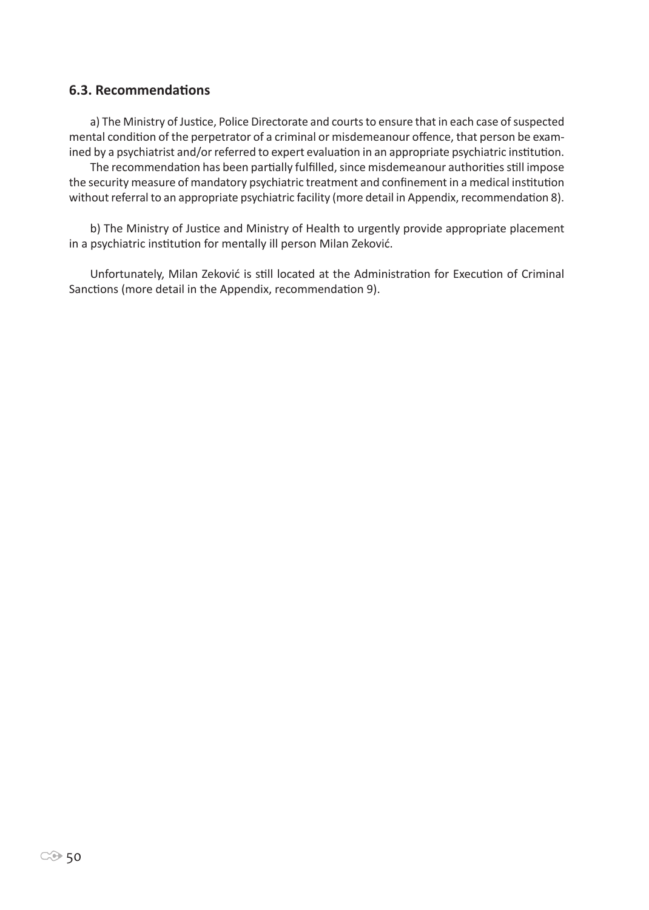#### **6.3. Recommendations**

a) The Ministry of Justice, Police Directorate and courts to ensure that in each case of suspected mental condition of the perpetrator of a criminal or misdemeanour offence, that person be examined by a psychiatrist and/or referred to expert evaluation in an appropriate psychiatric institution.

The recommendation has been partially fulfilled, since misdemeanour authorities still impose the security measure of mandatory psychiatric treatment and confinement in a medical institution without referral to an appropriate psychiatric facility (more detail in Appendix, recommendation 8).

b) The Ministry of Justice and Ministry of Health to urgently provide appropriate placement in a psychiatric institution for mentally ill person Milan Zeković.

Unfortunately, Milan Zeković is still located at the Administration for Execution of Criminal Sanctions (more detail in the Appendix, recommendation 9).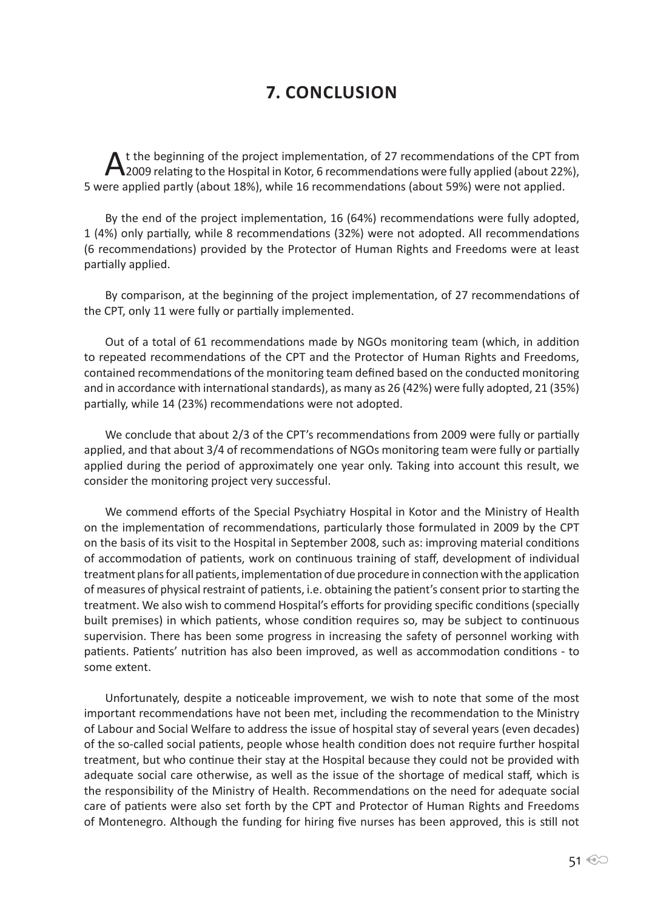# **7. Conclusion**

At the beginning of the project implementation, of 27 recommendations of the CPT from<br>
2009 relating to the Hospital in Kotor, 6 recommendations were fully applied (about 22%), 5 were applied partly (about 18%), while 16 recommendations (about 59%) were not applied.

By the end of the project implementation, 16 (64%) recommendations were fully adopted, 1 (4%) only partially, while 8 recommendations (32%) were not adopted. All recommendations (6 recommendations) provided by the Protector of Human Rights and Freedoms were at least partially applied.

By comparison, at the beginning of the project implementation, of 27 recommendations of the CPT, only 11 were fully or partially implemented.

Out of a total of 61 recommendations made by NGOs monitoring team (which, in addition to repeated recommendations of the CPT and the Protector of Human Rights and Freedoms, contained recommendations of the monitoring team defined based on the conducted monitoring and in accordance with international standards), as many as 26 (42%) were fully adopted, 21 (35%) partially, while 14 (23%) recommendations were not adopted.

We conclude that about 2/3 of the CPT's recommendations from 2009 were fully or partially applied, and that about 3/4 of recommendations of NGOs monitoring team were fully or partially applied during the period of approximately one year only. Taking into account this result, we consider the monitoring project very successful.

We commend efforts of the Special Psychiatry Hospital in Kotor and the Ministry of Health on the implementation of recommendations, particularly those formulated in 2009 by the CPT on the basis of its visit to the Hospital in September 2008, such as: improving material conditions of accommodation of patients, work on continuous training of staff, development of individual treatment plans for all patients, implementation of due procedure in connection with the application of measures of physical restraint of patients, i.e. obtaining the patient's consent prior to starting the treatment. We also wish to commend Hospital's efforts for providing specific conditions (specially built premises) in which patients, whose condition requires so, may be subject to continuous supervision. There has been some progress in increasing the safety of personnel working with patients. Patients' nutrition has also been improved, as well as accommodation conditions - to some extent.

Unfortunately, despite a noticeable improvement, we wish to note that some of the most important recommendations have not been met, including the recommendation to the Ministry of Labour and Social Welfare to address the issue of hospital stay of several years (even decades) of the so-called social patients, people whose health condition does not require further hospital treatment, but who continue their stay at the Hospital because they could not be provided with adequate social care otherwise, as well as the issue of the shortage of medical staff, which is the responsibility of the Ministry of Health. Recommendations on the need for adequate social care of patients were also set forth by the CPT and Protector of Human Rights and Freedoms of Montenegro. Although the funding for hiring five nurses has been approved, this is still not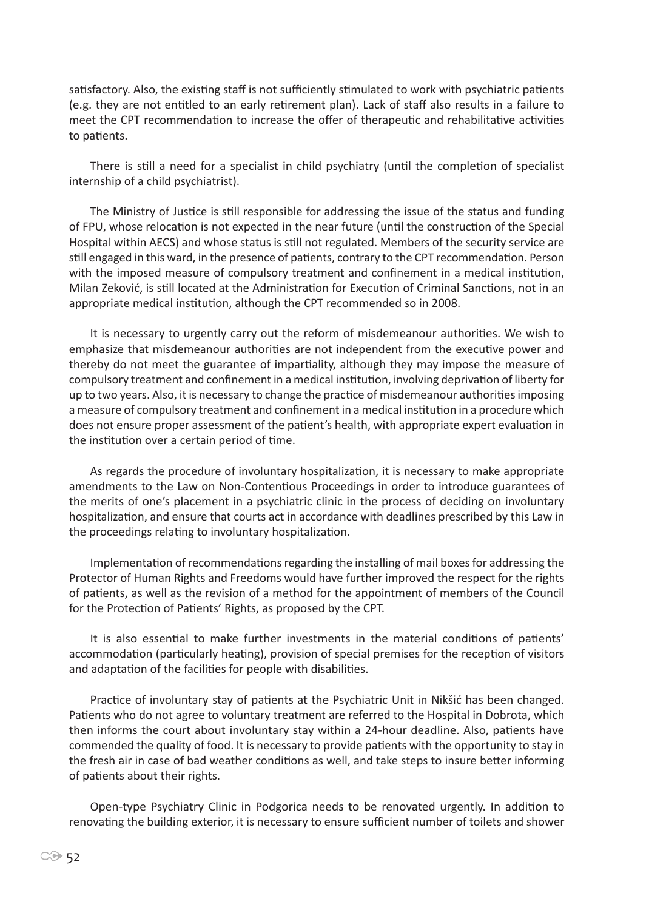satisfactory. Also, the existing staff is not sufficiently stimulated to work with psychiatric patients (e.g. they are not entitled to an early retirement plan). Lack of staff also results in a failure to meet the CPT recommendation to increase the offer of therapeutic and rehabilitative activities to patients.

There is still a need for a specialist in child psychiatry (until the completion of specialist internship of a child psychiatrist).

The Ministry of Justice is still responsible for addressing the issue of the status and funding of FPU, whose relocation is not expected in the near future (until the construction of the Special Hospital within AECS) and whose status is still not regulated. Members of the security service are still engaged in this ward, in the presence of patients, contrary to the CPT recommendation. Person with the imposed measure of compulsory treatment and confinement in a medical institution, Milan Zeković, is still located at the Administration for Execution of Criminal Sanctions, not in an appropriate medical institution, although the CPT recommended so in 2008.

It is necessary to urgently carry out the reform of misdemeanour authorities. We wish to emphasize that misdemeanour authorities are not independent from the executive power and thereby do not meet the guarantee of impartiality, although they may impose the measure of compulsory treatment and confinement in a medical institution, involving deprivation of liberty for up to two years. Also, it is necessary to change the practice of misdemeanour authorities imposing a measure of compulsory treatment and confinement in a medical institution in a procedure which does not ensure proper assessment of the patient's health, with appropriate expert evaluation in the institution over a certain period of time.

As regards the procedure of involuntary hospitalization, it is necessary to make appropriate amendments to the Law on Non-Contentious Proceedings in order to introduce guarantees of the merits of one's placement in a psychiatric clinic in the process of deciding on involuntary hospitalization, and ensure that courts act in accordance with deadlines prescribed by this Law in the proceedings relating to involuntary hospitalization.

Implementation of recommendations regarding the installing of mail boxes for addressing the Protector of Human Rights and Freedoms would have further improved the respect for the rights of patients, as well as the revision of a method for the appointment of members of the Council for the Protection of Patients' Rights, as proposed by the CPT.

It is also essential to make further investments in the material conditions of patients' accommodation (particularly heating), provision of special premises for the reception of visitors and adaptation of the facilities for people with disabilities.

Practice of involuntary stay of patients at the Psychiatric Unit in Nikšić has been changed. Patients who do not agree to voluntary treatment are referred to the Hospital in Dobrota, which then informs the court about involuntary stay within a 24-hour deadline. Also, patients have commended the quality of food. It is necessary to provide patients with the opportunity to stay in the fresh air in case of bad weather conditions as well, and take steps to insure better informing of patients about their rights.

Open-type Psychiatry Clinic in Podgorica needs to be renovated urgently. In addition to renovating the building exterior, it is necessary to ensure sufficient number of toilets and shower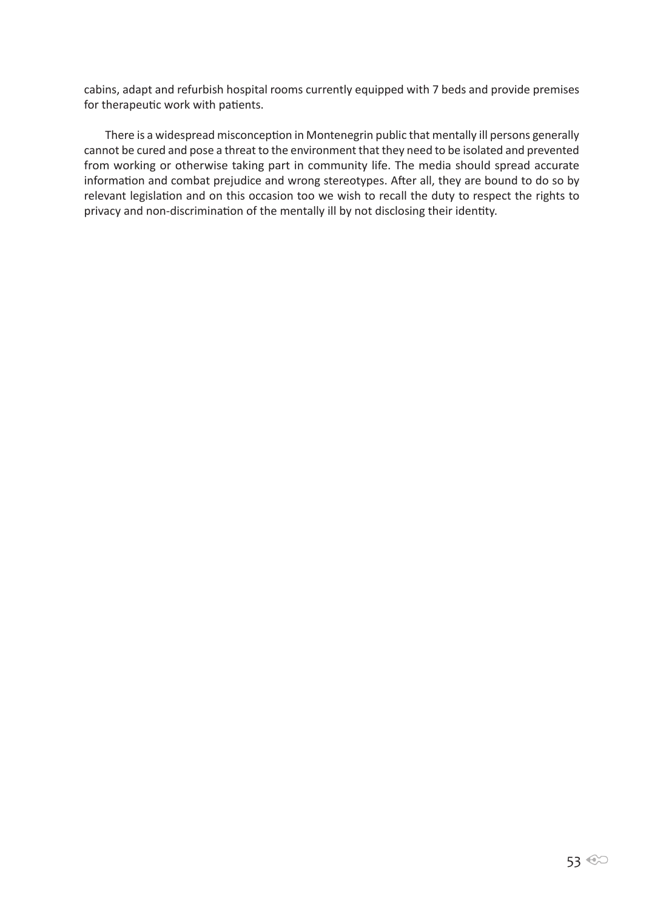cabins, adapt and refurbish hospital rooms currently equipped with 7 beds and provide premises for therapeutic work with patients.

There is a widespread misconception in Montenegrin public that mentally ill persons generally cannot be cured and pose a threat to the environment that they need to be isolated and prevented from working or otherwise taking part in community life. The media should spread accurate information and combat prejudice and wrong stereotypes. After all, they are bound to do so by relevant legislation and on this occasion too we wish to recall the duty to respect the rights to privacy and non-discrimination of the mentally ill by not disclosing their identity.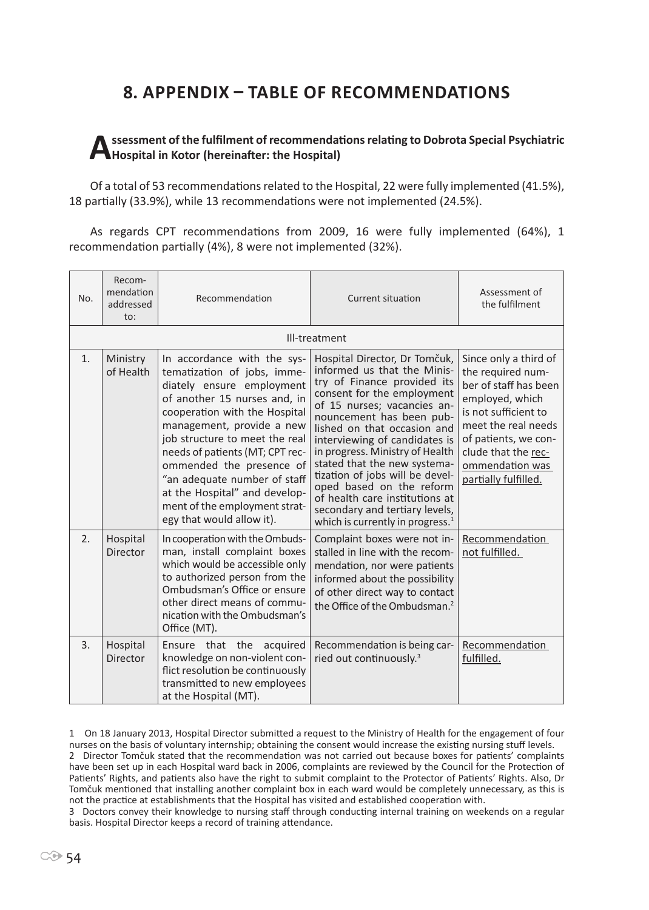# **8. Appendix – Table of recommendations**

#### **Assessment of the fulfilment of recommendations relating to Dobrota Special Psychiatric Hospital in Kotor (hereinafter: the Hospital)**

Of a total of 53 recommendations related to the Hospital, 22 were fully implemented (41.5%), 18 partially (33.9%), while 13 recommendations were not implemented (24.5%).

As regards CPT recommendations from 2009, 16 were fully implemented (64%), 1 recommendation partially (4%), 8 were not implemented (32%).

| No. | Recom-<br>mendation<br>addressed<br>to: | Recommendation                                                                                                                                                                                                                                                                                                                                                                                                        | Current situation                                                                                                                                                                                                                                                                                                                                                                                                                                                                                 | Assessment of<br>the fulfilment                                                                                                                                                                                                 |
|-----|-----------------------------------------|-----------------------------------------------------------------------------------------------------------------------------------------------------------------------------------------------------------------------------------------------------------------------------------------------------------------------------------------------------------------------------------------------------------------------|---------------------------------------------------------------------------------------------------------------------------------------------------------------------------------------------------------------------------------------------------------------------------------------------------------------------------------------------------------------------------------------------------------------------------------------------------------------------------------------------------|---------------------------------------------------------------------------------------------------------------------------------------------------------------------------------------------------------------------------------|
|     |                                         |                                                                                                                                                                                                                                                                                                                                                                                                                       | Ill-treatment                                                                                                                                                                                                                                                                                                                                                                                                                                                                                     |                                                                                                                                                                                                                                 |
| 1.  | Ministry<br>of Health                   | In accordance with the sys-<br>tematization of jobs, imme-<br>diately ensure employment<br>of another 15 nurses and, in<br>cooperation with the Hospital<br>management, provide a new<br>job structure to meet the real<br>needs of patients (MT; CPT rec-<br>ommended the presence of<br>"an adequate number of staff<br>at the Hospital" and develop-<br>ment of the employment strat-<br>egy that would allow it). | Hospital Director, Dr Tomčuk,<br>informed us that the Minis-<br>try of Finance provided its<br>consent for the employment<br>of 15 nurses; vacancies an-<br>nouncement has been pub-<br>lished on that occasion and<br>interviewing of candidates is<br>in progress. Ministry of Health<br>stated that the new systema-<br>tization of jobs will be devel-<br>oped based on the reform<br>of health care institutions at<br>secondary and tertiary levels,<br>which is currently in progress. $1$ | Since only a third of<br>the required num-<br>ber of staff has been<br>employed, which<br>is not sufficient to<br>meet the real needs<br>of patients, we con-<br>clude that the rec-<br>ommendation was<br>partially fulfilled. |
| 2.  | Hospital<br><b>Director</b>             | In cooperation with the Ombuds-<br>man, install complaint boxes<br>which would be accessible only<br>to authorized person from the<br>Ombudsman's Office or ensure<br>other direct means of commu-<br>nication with the Ombudsman's<br>Office (MT).                                                                                                                                                                   | Complaint boxes were not in-<br>stalled in line with the recom-<br>mendation, nor were patients<br>informed about the possibility<br>of other direct way to contact<br>the Office of the Ombudsman. <sup>2</sup>                                                                                                                                                                                                                                                                                  | Recommendation<br>not fulfilled.                                                                                                                                                                                                |
| 3.  | Hospital<br><b>Director</b>             | Ensure that the<br>acquired<br>knowledge on non-violent con-<br>flict resolution be continuously<br>transmitted to new employees<br>at the Hospital (MT).                                                                                                                                                                                                                                                             | Recommendation is being car-<br>ried out continuously. <sup>3</sup>                                                                                                                                                                                                                                                                                                                                                                                                                               | Recommendation<br>fulfilled.                                                                                                                                                                                                    |

1 On 18 January 2013, Hospital Director submitted a request to the Ministry of Health for the engagement of four nurses on the basis of voluntary internship; obtaining the consent would increase the existing nursing stuff levels. 2 Director Tomčuk stated that the recommendation was not carried out because boxes for patients' complaints have been set up in each Hospital ward back in 2006, complaints are reviewed by the Council for the Protection of Patients' Rights, and patients also have the right to submit complaint to the Protector of Patients' Rights. Also, Dr Tomčuk mentioned that installing another complaint box in each ward would be completely unnecessary, as this is not the practice at establishments that the Hospital has visited and established cooperation with.

3 Doctors convey their knowledge to nursing staff through conducting internal training on weekends on a regular basis. Hospital Director keeps a record of training attendance.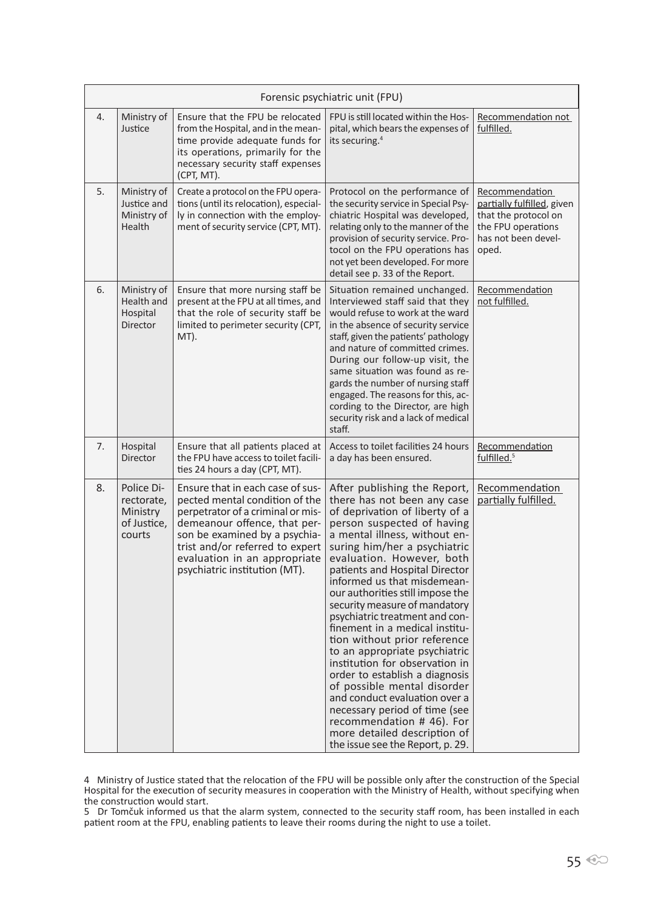|    | Forensic psychiatric unit (FPU)                               |                                                                                                                                                                                                                                                                              |                                                                                                                                                                                                                                                                                                                                                                                                                                                                                                                                                                                                                                                                                                                                                                           |                                                                                                                            |
|----|---------------------------------------------------------------|------------------------------------------------------------------------------------------------------------------------------------------------------------------------------------------------------------------------------------------------------------------------------|---------------------------------------------------------------------------------------------------------------------------------------------------------------------------------------------------------------------------------------------------------------------------------------------------------------------------------------------------------------------------------------------------------------------------------------------------------------------------------------------------------------------------------------------------------------------------------------------------------------------------------------------------------------------------------------------------------------------------------------------------------------------------|----------------------------------------------------------------------------------------------------------------------------|
| 4. | Ministry of<br>Justice                                        | Ensure that the FPU be relocated<br>from the Hospital, and in the mean-<br>time provide adequate funds for<br>its operations, primarily for the<br>necessary security staff expenses<br>(CPT, MT).                                                                           | FPU is still located within the Hos-<br>pital, which bears the expenses of<br>its securing. <sup>4</sup>                                                                                                                                                                                                                                                                                                                                                                                                                                                                                                                                                                                                                                                                  | Recommendation not<br>fulfilled.                                                                                           |
| 5. | Ministry of<br>Justice and<br>Ministry of<br>Health           | Create a protocol on the FPU opera-<br>tions (until its relocation), especial-<br>ly in connection with the employ-<br>ment of security service (CPT, MT).                                                                                                                   | Protocol on the performance of<br>the security service in Special Psy-<br>chiatric Hospital was developed,<br>relating only to the manner of the<br>provision of security service. Pro-<br>tocol on the FPU operations has<br>not yet been developed. For more<br>detail see p. 33 of the Report.                                                                                                                                                                                                                                                                                                                                                                                                                                                                         | Recommendation<br>partially fulfilled, given<br>that the protocol on<br>the FPU operations<br>has not been devel-<br>oped. |
| 6. | Ministry of<br>Health and<br>Hospital<br><b>Director</b>      | Ensure that more nursing staff be<br>present at the FPU at all times, and<br>that the role of security staff be<br>limited to perimeter security (CPT,<br>MT).                                                                                                               | Situation remained unchanged.<br>Interviewed staff said that they<br>would refuse to work at the ward<br>in the absence of security service<br>staff, given the patients' pathology<br>and nature of committed crimes.<br>During our follow-up visit, the<br>same situation was found as re-<br>gards the number of nursing staff<br>engaged. The reasons for this, ac-<br>cording to the Director, are high<br>security risk and a lack of medical<br>staff.                                                                                                                                                                                                                                                                                                             | Recommendation<br>not fulfilled.                                                                                           |
| 7. | Hospital<br><b>Director</b>                                   | Ensure that all patients placed at<br>the FPU have access to toilet facili-<br>ties 24 hours a day (CPT, MT).                                                                                                                                                                | Access to toilet facilities 24 hours<br>a day has been ensured.                                                                                                                                                                                                                                                                                                                                                                                                                                                                                                                                                                                                                                                                                                           | Recommendation<br>fulfilled. <sup>5</sup>                                                                                  |
| 8. | Police Di-<br>rectorate,<br>Ministry<br>of Justice,<br>courts | Ensure that in each case of sus-<br>pected mental condition of the<br>perpetrator of a criminal or mis-<br>demeanour offence, that per-<br>son be examined by a psychia-<br>trist and/or referred to expert<br>evaluation in an appropriate<br>psychiatric institution (MT). | After publishing the Report,<br>there has not been any case<br>of deprivation of liberty of a<br>person suspected of having<br>a mental illness, without en-<br>suring him/her a psychiatric<br>evaluation. However, both<br>patients and Hospital Director<br>informed us that misdemean-<br>our authorities still impose the<br>security measure of mandatory<br>psychiatric treatment and con-<br>finement in a medical institu-<br>tion without prior reference<br>to an appropriate psychiatric<br>institution for observation in<br>order to establish a diagnosis<br>of possible mental disorder<br>and conduct evaluation over a<br>necessary period of time (see<br>recommendation #46). For<br>more detailed description of<br>the issue see the Report, p. 29. | Recommendation<br>partially fulfilled.                                                                                     |

<sup>4</sup> Ministry of Justice stated that the relocation of the FPU will be possible only after the construction of the Special Hospital for the execution of security measures in cooperation with the Ministry of Health, without specifying when the construction would start.

<sup>5</sup> Dr Tomčuk informed us that the alarm system, connected to the security staff room, has been installed in each patient room at the FPU, enabling patients to leave their rooms during the night to use a toilet.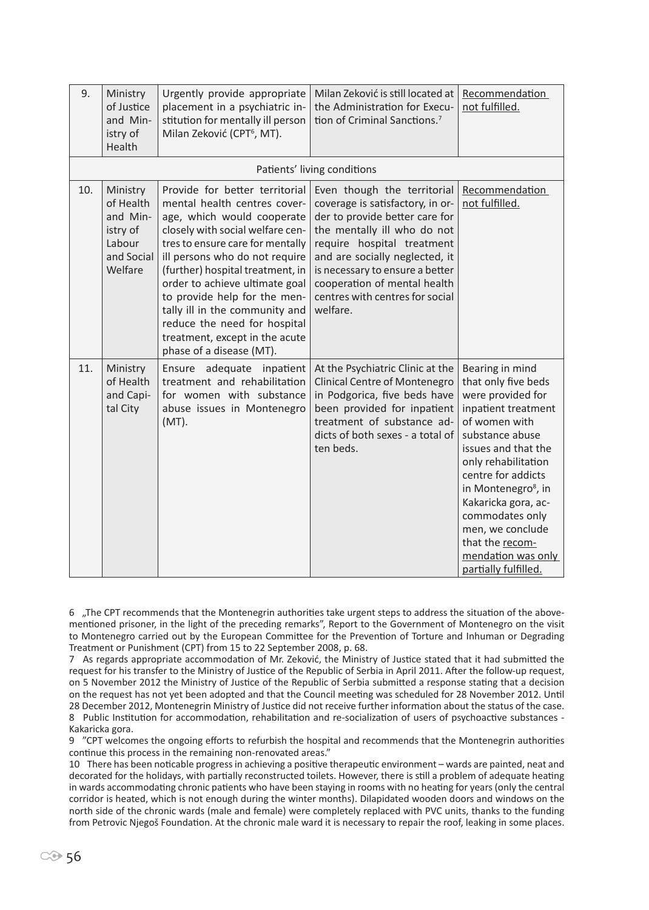| 9.  | Ministry<br>of Justice<br>and Min-<br>istry of<br>Health                         | Urgently provide appropriate<br>placement in a psychiatric in-<br>stitution for mentally ill person<br>Milan Zeković (CPT <sup>6</sup> , MT).                                                                                                                                                                                                                                                                                                | Milan Zeković is still located at<br>the Administration for Execu-<br>tion of Criminal Sanctions. <sup>7</sup>                                                                                                                                                                                                     | Recommendation<br>not fulfilled.                                                                                                                                                                                                                                                                                                                             |
|-----|----------------------------------------------------------------------------------|----------------------------------------------------------------------------------------------------------------------------------------------------------------------------------------------------------------------------------------------------------------------------------------------------------------------------------------------------------------------------------------------------------------------------------------------|--------------------------------------------------------------------------------------------------------------------------------------------------------------------------------------------------------------------------------------------------------------------------------------------------------------------|--------------------------------------------------------------------------------------------------------------------------------------------------------------------------------------------------------------------------------------------------------------------------------------------------------------------------------------------------------------|
|     |                                                                                  |                                                                                                                                                                                                                                                                                                                                                                                                                                              | Patients' living conditions                                                                                                                                                                                                                                                                                        |                                                                                                                                                                                                                                                                                                                                                              |
| 10. | Ministry<br>of Health<br>and Min-<br>istry of<br>Labour<br>and Social<br>Welfare | Provide for better territorial<br>mental health centres cover-<br>age, which would cooperate<br>closely with social welfare cen-<br>tres to ensure care for mentally<br>ill persons who do not require<br>(further) hospital treatment, in<br>order to achieve ultimate goal<br>to provide help for the men-<br>tally ill in the community and<br>reduce the need for hospital<br>treatment, except in the acute<br>phase of a disease (MT). | Even though the territorial<br>coverage is satisfactory, in or-<br>der to provide better care for<br>the mentally ill who do not<br>require hospital treatment<br>and are socially neglected, it<br>is necessary to ensure a better<br>cooperation of mental health<br>centres with centres for social<br>welfare. | Recommendation<br>not fulfilled.                                                                                                                                                                                                                                                                                                                             |
| 11. | Ministry<br>of Health<br>and Capi-<br>tal City                                   | Ensure adequate<br>inpatient<br>treatment and rehabilitation<br>for women with substance<br>abuse issues in Montenegro<br>$(MT)$ .                                                                                                                                                                                                                                                                                                           | At the Psychiatric Clinic at the<br>Clinical Centre of Montenegro<br>in Podgorica, five beds have<br>been provided for inpatient<br>treatment of substance ad-<br>dicts of both sexes - a total of<br>ten beds.                                                                                                    | Bearing in mind<br>that only five beds<br>were provided for<br>inpatient treatment<br>of women with<br>substance abuse<br>issues and that the<br>only rehabilitation<br>centre for addicts<br>in Montenegro <sup>8</sup> , in<br>Kakaricka gora, ac-<br>commodates only<br>men, we conclude<br>that the recom-<br>mendation was only<br>partially fulfilled. |

6 "The CPT recommends that the Montenegrin authorities take urgent steps to address the situation of the abovementioned prisoner, in the light of the preceding remarks", Report to the Government of Montenegro on the visit to Montenegro carried out by the European Committee for the Prevention of Torture and Inhuman or Degrading Treatment or Punishment (CPT) from 15 to 22 September 2008, p. 68.

7 As regards appropriate accommodation of Mr. Zeković, the Ministry of Justice stated that it had submitted the request for his transfer to the Ministry of Justice of the Republic of Serbia in April 2011. After the follow-up request, on 5 November 2012 the Ministry of Justice of the Republic of Serbia submitted a response stating that a decision on the request has not yet been adopted and that the Council meeting was scheduled for 28 November 2012. Until 28 December 2012, Montenegrin Ministry of Justice did not receive further information about the status of the case. 8 Public Institution for accommodation, rehabilitation and re-socialization of users of psychoactive substances - Kakaricka gora.

9 "CPT welcomes the ongoing efforts to refurbish the hospital and recommends that the Montenegrin authorities continue this process in the remaining non-renovated areas."

10 There has been noticable progress in achieving a positive therapeutic environment – wards are painted, neat and decorated for the holidays, with partially reconstructed toilets. However, there is still a problem of adequate heating in wards accommodating chronic patients who have been staying in rooms with no heating for years (only the central corridor is heated, which is not enough during the winter months). Dilapidated wooden doors and windows on the north side of the chronic wards (male and female) were completely replaced with PVC units, thanks to the funding from Petrovic Njegoš Foundation. At the chronic male ward it is necessary to repair the roof, leaking in some places.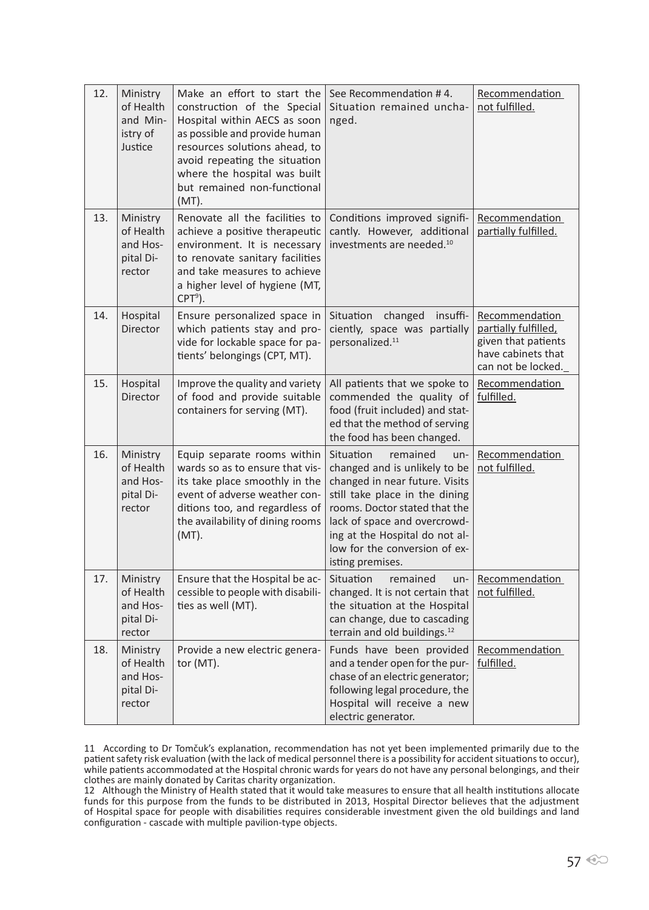| 12. | Ministry<br>of Health<br>and Min-<br>istry of<br>Justice | Make an effort to start the<br>construction of the Special<br>Hospital within AECS as soon<br>as possible and provide human<br>resources solutions ahead, to<br>avoid repeating the situation<br>where the hospital was built<br>but remained non-functional<br>$(MT)$ . | See Recommendation #4.<br>Situation remained uncha-<br>nged.                                                                                                                                                                                                                                | Recommendation<br>not fulfilled.                                                                          |
|-----|----------------------------------------------------------|--------------------------------------------------------------------------------------------------------------------------------------------------------------------------------------------------------------------------------------------------------------------------|---------------------------------------------------------------------------------------------------------------------------------------------------------------------------------------------------------------------------------------------------------------------------------------------|-----------------------------------------------------------------------------------------------------------|
| 13. | Ministry<br>of Health<br>and Hos-<br>pital Di-<br>rector | Renovate all the facilities to<br>achieve a positive therapeutic<br>environment. It is necessary<br>to renovate sanitary facilities<br>and take measures to achieve<br>a higher level of hygiene (MT,<br>$CPT9$ ).                                                       | Conditions improved signifi-<br>cantly. However, additional<br>investments are needed. <sup>10</sup>                                                                                                                                                                                        | Recommendation<br>partially fulfilled.                                                                    |
| 14. | Hospital<br><b>Director</b>                              | Ensure personalized space in<br>which patients stay and pro-<br>vide for lockable space for pa-<br>tients' belongings (CPT, MT).                                                                                                                                         | insuffi-<br>Situation<br>changed<br>ciently, space was partially<br>personalized. <sup>11</sup>                                                                                                                                                                                             | Recommendation<br>partially fulfilled,<br>given that patients<br>have cabinets that<br>can not be locked. |
| 15. | Hospital<br>Director                                     | Improve the quality and variety<br>of food and provide suitable<br>containers for serving (MT).                                                                                                                                                                          | All patients that we spoke to<br>commended the quality of<br>food (fruit included) and stat-<br>ed that the method of serving<br>the food has been changed.                                                                                                                                 | Recommendation<br>fulfilled.                                                                              |
| 16. | Ministry<br>of Health<br>and Hos-<br>pital Di-<br>rector | Equip separate rooms within<br>wards so as to ensure that vis-<br>its take place smoothly in the<br>event of adverse weather con-<br>ditions too, and regardless of<br>the availability of dining rooms<br>$(MT)$ .                                                      | Situation<br>remained<br>$un-$<br>changed and is unlikely to be<br>changed in near future. Visits<br>still take place in the dining<br>rooms. Doctor stated that the<br>lack of space and overcrowd-<br>ing at the Hospital do not al-<br>low for the conversion of ex-<br>isting premises. | Recommendation<br>not fulfilled.                                                                          |
| 17. | Ministry<br>of Health<br>and Hos-<br>pital Di-<br>rector | Ensure that the Hospital be ac-<br>cessible to people with disabili-<br>ties as well (MT).                                                                                                                                                                               | Situation<br>remained<br>$un-$<br>changed. It is not certain that<br>the situation at the Hospital<br>can change, due to cascading<br>terrain and old buildings. <sup>12</sup>                                                                                                              | Recommendation<br>not fulfilled.                                                                          |
| 18. | Ministry<br>of Health<br>and Hos-<br>pital Di-<br>rector | Provide a new electric genera-<br>tor $(MT)$ .                                                                                                                                                                                                                           | Funds have been provided<br>and a tender open for the pur-<br>chase of an electric generator;<br>following legal procedure, the<br>Hospital will receive a new<br>electric generator.                                                                                                       | Recommendation<br>fulfilled.                                                                              |

11 According to Dr Tomčuk's explanation, recommendation has not yet been implemented primarily due to the patient safety risk evaluation (with the lack of medical personnel there is a possibility for accident situations to occur), while patients accommodated at the Hospital chronic wards for years do not have any personal belongings, and their clothes are mainly donated by Caritas charity organization.

12 Although the Ministry of Health stated that it would take measures to ensure that all health institutions allocate funds for this purpose from the funds to be distributed in 2013, Hospital Director believes that the adjustment of Hospital space for people with disabilities requires considerable investment given the old buildings and land configuration - cascade with multiple pavilion-type objects.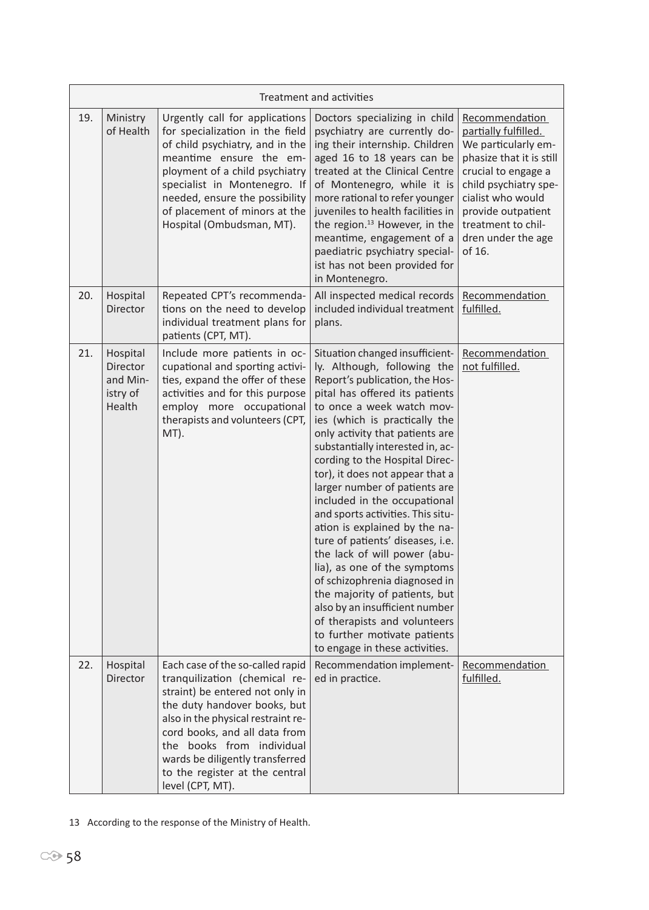|     | Treatment and activities                               |                                                                                                                                                                                                                                                                                                                                   |                                                                                                                                                                                                                                                                                                                                                                                                                                                                                                                                                                                                                                                                                                                                                                                               |                                                                                                                                                                                                                                            |
|-----|--------------------------------------------------------|-----------------------------------------------------------------------------------------------------------------------------------------------------------------------------------------------------------------------------------------------------------------------------------------------------------------------------------|-----------------------------------------------------------------------------------------------------------------------------------------------------------------------------------------------------------------------------------------------------------------------------------------------------------------------------------------------------------------------------------------------------------------------------------------------------------------------------------------------------------------------------------------------------------------------------------------------------------------------------------------------------------------------------------------------------------------------------------------------------------------------------------------------|--------------------------------------------------------------------------------------------------------------------------------------------------------------------------------------------------------------------------------------------|
| 19. | Ministry<br>of Health                                  | Urgently call for applications<br>for specialization in the field<br>of child psychiatry, and in the<br>meantime ensure the em-<br>ployment of a child psychiatry<br>specialist in Montenegro. If<br>needed, ensure the possibility<br>of placement of minors at the<br>Hospital (Ombudsman, MT).                                 | Doctors specializing in child<br>psychiatry are currently do-<br>ing their internship. Children<br>aged 16 to 18 years can be<br>treated at the Clinical Centre<br>of Montenegro, while it is<br>more rational to refer younger<br>juveniles to health facilities in<br>the region. <sup>13</sup> However, in the<br>meantime, engagement of a<br>paediatric psychiatry special-<br>ist has not been provided for<br>in Montenegro.                                                                                                                                                                                                                                                                                                                                                           | Recommendation<br>partially fulfilled.<br>We particularly em-<br>phasize that it is still<br>crucial to engage a<br>child psychiatry spe-<br>cialist who would<br>provide outpatient<br>treatment to chil-<br>dren under the age<br>of 16. |
| 20. | Hospital<br>Director                                   | Repeated CPT's recommenda-<br>tions on the need to develop<br>individual treatment plans for<br>patients (CPT, MT).                                                                                                                                                                                                               | All inspected medical records<br>included individual treatment<br>plans.                                                                                                                                                                                                                                                                                                                                                                                                                                                                                                                                                                                                                                                                                                                      | Recommendation<br>fulfilled.                                                                                                                                                                                                               |
| 21. | Hospital<br>Director<br>and Min-<br>istry of<br>Health | Include more patients in oc-<br>cupational and sporting activi-<br>ties, expand the offer of these<br>activities and for this purpose<br>employ more occupational<br>therapists and volunteers (CPT,<br>MT).                                                                                                                      | Situation changed insufficient-<br>ly. Although, following the<br>Report's publication, the Hos-<br>pital has offered its patients<br>to once a week watch mov-<br>ies (which is practically the<br>only activity that patients are<br>substantially interested in, ac-<br>cording to the Hospital Direc-<br>tor), it does not appear that a<br>larger number of patients are<br>included in the occupational<br>and sports activities. This situ-<br>ation is explained by the na-<br>ture of patients' diseases, i.e.<br>the lack of will power (abu-<br>lia), as one of the symptoms<br>of schizophrenia diagnosed in<br>the majority of patients, but<br>also by an insufficient number<br>of therapists and volunteers<br>to further motivate patients<br>to engage in these activities. | Recommendation<br>not fulfilled.                                                                                                                                                                                                           |
| 22. | Hospital<br>Director                                   | Each case of the so-called rapid<br>tranquilization (chemical re-<br>straint) be entered not only in<br>the duty handover books, but<br>also in the physical restraint re-<br>cord books, and all data from<br>the books from individual<br>wards be diligently transferred<br>to the register at the central<br>level (CPT, MT). | Recommendation implement-<br>ed in practice.                                                                                                                                                                                                                                                                                                                                                                                                                                                                                                                                                                                                                                                                                                                                                  | Recommendation<br>fulfilled.                                                                                                                                                                                                               |

13 According to the response of the Ministry of Health.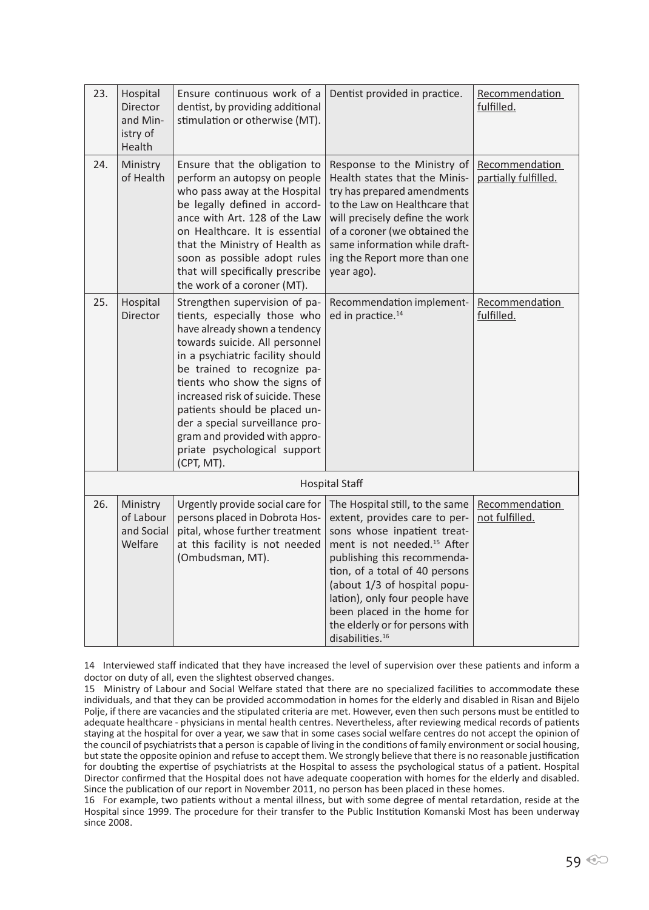| 23. | Hospital<br>Director<br>and Min-<br>istry of<br>Health | Ensure continuous work of a<br>dentist, by providing additional<br>stimulation or otherwise (MT).                                                                                                                                                                                                                                                                                                                          | Dentist provided in practice.                                                                                                                                                                                                                                                                                                                                                  | Recommendation<br>fulfilled.           |
|-----|--------------------------------------------------------|----------------------------------------------------------------------------------------------------------------------------------------------------------------------------------------------------------------------------------------------------------------------------------------------------------------------------------------------------------------------------------------------------------------------------|--------------------------------------------------------------------------------------------------------------------------------------------------------------------------------------------------------------------------------------------------------------------------------------------------------------------------------------------------------------------------------|----------------------------------------|
| 24. | Ministry<br>of Health                                  | Ensure that the obligation to<br>perform an autopsy on people<br>who pass away at the Hospital<br>be legally defined in accord-<br>ance with Art. 128 of the Law<br>on Healthcare. It is essential<br>that the Ministry of Health as<br>soon as possible adopt rules<br>that will specifically prescribe<br>the work of a coroner (MT).                                                                                    | Response to the Ministry of<br>Health states that the Minis-<br>try has prepared amendments<br>to the Law on Healthcare that<br>will precisely define the work<br>of a coroner (we obtained the<br>same information while draft-<br>ing the Report more than one<br>year ago).                                                                                                 | Recommendation<br>partially fulfilled. |
| 25. | Hospital<br>Director                                   | Strengthen supervision of pa-<br>tients, especially those who<br>have already shown a tendency<br>towards suicide. All personnel<br>in a psychiatric facility should<br>be trained to recognize pa-<br>tients who show the signs of<br>increased risk of suicide. These<br>patients should be placed un-<br>der a special surveillance pro-<br>gram and provided with appro-<br>priate psychological support<br>(CPT, MT). | Recommendation implement-<br>ed in practice. <sup>14</sup>                                                                                                                                                                                                                                                                                                                     | Recommendation<br>fulfilled.           |
|     |                                                        |                                                                                                                                                                                                                                                                                                                                                                                                                            | <b>Hospital Staff</b>                                                                                                                                                                                                                                                                                                                                                          |                                        |
| 26. | Ministry<br>of Labour<br>and Social<br>Welfare         | Urgently provide social care for<br>persons placed in Dobrota Hos-<br>pital, whose further treatment<br>at this facility is not needed<br>(Ombudsman, MT).                                                                                                                                                                                                                                                                 | The Hospital still, to the same<br>extent, provides care to per-<br>sons whose inpatient treat-<br>ment is not needed. <sup>15</sup> After<br>publishing this recommenda-<br>tion, of a total of 40 persons<br>(about 1/3 of hospital popu-<br>lation), only four people have<br>been placed in the home for<br>the elderly or for persons with<br>disabilities. <sup>16</sup> | Recommendation<br>not fulfilled.       |

14 Interviewed staff indicated that they have increased the level of supervision over these patients and inform a doctor on duty of all, even the slightest observed changes.

15 Ministry of Labour and Social Welfare stated that there are no specialized facilities to accommodate these individuals, and that they can be provided accommodation in homes for the elderly and disabled in Risan and Bijelo Polje, if there are vacancies and the stipulated criteria are met. However, even then such persons must be entitled to adequate healthcare - physicians in mental health centres. Nevertheless, after reviewing medical records of patients staying at the hospital for over a year, we saw that in some cases social welfare centres do not accept the opinion of the council of psychiatrists that a person is capable of living in the conditions of family environment or social housing, but state the opposite opinion and refuse to accept them. We strongly believe that there is no reasonable justification for doubting the expertise of psychiatrists at the Hospital to assess the psychological status of a patient. Hospital Director confirmed that the Hospital does not have adequate cooperation with homes for the elderly and disabled. Since the publication of our report in November 2011, no person has been placed in these homes.

16 For example, two patients without a mental illness, but with some degree of mental retardation, reside at the Hospital since 1999. The procedure for their transfer to the Public Institution Komanski Most has been underway since 2008.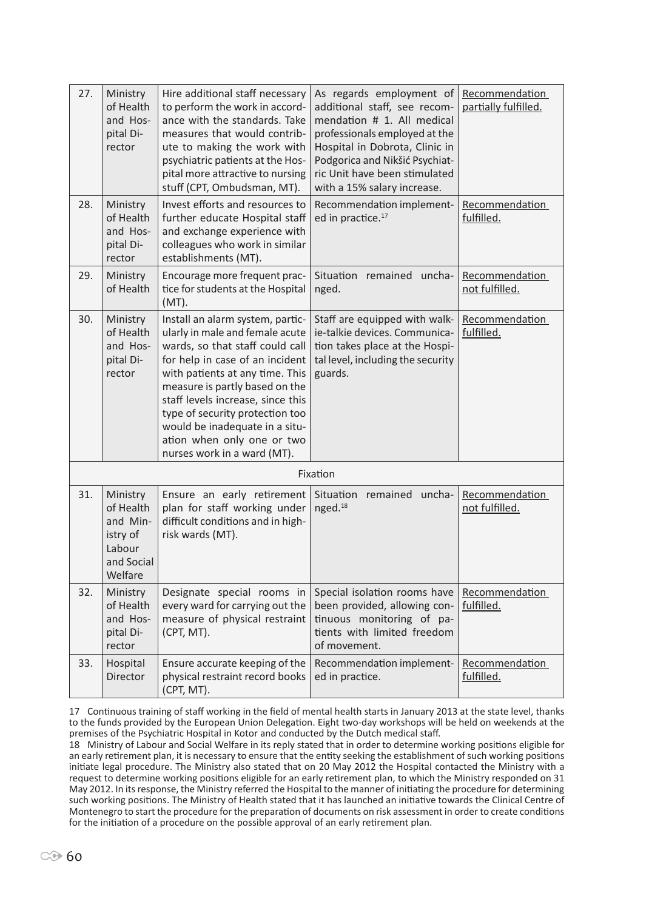| 27. | Ministry<br>of Health<br>and Hos-<br>pital Di-<br>rector                         | Hire additional staff necessary<br>to perform the work in accord-<br>ance with the standards. Take<br>measures that would contrib-<br>ute to making the work with<br>psychiatric patients at the Hos-<br>pital more attractive to nursing<br>stuff (CPT, Ombudsman, MT).                                                                                                              | As regards employment of<br>additional staff, see recom-<br>mendation # 1. All medical<br>professionals employed at the<br>Hospital in Dobrota, Clinic in<br>Podgorica and Nikšić Psychiat-<br>ric Unit have been stimulated<br>with a 15% salary increase. | Recommendation<br>partially fulfilled. |
|-----|----------------------------------------------------------------------------------|---------------------------------------------------------------------------------------------------------------------------------------------------------------------------------------------------------------------------------------------------------------------------------------------------------------------------------------------------------------------------------------|-------------------------------------------------------------------------------------------------------------------------------------------------------------------------------------------------------------------------------------------------------------|----------------------------------------|
| 28. | Ministry<br>of Health<br>and Hos-<br>pital Di-<br>rector                         | Invest efforts and resources to<br>further educate Hospital staff<br>and exchange experience with<br>colleagues who work in similar<br>establishments (MT).                                                                                                                                                                                                                           | Recommendation implement-<br>ed in practice. <sup>17</sup>                                                                                                                                                                                                  | Recommendation<br>fulfilled.           |
| 29. | Ministry<br>of Health                                                            | Encourage more frequent prac-<br>tice for students at the Hospital<br>$(MT)$ .                                                                                                                                                                                                                                                                                                        | Situation<br>remained<br>uncha-<br>nged.                                                                                                                                                                                                                    | Recommendation<br>not fulfilled.       |
| 30. | Ministry<br>of Health<br>and Hos-<br>pital Di-<br>rector                         | Install an alarm system, partic-<br>ularly in male and female acute<br>wards, so that staff could call<br>for help in case of an incident<br>with patients at any time. This<br>measure is partly based on the<br>staff levels increase, since this<br>type of security protection too<br>would be inadequate in a situ-<br>ation when only one or two<br>nurses work in a ward (MT). | Staff are equipped with walk-<br>ie-talkie devices. Communica-<br>tion takes place at the Hospi-<br>tal level, including the security<br>guards.                                                                                                            | Recommendation<br>fulfilled.           |
|     |                                                                                  |                                                                                                                                                                                                                                                                                                                                                                                       | Fixation                                                                                                                                                                                                                                                    |                                        |
| 31. | Ministry<br>of Health<br>and Min-<br>istry of<br>Labour<br>and Social<br>Welfare | Ensure an early retirement<br>plan for staff working under<br>difficult conditions and in high-<br>risk wards (MT).                                                                                                                                                                                                                                                                   | Situation remained uncha-<br>nged. <sup>18</sup>                                                                                                                                                                                                            | Recommendation<br>not fulfilled.       |
| 32. | Ministry<br>of Health<br>and Hos-<br>pital Di-<br>rector                         | Designate special rooms in<br>every ward for carrying out the<br>measure of physical restraint<br>(CPT, MT).                                                                                                                                                                                                                                                                          | Special isolation rooms have<br>been provided, allowing con-<br>tinuous monitoring of pa-<br>tients with limited freedom<br>of movement.                                                                                                                    | Recommendation<br>fulfilled.           |
| 33. | Hospital<br>Director                                                             | Ensure accurate keeping of the<br>physical restraint record books<br>(CPT, MT).                                                                                                                                                                                                                                                                                                       | Recommendation implement-<br>ed in practice.                                                                                                                                                                                                                | Recommendation<br>fulfilled.           |

17 Continuous training of staff working in the field of mental health starts in January 2013 at the state level, thanks to the funds provided by the European Union Delegation. Eight two-day workshops will be held on weekends at the premises of the Psychiatric Hospital in Kotor and conducted by the Dutch medical staff.

18 Ministry of Labour and Social Welfare in its reply stated that in order to determine working positions eligible for an early retirement plan, it is necessary to ensure that the entity seeking the establishment of such working positions initiate legal procedure. The Ministry also stated that on 20 May 2012 the Hospital contacted the Ministry with a request to determine working positions eligible for an early retirement plan, to which the Ministry responded on 31 May 2012. In its response, the Ministry referred the Hospital to the manner of initiating the procedure for determining such working positions. The Ministry of Health stated that it has launched an initiative towards the Clinical Centre of Montenegro to start the procedure for the preparation of documents on risk assessment in order to create conditions for the initiation of a procedure on the possible approval of an early retirement plan.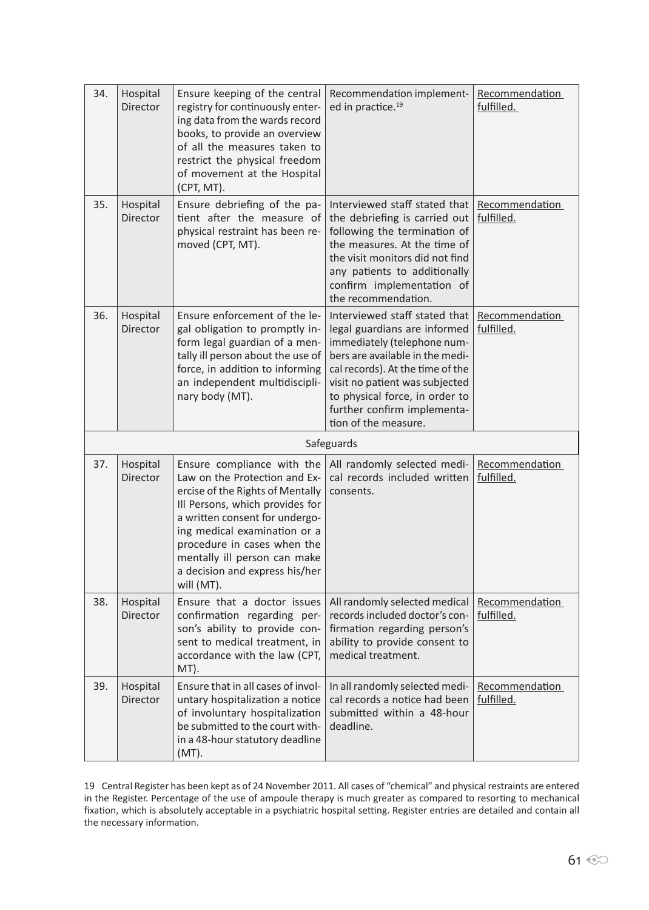| 34. | Hospital<br>Director | Ensure keeping of the central<br>registry for continuously enter-<br>ing data from the wards record<br>books, to provide an overview<br>of all the measures taken to<br>restrict the physical freedom<br>of movement at the Hospital<br>(CPT, MT).                                                                  | Recommendation implement-<br>ed in practice. <sup>19</sup>                                                                                                                                                                                                                                     | Recommendation<br>fulfilled. |
|-----|----------------------|---------------------------------------------------------------------------------------------------------------------------------------------------------------------------------------------------------------------------------------------------------------------------------------------------------------------|------------------------------------------------------------------------------------------------------------------------------------------------------------------------------------------------------------------------------------------------------------------------------------------------|------------------------------|
| 35. | Hospital<br>Director | Ensure debriefing of the pa-<br>tient after the measure of<br>physical restraint has been re-<br>moved (CPT, MT).                                                                                                                                                                                                   | Interviewed staff stated that<br>the debriefing is carried out<br>following the termination of<br>the measures. At the time of<br>the visit monitors did not find<br>any patients to additionally<br>confirm implementation of<br>the recommendation.                                          | Recommendation<br>fulfilled. |
| 36. | Hospital<br>Director | Ensure enforcement of the le-<br>gal obligation to promptly in-<br>form legal guardian of a men-<br>tally ill person about the use of<br>force, in addition to informing<br>an independent multidiscipli-<br>nary body (MT).                                                                                        | Interviewed staff stated that<br>legal guardians are informed<br>immediately (telephone num-<br>bers are available in the medi-<br>cal records). At the time of the<br>visit no patient was subjected<br>to physical force, in order to<br>further confirm implementa-<br>tion of the measure. | Recommendation<br>fulfilled. |
|     |                      |                                                                                                                                                                                                                                                                                                                     | Safeguards                                                                                                                                                                                                                                                                                     |                              |
| 37. | Hospital<br>Director | Ensure compliance with the<br>Law on the Protection and Ex-<br>ercise of the Rights of Mentally<br>Ill Persons, which provides for<br>a written consent for undergo-<br>ing medical examination or a<br>procedure in cases when the<br>mentally ill person can make<br>a decision and express his/her<br>will (MT). | All randomly selected medi-<br>cal records included written<br>consents.                                                                                                                                                                                                                       | Recommendation<br>fulfilled. |
| 38. | Hospital<br>Director | Ensure that a doctor issues<br>confirmation regarding per-<br>son's ability to provide con-<br>sent to medical treatment, in<br>accordance with the law (CPT,<br>MT).                                                                                                                                               | All randomly selected medical<br>records included doctor's con-<br>firmation regarding person's<br>ability to provide consent to<br>medical treatment.                                                                                                                                         | Recommendation<br>fulfilled. |
| 39. | Hospital<br>Director | Ensure that in all cases of invol-<br>untary hospitalization a notice<br>of involuntary hospitalization<br>be submitted to the court with-<br>in a 48-hour statutory deadline<br>$(MT)$ .                                                                                                                           | In all randomly selected medi-<br>cal records a notice had been<br>submitted within a 48-hour<br>deadline.                                                                                                                                                                                     | Recommendation<br>fulfilled. |

19 Central Register has been kept as of 24 November 2011. All cases of "chemical" and physical restraints are entered in the Register. Percentage of the use of ampoule therapy is much greater as compared to resorting to mechanical fixation, which is absolutely acceptable in a psychiatric hospital setting. Register entries are detailed and contain all the necessary information.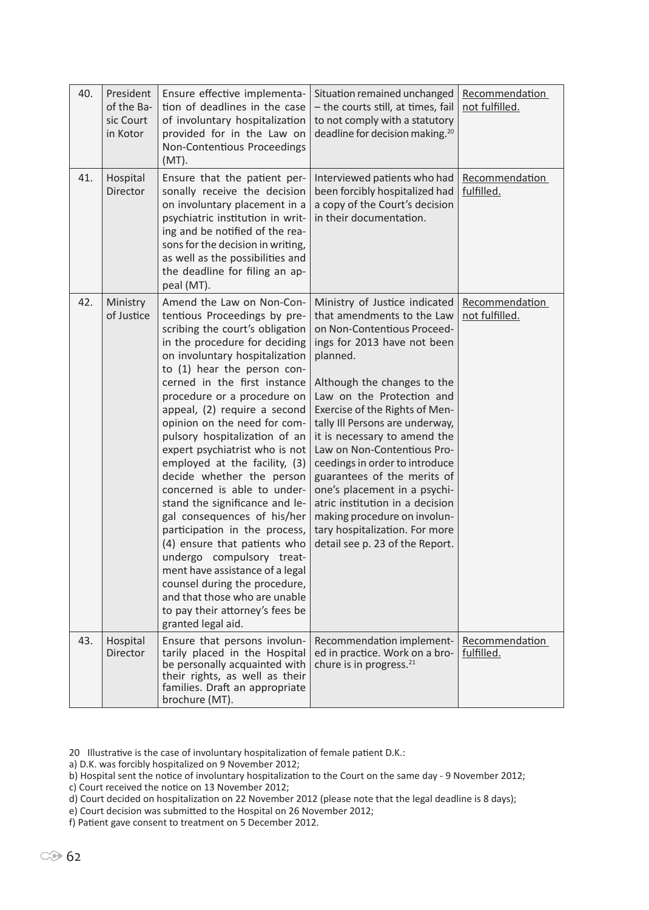| 40. | President<br>of the Ba-<br>sic Court<br>in Kotor | Ensure effective implementa-<br>tion of deadlines in the case<br>of involuntary hospitalization<br>provided for in the Law on                                                                                                                                                                                                                                                                                                                                                                                                                                                                                                                                                                                                                                                                                              | Situation remained unchanged<br>- the courts still, at times, fail<br>to not comply with a statutory<br>deadline for decision making. <sup>20</sup>                                                                                                                                                                                                                                                                                                                                                                                                                            | Recommendation<br>not fulfilled. |
|-----|--------------------------------------------------|----------------------------------------------------------------------------------------------------------------------------------------------------------------------------------------------------------------------------------------------------------------------------------------------------------------------------------------------------------------------------------------------------------------------------------------------------------------------------------------------------------------------------------------------------------------------------------------------------------------------------------------------------------------------------------------------------------------------------------------------------------------------------------------------------------------------------|--------------------------------------------------------------------------------------------------------------------------------------------------------------------------------------------------------------------------------------------------------------------------------------------------------------------------------------------------------------------------------------------------------------------------------------------------------------------------------------------------------------------------------------------------------------------------------|----------------------------------|
|     |                                                  | Non-Contentious Proceedings<br>$(MT)$ .                                                                                                                                                                                                                                                                                                                                                                                                                                                                                                                                                                                                                                                                                                                                                                                    |                                                                                                                                                                                                                                                                                                                                                                                                                                                                                                                                                                                |                                  |
| 41. | Hospital<br>Director                             | Ensure that the patient per-<br>sonally receive the decision<br>on involuntary placement in a<br>psychiatric institution in writ-<br>ing and be notified of the rea-<br>sons for the decision in writing,<br>as well as the possibilities and<br>the deadline for filing an ap-<br>peal (MT).                                                                                                                                                                                                                                                                                                                                                                                                                                                                                                                              | Interviewed patients who had<br>been forcibly hospitalized had<br>a copy of the Court's decision<br>in their documentation.                                                                                                                                                                                                                                                                                                                                                                                                                                                    | Recommendation<br>fulfilled.     |
| 42. | Ministry<br>of Justice                           | Amend the Law on Non-Con-<br>tentious Proceedings by pre-<br>scribing the court's obligation<br>in the procedure for deciding<br>on involuntary hospitalization<br>to (1) hear the person con-<br>cerned in the first instance<br>procedure or a procedure on<br>appeal, (2) require a second<br>opinion on the need for com-<br>pulsory hospitalization of an<br>expert psychiatrist who is not<br>employed at the facility, (3)<br>decide whether the person<br>concerned is able to under-<br>stand the significance and le-<br>gal consequences of his/her<br>participation in the process,<br>(4) ensure that patients who<br>undergo compulsory treat-<br>ment have assistance of a legal<br>counsel during the procedure,<br>and that those who are unable<br>to pay their attorney's fees be<br>granted legal aid. | Ministry of Justice indicated<br>that amendments to the Law<br>on Non-Contentious Proceed-<br>ings for 2013 have not been<br>planned.<br>Although the changes to the<br>Law on the Protection and<br>Exercise of the Rights of Men-<br>tally III Persons are underway,<br>it is necessary to amend the<br>Law on Non-Contentious Pro-<br>ceedings in order to introduce<br>guarantees of the merits of<br>one's placement in a psychi-<br>atric institution in a decision<br>making procedure on involun-<br>tary hospitalization. For more<br>detail see p. 23 of the Report. | Recommendation<br>not fulfilled. |
| 43. | Hospital<br>Director                             | Ensure that persons involun-<br>tarily placed in the Hospital<br>be personally acquainted with<br>their rights, as well as their<br>families. Draft an appropriate<br>brochure (MT).                                                                                                                                                                                                                                                                                                                                                                                                                                                                                                                                                                                                                                       | Recommendation implement-<br>ed in practice. Work on a bro-<br>chure is in progress. <sup>21</sup>                                                                                                                                                                                                                                                                                                                                                                                                                                                                             | Recommendation<br>fulfilled.     |

20 Illustrative is the case of involuntary hospitalization of female patient D.K.:

a) D.K. was forcibly hospitalized on 9 November 2012;

b) Hospital sent the notice of involuntary hospitalization to the Court on the same day - 9 November 2012;

c) Court received the notice on 13 November 2012;

d) Court decided on hospitalization on 22 November 2012 (please note that the legal deadline is 8 days);

e) Court decision was submitted to the Hospital on 26 November 2012;

f) Patient gave consent to treatment on 5 December 2012.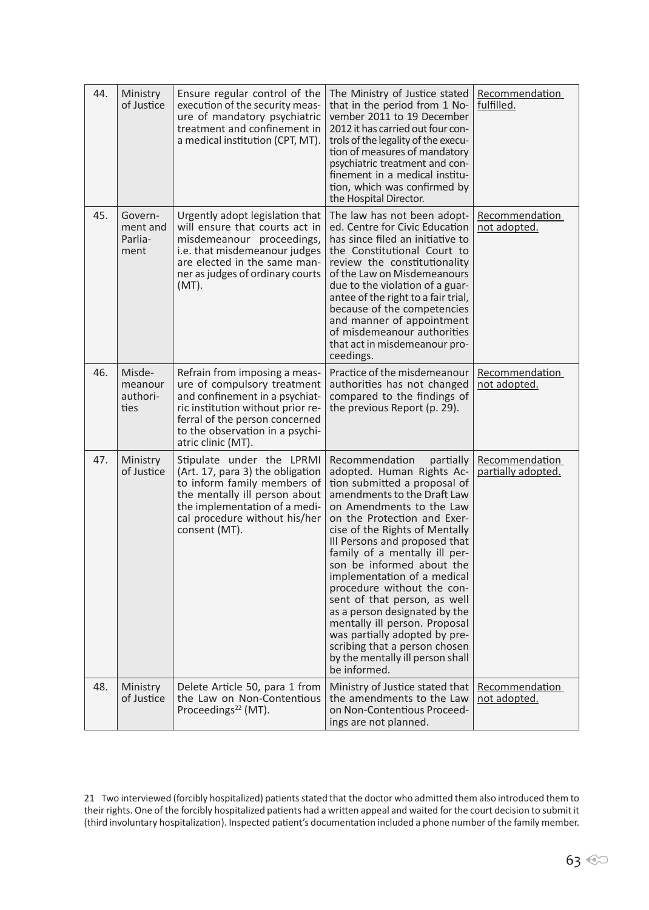| 44. | Ministry<br>of Justice                 | Ensure regular control of the<br>execution of the security meas-<br>ure of mandatory psychiatric<br>treatment and confinement in<br>a medical institution (CPT, MT).                                                           | The Ministry of Justice stated<br>that in the period from 1 No-<br>vember 2011 to 19 December<br>2012 it has carried out four con-<br>trols of the legality of the execu-<br>tion of measures of mandatory<br>psychiatric treatment and con-<br>finement in a medical institu-<br>tion, which was confirmed by<br>the Hospital Director.                                                                                                                                                                                                                                                                 | Recommendation<br>fulfilled.         |
|-----|----------------------------------------|--------------------------------------------------------------------------------------------------------------------------------------------------------------------------------------------------------------------------------|----------------------------------------------------------------------------------------------------------------------------------------------------------------------------------------------------------------------------------------------------------------------------------------------------------------------------------------------------------------------------------------------------------------------------------------------------------------------------------------------------------------------------------------------------------------------------------------------------------|--------------------------------------|
| 45. | Govern-<br>ment and<br>Parlia-<br>ment | Urgently adopt legislation that<br>will ensure that courts act in<br>misdemeanour proceedings,<br>i.e. that misdemeanour judges<br>are elected in the same man-<br>ner as judges of ordinary courts<br>$(MT)$ .                | The law has not been adopt-<br>ed. Centre for Civic Education<br>has since filed an initiative to<br>the Constitutional Court to<br>review the constitutionality<br>of the Law on Misdemeanours<br>due to the violation of a guar-<br>antee of the right to a fair trial,<br>because of the competencies<br>and manner of appointment<br>of misdemeanour authorities<br>that act in misdemeanour pro-<br>ceedings.                                                                                                                                                                                       | Recommendation<br>not adopted.       |
| 46. | Misde-<br>meanour<br>authori-<br>ties  | Refrain from imposing a meas-<br>ure of compulsory treatment<br>and confinement in a psychiat-<br>ric institution without prior re-<br>ferral of the person concerned<br>to the observation in a psychi-<br>atric clinic (MT). | Practice of the misdemeanour<br>authorities has not changed<br>compared to the findings of<br>the previous Report (p. 29).                                                                                                                                                                                                                                                                                                                                                                                                                                                                               | Recommendation<br>not adopted.       |
| 47. | Ministry<br>of Justice                 | Stipulate under the LPRMI<br>(Art. 17, para 3) the obligation<br>to inform family members of<br>the mentally ill person about<br>the implementation of a medi-<br>cal procedure without his/her<br>consent (MT).               | Recommendation<br>partially<br>adopted. Human Rights Ac-<br>tion submitted a proposal of<br>amendments to the Draft Law<br>on Amendments to the Law<br>on the Protection and Exer-<br>cise of the Rights of Mentally<br>Ill Persons and proposed that<br>family of a mentally ill per-<br>son be informed about the<br>implementation of a medical<br>procedure without the con-<br>sent of that person, as well<br>as a person designated by the<br>mentally ill person. Proposal<br>was partially adopted by pre-<br>scribing that a person chosen<br>by the mentally ill person shall<br>be informed. | Recommendation<br>partially adopted. |
| 48. | Ministry<br>of Justice                 | Delete Article 50, para 1 from<br>the Law on Non-Contentious<br>Proceedings <sup>22</sup> (MT).                                                                                                                                | Ministry of Justice stated that<br>the amendments to the Law<br>on Non-Contentious Proceed-<br>ings are not planned.                                                                                                                                                                                                                                                                                                                                                                                                                                                                                     | Recommendation<br>not adopted.       |

21 Two interviewed (forcibly hospitalized) patients stated that the doctor who admitted them also introduced them to their rights. One of the forcibly hospitalized patients had a written appeal and waited for the court decision to submit it (third involuntary hospitalization). Inspected patient's documentation included a phone number of the family member.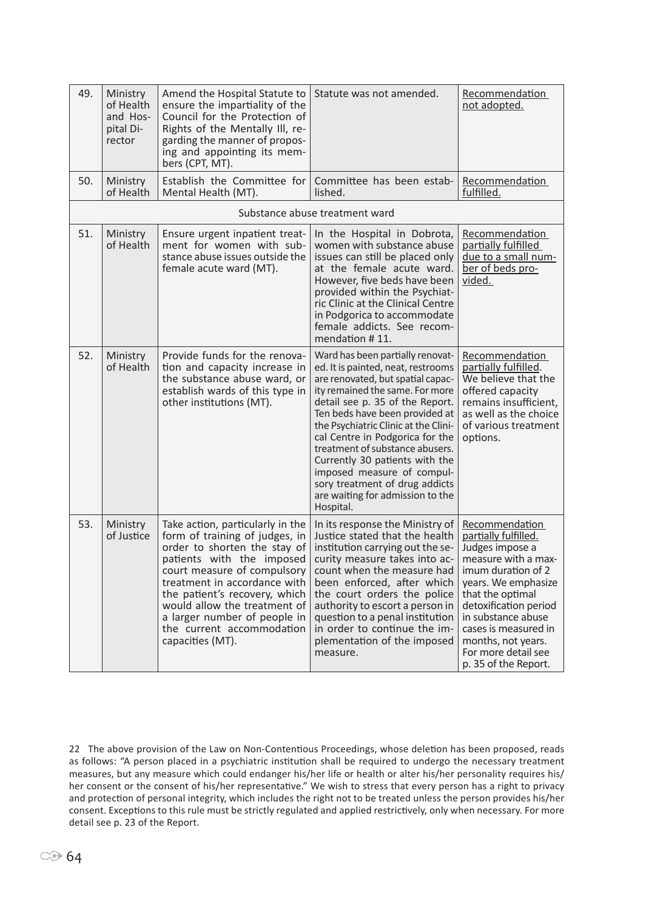| 49. | Ministry<br>of Health<br>and Hos-<br>pital Di-<br>rector | Amend the Hospital Statute to<br>ensure the impartiality of the<br>Council for the Protection of<br>Rights of the Mentally III, re-<br>garding the manner of propos-<br>ing and appointing its mem-<br>bers (CPT, MT).                                                                                                                           | Statute was not amended.                                                                                                                                                                                                                                                                                                                                                                                                                                                             | Recommendation<br>not adopted.                                                                                                                                                                                                                                                                |
|-----|----------------------------------------------------------|--------------------------------------------------------------------------------------------------------------------------------------------------------------------------------------------------------------------------------------------------------------------------------------------------------------------------------------------------|--------------------------------------------------------------------------------------------------------------------------------------------------------------------------------------------------------------------------------------------------------------------------------------------------------------------------------------------------------------------------------------------------------------------------------------------------------------------------------------|-----------------------------------------------------------------------------------------------------------------------------------------------------------------------------------------------------------------------------------------------------------------------------------------------|
| 50. | Ministry<br>of Health                                    | Establish the Committee for<br>Mental Health (MT).                                                                                                                                                                                                                                                                                               | Committee has been estab-<br>lished.                                                                                                                                                                                                                                                                                                                                                                                                                                                 | Recommendation<br>fulfilled.                                                                                                                                                                                                                                                                  |
|     |                                                          |                                                                                                                                                                                                                                                                                                                                                  | Substance abuse treatment ward                                                                                                                                                                                                                                                                                                                                                                                                                                                       |                                                                                                                                                                                                                                                                                               |
| 51. | Ministry<br>of Health                                    | Ensure urgent inpatient treat-<br>ment for women with sub-<br>stance abuse issues outside the<br>female acute ward (MT).                                                                                                                                                                                                                         | In the Hospital in Dobrota,<br>women with substance abuse<br>issues can still be placed only<br>at the female acute ward.<br>However, five beds have been<br>provided within the Psychiat-<br>ric Clinic at the Clinical Centre<br>in Podgorica to accommodate<br>female addicts. See recom-<br>mendation #11.                                                                                                                                                                       | Recommendation<br>partially fulfilled<br>due to a small num-<br>ber of beds pro-<br>vided.                                                                                                                                                                                                    |
| 52. | Ministry<br>of Health                                    | Provide funds for the renova-<br>tion and capacity increase in<br>the substance abuse ward, or<br>establish wards of this type in<br>other institutions (MT).                                                                                                                                                                                    | Ward has been partially renovat-<br>ed. It is painted, neat, restrooms<br>are renovated, but spatial capac-<br>ity remained the same. For more<br>detail see p. 35 of the Report.<br>Ten beds have been provided at<br>the Psychiatric Clinic at the Clini-<br>cal Centre in Podgorica for the<br>treatment of substance abusers.<br>Currently 30 patients with the<br>imposed measure of compul-<br>sory treatment of drug addicts<br>are waiting for admission to the<br>Hospital. | Recommendation<br>partially fulfilled.<br>We believe that the<br>offered capacity<br>remains insufficient,<br>as well as the choice<br>of various treatment<br>options.                                                                                                                       |
| 53. | Ministry<br>of Justice                                   | Take action, particularly in the<br>form of training of judges, in<br>order to shorten the stay of<br>patients with the imposed<br>court measure of compulsory<br>treatment in accordance with<br>the patient's recovery, which<br>would allow the treatment of<br>a larger number of people in<br>the current accommodation<br>capacities (MT). | In its response the Ministry of<br>Justice stated that the health<br>institution carrying out the se-<br>curity measure takes into ac-<br>count when the measure had<br>been enforced, after which<br>the court orders the police<br>authority to escort a person in<br>question to a penal institution<br>in order to continue the im-<br>plementation of the imposed<br>measure.                                                                                                   | Recommendation<br>partially fulfilled.<br>Judges impose a<br>measure with a max-<br>imum duration of 2<br>years. We emphasize<br>that the optimal<br>detoxification period<br>in substance abuse<br>cases is measured in<br>months, not years.<br>For more detail see<br>p. 35 of the Report. |

<sup>22</sup> The above provision of the Law on Non-Contentious Proceedings, whose deletion has been proposed, reads as follows: "A person placed in a psychiatric institution shall be required to undergo the necessary treatment measures, but any measure which could endanger his/her life or health or alter his/her personality requires his/ her consent or the consent of his/her representative." We wish to stress that every person has a right to privacy and protection of personal integrity, which includes the right not to be treated unless the person provides his/her consent. Exceptions to this rule must be strictly regulated and applied restrictively, only when necessary. For more detail see p. 23 of the Report.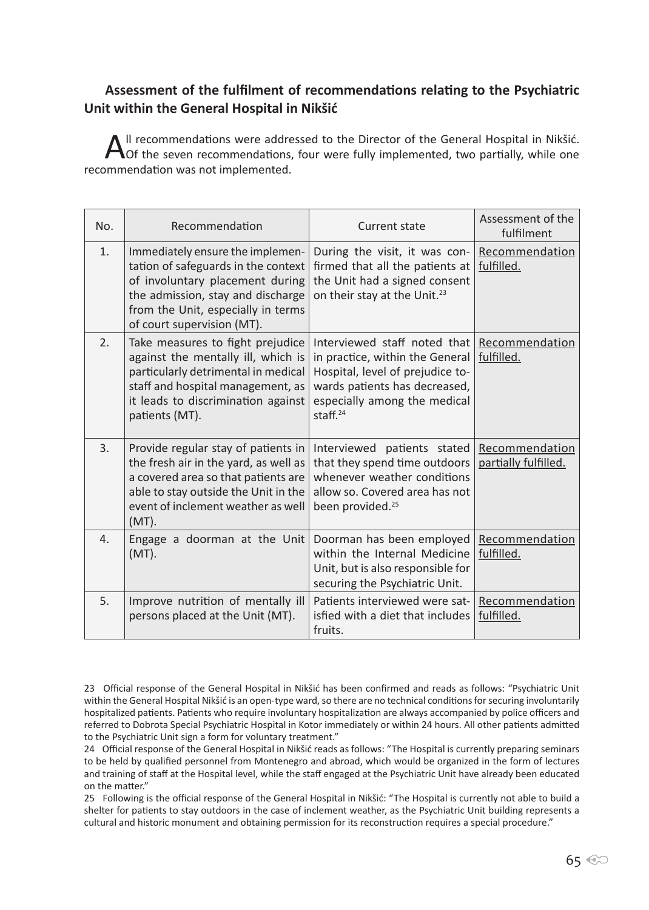# **Assessment of the fulfilment of recommendations relating to the Psychiatric Unit within the General Hospital in Nikšić**

All recommendations were addressed to the Director of the General Hospital in Nikšić.<br>
Of the seven recommendations, four were fully implemented, two partially, while one recommendation was not implemented.

| No.              | Recommendation                                                                                                                                                                                                      | Current state                                                                                                                                                                       | Assessment of the<br>fulfilment        |
|------------------|---------------------------------------------------------------------------------------------------------------------------------------------------------------------------------------------------------------------|-------------------------------------------------------------------------------------------------------------------------------------------------------------------------------------|----------------------------------------|
| 1.               | Immediately ensure the implemen-<br>tation of safeguards in the context<br>of involuntary placement during<br>the admission, stay and discharge<br>from the Unit, especially in terms<br>of court supervision (MT). | During the visit, it was con-<br>firmed that all the patients at<br>the Unit had a signed consent<br>on their stay at the Unit. <sup>23</sup>                                       | Recommendation<br>fulfilled.           |
| 2.               | Take measures to fight prejudice<br>against the mentally ill, which is<br>particularly detrimental in medical<br>staff and hospital management, as<br>it leads to discrimination against<br>patients (MT).          | Interviewed staff noted that<br>in practice, within the General<br>Hospital, level of prejudice to-<br>wards patients has decreased,<br>especially among the medical<br>staff. $24$ | Recommendation<br>fulfilled.           |
| 3.               | Provide regular stay of patients in<br>the fresh air in the yard, as well as<br>a covered area so that patients are<br>able to stay outside the Unit in the<br>event of inclement weather as well<br>$(MT)$ .       | Interviewed patients stated<br>that they spend time outdoors<br>whenever weather conditions<br>allow so. Covered area has not<br>been provided. <sup>25</sup>                       | Recommendation<br>partially fulfilled. |
| $\overline{4}$ . | Engage a doorman at the Unit<br>$(MT)$ .                                                                                                                                                                            | Doorman has been employed<br>within the Internal Medicine<br>Unit, but is also responsible for<br>securing the Psychiatric Unit.                                                    | Recommendation<br>fulfilled.           |
| 5.               | Improve nutrition of mentally ill<br>persons placed at the Unit (MT).                                                                                                                                               | Patients interviewed were sat-<br>isfied with a diet that includes<br>fruits.                                                                                                       | Recommendation<br>fulfilled.           |

<sup>23</sup> Official response of the General Hospital in Nikšić has been confirmed and reads as follows: "Psychiatric Unit within the General Hospital Nikšić is an open-type ward, so there are no technical conditions for securing involuntarily hospitalized patients. Patients who require involuntary hospitalization are always accompanied by police officers and referred to Dobrota Special Psychiatric Hospital in Kotor immediately or within 24 hours. All other patients admitted to the Psychiatric Unit sign a form for voluntary treatment."

<sup>24</sup> Official response of the General Hospital in Nikšić reads as follows: "The Hospital is currently preparing seminars to be held by qualified personnel from Montenegro and abroad, which would be organized in the form of lectures and training of staff at the Hospital level, while the staff engaged at the Psychiatric Unit have already been educated on the matter."

<sup>25</sup> Following is the official response of the General Hospital in Nikšić: "The Hospital is currently not able to build a shelter for patients to stay outdoors in the case of inclement weather, as the Psychiatric Unit building represents a cultural and historic monument and obtaining permission for its reconstruction requires a special procedure."